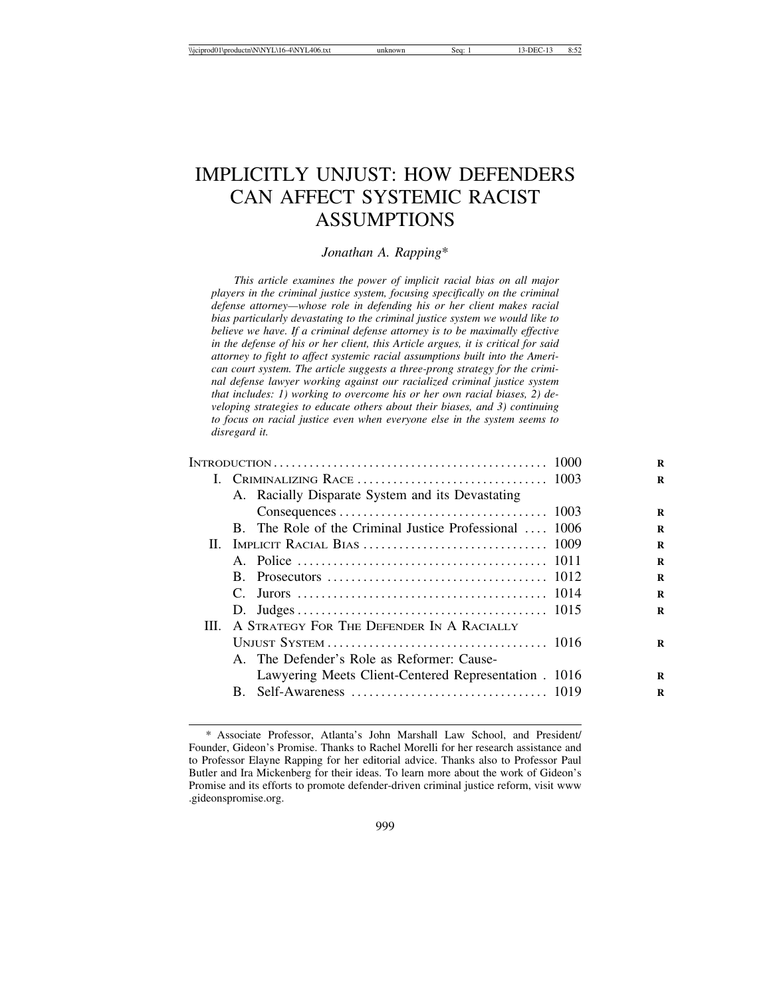# IMPLICITLY UNJUST: HOW DEFENDERS CAN AFFECT SYSTEMIC RACIST ASSUMPTIONS

#### *Jonathan A. Rapping*\*

*This article examines the power of implicit racial bias on all major players in the criminal justice system, focusing specifically on the criminal defense attorney—whose role in defending his or her client makes racial bias particularly devastating to the criminal justice system we would like to believe we have. If a criminal defense attorney is to be maximally effective in the defense of his or her client, this Article argues, it is critical for said attorney to fight to affect systemic racial assumptions built into the American court system. The article suggests a three-prong strategy for the criminal defense lawyer working against our racialized criminal justice system that includes: 1) working to overcome his or her own racial biases, 2) developing strategies to educate others about their biases, and 3) continuing to focus on racial justice even when everyone else in the system seems to disregard it.*

| A. Racially Disparate System and its Devastating       |
|--------------------------------------------------------|
|                                                        |
| B. The Role of the Criminal Justice Professional  1006 |
|                                                        |
|                                                        |
|                                                        |
|                                                        |
|                                                        |
| III. A STRATEGY FOR THE DEFENDER IN A RACIALLY         |
|                                                        |
| A. The Defender's Role as Reformer: Cause-             |
| Lawyering Meets Client-Centered Representation . 1016  |
|                                                        |
|                                                        |

<sup>\*</sup> Associate Professor, Atlanta's John Marshall Law School, and President/ Founder, Gideon's Promise. Thanks to Rachel Morelli for her research assistance and to Professor Elayne Rapping for her editorial advice. Thanks also to Professor Paul Butler and Ira Mickenberg for their ideas. To learn more about the work of Gideon's Promise and its efforts to promote defender-driven criminal justice reform, visit www .gideonspromise.org.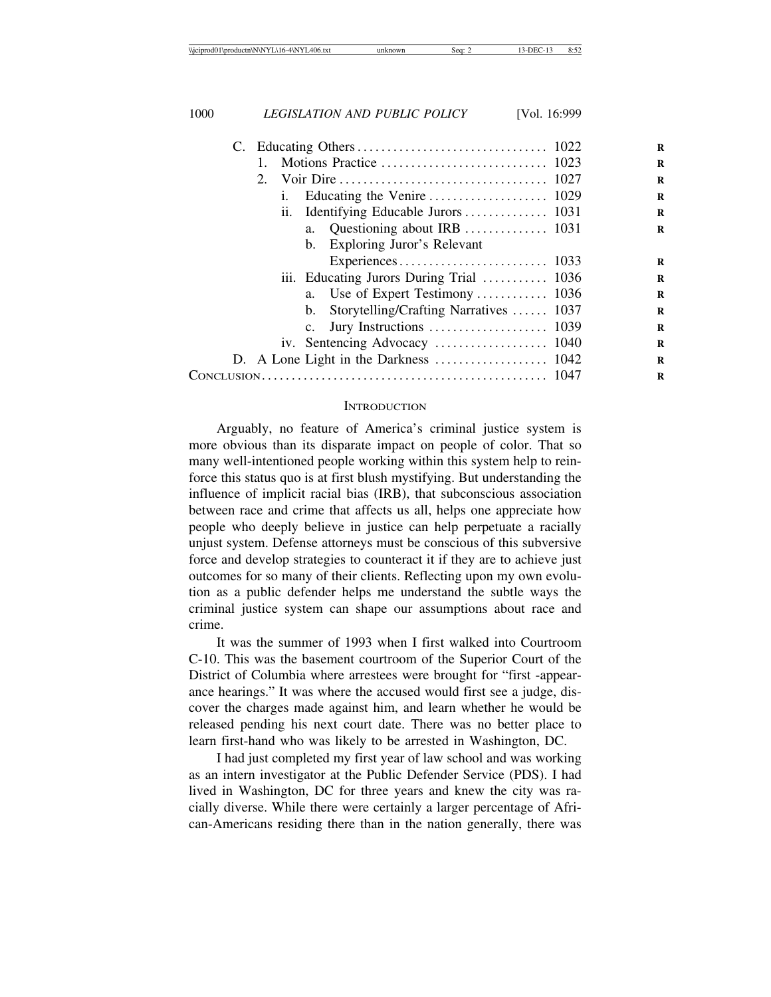| 1. |             |                                           |  |
|----|-------------|-------------------------------------------|--|
|    |             |                                           |  |
|    |             |                                           |  |
|    |             | b. Exploring Juror's Relevant             |  |
|    |             |                                           |  |
|    |             | iii. Educating Jurors During Trial  1036  |  |
|    |             |                                           |  |
|    |             | b. Storytelling/Crafting Narratives  1037 |  |
|    | $c_{\cdot}$ |                                           |  |
|    |             |                                           |  |
|    |             |                                           |  |
|    |             | $Conve$ and $1047$                        |  |
|    |             |                                           |  |

#### **INTRODUCTION**

Arguably, no feature of America's criminal justice system is more obvious than its disparate impact on people of color. That so many well-intentioned people working within this system help to reinforce this status quo is at first blush mystifying. But understanding the influence of implicit racial bias (IRB), that subconscious association between race and crime that affects us all, helps one appreciate how people who deeply believe in justice can help perpetuate a racially unjust system. Defense attorneys must be conscious of this subversive force and develop strategies to counteract it if they are to achieve just outcomes for so many of their clients. Reflecting upon my own evolution as a public defender helps me understand the subtle ways the criminal justice system can shape our assumptions about race and crime.

It was the summer of 1993 when I first walked into Courtroom C-10. This was the basement courtroom of the Superior Court of the District of Columbia where arrestees were brought for "first -appearance hearings." It was where the accused would first see a judge, discover the charges made against him, and learn whether he would be released pending his next court date. There was no better place to learn first-hand who was likely to be arrested in Washington, DC.

I had just completed my first year of law school and was working as an intern investigator at the Public Defender Service (PDS). I had lived in Washington, DC for three years and knew the city was racially diverse. While there were certainly a larger percentage of African-Americans residing there than in the nation generally, there was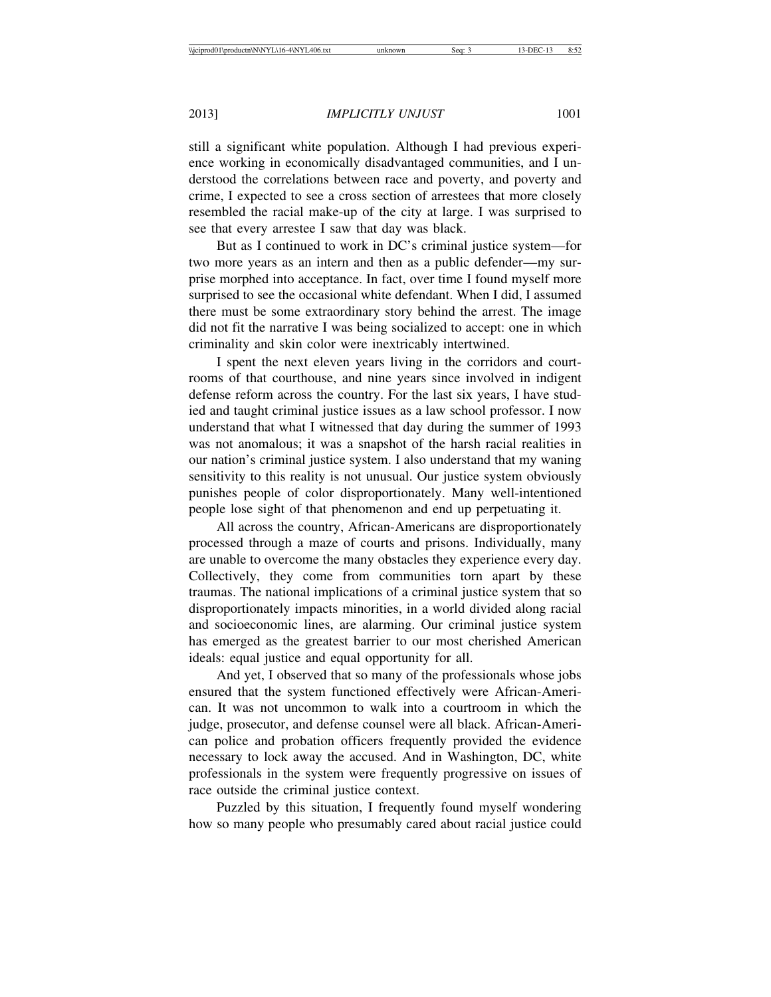still a significant white population. Although I had previous experience working in economically disadvantaged communities, and I understood the correlations between race and poverty, and poverty and crime, I expected to see a cross section of arrestees that more closely resembled the racial make-up of the city at large. I was surprised to see that every arrestee I saw that day was black.

But as I continued to work in DC's criminal justice system—for two more years as an intern and then as a public defender—my surprise morphed into acceptance. In fact, over time I found myself more surprised to see the occasional white defendant. When I did, I assumed there must be some extraordinary story behind the arrest. The image did not fit the narrative I was being socialized to accept: one in which criminality and skin color were inextricably intertwined.

I spent the next eleven years living in the corridors and courtrooms of that courthouse, and nine years since involved in indigent defense reform across the country. For the last six years, I have studied and taught criminal justice issues as a law school professor. I now understand that what I witnessed that day during the summer of 1993 was not anomalous; it was a snapshot of the harsh racial realities in our nation's criminal justice system. I also understand that my waning sensitivity to this reality is not unusual. Our justice system obviously punishes people of color disproportionately. Many well-intentioned people lose sight of that phenomenon and end up perpetuating it.

All across the country, African-Americans are disproportionately processed through a maze of courts and prisons. Individually, many are unable to overcome the many obstacles they experience every day. Collectively, they come from communities torn apart by these traumas. The national implications of a criminal justice system that so disproportionately impacts minorities, in a world divided along racial and socioeconomic lines, are alarming. Our criminal justice system has emerged as the greatest barrier to our most cherished American ideals: equal justice and equal opportunity for all.

And yet, I observed that so many of the professionals whose jobs ensured that the system functioned effectively were African-American. It was not uncommon to walk into a courtroom in which the judge, prosecutor, and defense counsel were all black. African-American police and probation officers frequently provided the evidence necessary to lock away the accused. And in Washington, DC, white professionals in the system were frequently progressive on issues of race outside the criminal justice context.

Puzzled by this situation, I frequently found myself wondering how so many people who presumably cared about racial justice could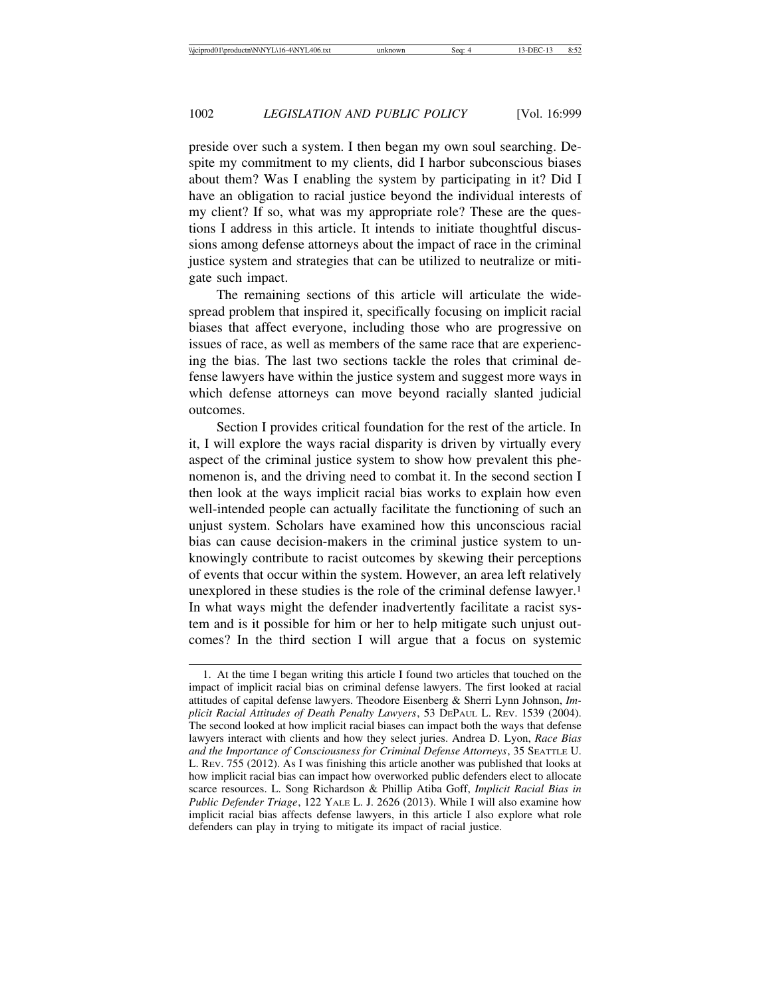preside over such a system. I then began my own soul searching. Despite my commitment to my clients, did I harbor subconscious biases about them? Was I enabling the system by participating in it? Did I have an obligation to racial justice beyond the individual interests of my client? If so, what was my appropriate role? These are the questions I address in this article. It intends to initiate thoughtful discussions among defense attorneys about the impact of race in the criminal justice system and strategies that can be utilized to neutralize or mitigate such impact.

The remaining sections of this article will articulate the widespread problem that inspired it, specifically focusing on implicit racial biases that affect everyone, including those who are progressive on issues of race, as well as members of the same race that are experiencing the bias. The last two sections tackle the roles that criminal defense lawyers have within the justice system and suggest more ways in which defense attorneys can move beyond racially slanted judicial outcomes.

Section I provides critical foundation for the rest of the article. In it, I will explore the ways racial disparity is driven by virtually every aspect of the criminal justice system to show how prevalent this phenomenon is, and the driving need to combat it. In the second section I then look at the ways implicit racial bias works to explain how even well-intended people can actually facilitate the functioning of such an unjust system. Scholars have examined how this unconscious racial bias can cause decision-makers in the criminal justice system to unknowingly contribute to racist outcomes by skewing their perceptions of events that occur within the system. However, an area left relatively unexplored in these studies is the role of the criminal defense lawyer.<sup>1</sup> In what ways might the defender inadvertently facilitate a racist system and is it possible for him or her to help mitigate such unjust outcomes? In the third section I will argue that a focus on systemic

<sup>1.</sup> At the time I began writing this article I found two articles that touched on the impact of implicit racial bias on criminal defense lawyers. The first looked at racial attitudes of capital defense lawyers. Theodore Eisenberg & Sherri Lynn Johnson, *Implicit Racial Attitudes of Death Penalty Lawyers*, 53 DEPAUL L. REV. 1539 (2004). The second looked at how implicit racial biases can impact both the ways that defense lawyers interact with clients and how they select juries. Andrea D. Lyon, *Race Bias and the Importance of Consciousness for Criminal Defense Attorneys*, 35 SEATTLE U. L. REV. 755 (2012). As I was finishing this article another was published that looks at how implicit racial bias can impact how overworked public defenders elect to allocate scarce resources. L. Song Richardson & Phillip Atiba Goff, *Implicit Racial Bias in Public Defender Triage*, 122 YALE L. J. 2626 (2013). While I will also examine how implicit racial bias affects defense lawyers, in this article I also explore what role defenders can play in trying to mitigate its impact of racial justice.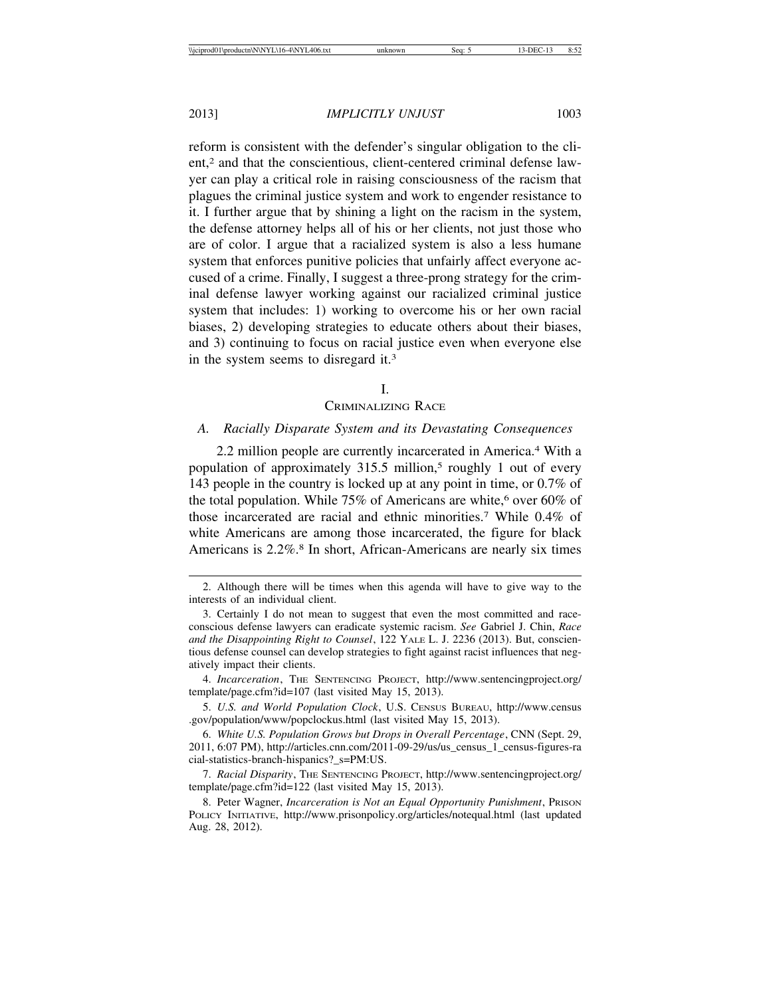reform is consistent with the defender's singular obligation to the client,2 and that the conscientious, client-centered criminal defense lawyer can play a critical role in raising consciousness of the racism that plagues the criminal justice system and work to engender resistance to it. I further argue that by shining a light on the racism in the system, the defense attorney helps all of his or her clients, not just those who are of color. I argue that a racialized system is also a less humane system that enforces punitive policies that unfairly affect everyone accused of a crime. Finally, I suggest a three-prong strategy for the criminal defense lawyer working against our racialized criminal justice system that includes: 1) working to overcome his or her own racial biases, 2) developing strategies to educate others about their biases, and 3) continuing to focus on racial justice even when everyone else in the system seems to disregard it.3

#### I.

#### CRIMINALIZING RACE

## *A. Racially Disparate System and its Devastating Consequences*

2.2 million people are currently incarcerated in America.4 With a population of approximately 315.5 million,<sup>5</sup> roughly 1 out of every 143 people in the country is locked up at any point in time, or 0.7% of the total population. While  $75\%$  of Americans are white,<sup>6</sup> over 60% of those incarcerated are racial and ethnic minorities.7 While 0.4% of white Americans are among those incarcerated, the figure for black Americans is 2.2%.8 In short, African-Americans are nearly six times

5. *U.S. and World Population Clock*, U.S. CENSUS BUREAU, http://www.census .gov/population/www/popclockus.html (last visited May 15, 2013).

6. *White U.S. Population Grows but Drops in Overall Percentage*, CNN (Sept. 29, 2011, 6:07 PM), http://articles.cnn.com/2011-09-29/us/us\_census\_1\_census-figures-ra cial-statistics-branch-hispanics?\_s=PM:US.

7. *Racial Disparity*, THE SENTENCING PROJECT, http://www.sentencingproject.org/ template/page.cfm?id=122 (last visited May 15, 2013).

8. Peter Wagner, *Incarceration is Not an Equal Opportunity Punishment*, PRISON POLICY INITIATIVE, http://www.prisonpolicy.org/articles/notequal.html (last updated Aug. 28, 2012).

<sup>2.</sup> Although there will be times when this agenda will have to give way to the interests of an individual client.

<sup>3.</sup> Certainly I do not mean to suggest that even the most committed and raceconscious defense lawyers can eradicate systemic racism. *See* Gabriel J. Chin, *Race and the Disappointing Right to Counsel*, 122 YALE L. J. 2236 (2013). But, conscientious defense counsel can develop strategies to fight against racist influences that negatively impact their clients.

<sup>4.</sup> *Incarceration*, THE SENTENCING PROJECT, http://www.sentencingproject.org/ template/page.cfm?id=107 (last visited May 15, 2013).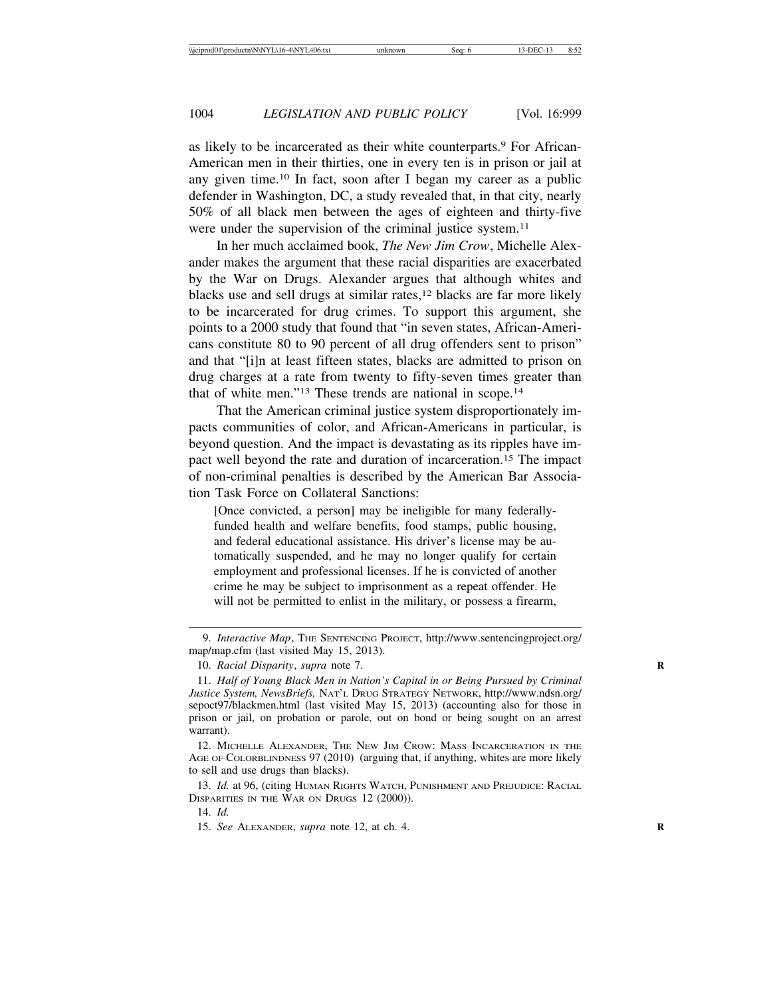as likely to be incarcerated as their white counterparts.9 For African-American men in their thirties, one in every ten is in prison or jail at any given time.10 In fact, soon after I began my career as a public defender in Washington, DC, a study revealed that, in that city, nearly 50% of all black men between the ages of eighteen and thirty-five were under the supervision of the criminal justice system.<sup>11</sup>

In her much acclaimed book, *The New Jim Crow*, Michelle Alexander makes the argument that these racial disparities are exacerbated by the War on Drugs. Alexander argues that although whites and blacks use and sell drugs at similar rates,<sup>12</sup> blacks are far more likely to be incarcerated for drug crimes. To support this argument, she points to a 2000 study that found that "in seven states, African-Americans constitute 80 to 90 percent of all drug offenders sent to prison" and that "[i]n at least fifteen states, blacks are admitted to prison on drug charges at a rate from twenty to fifty-seven times greater than that of white men."13 These trends are national in scope.14

That the American criminal justice system disproportionately impacts communities of color, and African-Americans in particular, is beyond question. And the impact is devastating as its ripples have impact well beyond the rate and duration of incarceration.15 The impact of non-criminal penalties is described by the American Bar Association Task Force on Collateral Sanctions:

[Once convicted, a person] may be ineligible for many federallyfunded health and welfare benefits, food stamps, public housing, and federal educational assistance. His driver's license may be automatically suspended, and he may no longer qualify for certain employment and professional licenses. If he is convicted of another crime he may be subject to imprisonment as a repeat offender. He will not be permitted to enlist in the military, or possess a firearm,

<sup>9.</sup> *Interactive Map*, THE SENTENCING PROJECT, http://www.sentencingproject.org/ map/map.cfm (last visited May 15, 2013).

<sup>10.</sup> *Racial Disparity*, *supra* note 7.

<sup>11.</sup> *Half of Young Black Men in Nation's Capital in or Being Pursued by Criminal Justice System, NewsBriefs,* NAT'L DRUG STRATEGY NETWORK, http://www.ndsn.org/ sepoct97/blackmen.html (last visited May 15, 2013) (accounting also for those in prison or jail, on probation or parole, out on bond or being sought on an arrest warrant).

<sup>12.</sup> MICHELLE ALEXANDER, THE NEW JIM CROW: MASS INCARCERATION IN THE AGE OF COLORBLINDNESS 97 (2010) (arguing that, if anything, whites are more likely to sell and use drugs than blacks).

<sup>13.</sup> *Id.* at 96, (citing HUMAN RIGHTS WATCH, PUNISHMENT AND PREJUDICE: RACIAL DISPARITIES IN THE WAR ON DRUGS 12 (2000)).

<sup>14.</sup> *Id.*

<sup>15.</sup> *See* ALEXANDER, *supra* note 12, at ch. 4. **R**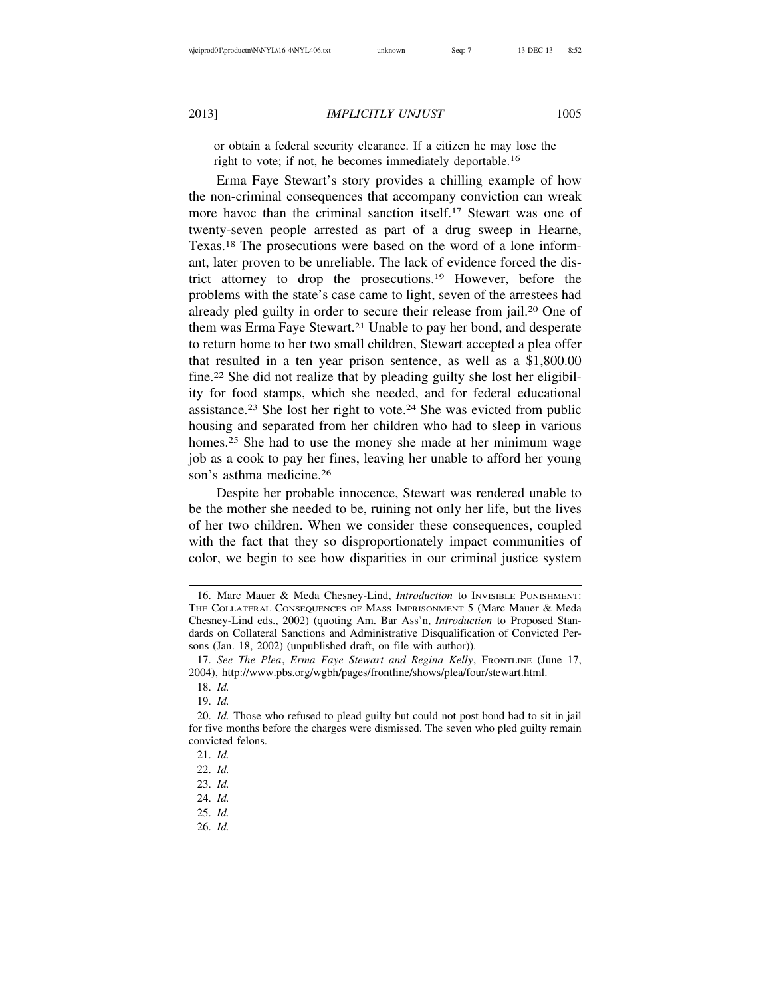or obtain a federal security clearance. If a citizen he may lose the right to vote; if not, he becomes immediately deportable.16

Erma Faye Stewart's story provides a chilling example of how the non-criminal consequences that accompany conviction can wreak more havoc than the criminal sanction itself.17 Stewart was one of twenty-seven people arrested as part of a drug sweep in Hearne, Texas.18 The prosecutions were based on the word of a lone informant, later proven to be unreliable. The lack of evidence forced the district attorney to drop the prosecutions.19 However, before the problems with the state's case came to light, seven of the arrestees had already pled guilty in order to secure their release from jail.20 One of them was Erma Faye Stewart.21 Unable to pay her bond, and desperate to return home to her two small children, Stewart accepted a plea offer that resulted in a ten year prison sentence, as well as a \$1,800.00 fine.22 She did not realize that by pleading guilty she lost her eligibility for food stamps, which she needed, and for federal educational assistance.23 She lost her right to vote.24 She was evicted from public housing and separated from her children who had to sleep in various homes.<sup>25</sup> She had to use the money she made at her minimum wage job as a cook to pay her fines, leaving her unable to afford her young son's asthma medicine.<sup>26</sup>

Despite her probable innocence, Stewart was rendered unable to be the mother she needed to be, ruining not only her life, but the lives of her two children. When we consider these consequences, coupled with the fact that they so disproportionately impact communities of color, we begin to see how disparities in our criminal justice system

19. *Id.*

23. *Id.*

- 24. *Id.*
- 25. *Id.*
- 26. *Id.*

<sup>16.</sup> Marc Mauer & Meda Chesney-Lind, *Introduction* to INVISIBLE PUNISHMENT: THE COLLATERAL CONSEQUENCES OF MASS IMPRISONMENT 5 (Marc Mauer & Meda Chesney-Lind eds., 2002) (quoting Am. Bar Ass'n, *Introduction* to Proposed Standards on Collateral Sanctions and Administrative Disqualification of Convicted Persons (Jan. 18, 2002) (unpublished draft, on file with author)).

<sup>17.</sup> *See The Plea*, *Erma Faye Stewart and Regina Kelly*, FRONTLINE (June 17, 2004), http://www.pbs.org/wgbh/pages/frontline/shows/plea/four/stewart.html.

<sup>18.</sup> *Id.*

<sup>20.</sup> *Id.* Those who refused to plead guilty but could not post bond had to sit in jail for five months before the charges were dismissed. The seven who pled guilty remain convicted felons.

<sup>21.</sup> *Id.*

<sup>22.</sup> *Id.*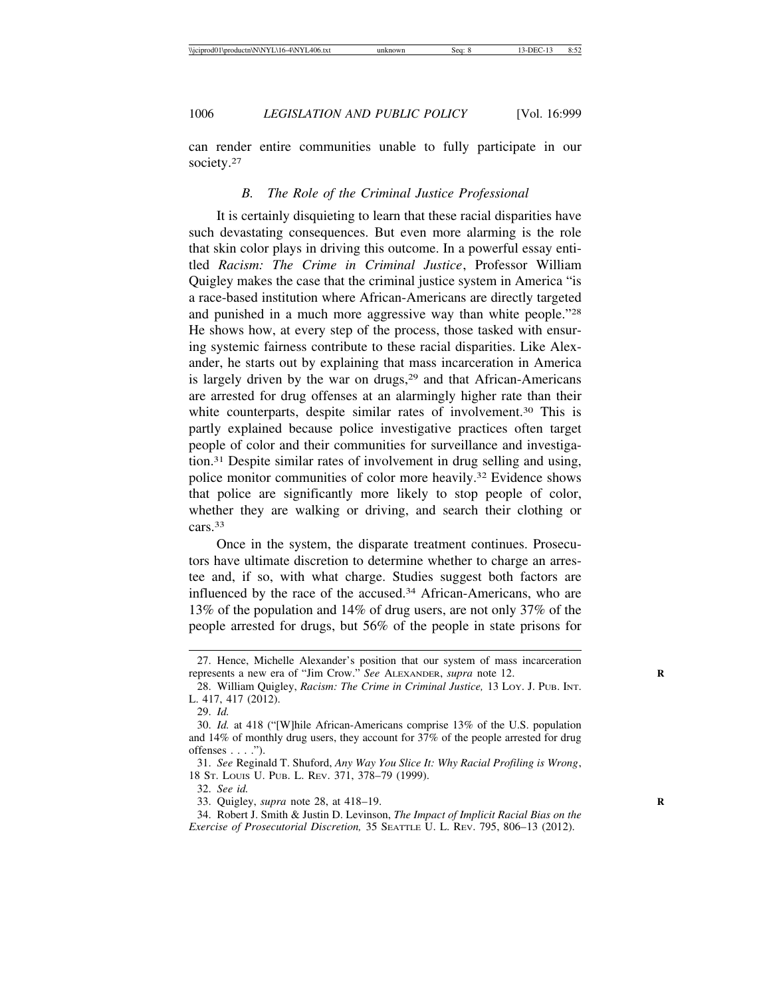can render entire communities unable to fully participate in our society.<sup>27</sup>

#### *B. The Role of the Criminal Justice Professional*

It is certainly disquieting to learn that these racial disparities have such devastating consequences. But even more alarming is the role that skin color plays in driving this outcome. In a powerful essay entitled *Racism: The Crime in Criminal Justice*, Professor William Quigley makes the case that the criminal justice system in America "is a race-based institution where African-Americans are directly targeted and punished in a much more aggressive way than white people."28 He shows how, at every step of the process, those tasked with ensuring systemic fairness contribute to these racial disparities. Like Alexander, he starts out by explaining that mass incarceration in America is largely driven by the war on drugs, $29$  and that African-Americans are arrested for drug offenses at an alarmingly higher rate than their white counterparts, despite similar rates of involvement.<sup>30</sup> This is partly explained because police investigative practices often target people of color and their communities for surveillance and investigation.31 Despite similar rates of involvement in drug selling and using, police monitor communities of color more heavily.32 Evidence shows that police are significantly more likely to stop people of color, whether they are walking or driving, and search their clothing or cars.33

Once in the system, the disparate treatment continues. Prosecutors have ultimate discretion to determine whether to charge an arrestee and, if so, with what charge. Studies suggest both factors are influenced by the race of the accused.34 African-Americans, who are 13% of the population and 14% of drug users, are not only 37% of the people arrested for drugs, but 56% of the people in state prisons for

<sup>27.</sup> Hence, Michelle Alexander's position that our system of mass incarceration represents a new era of "Jim Crow." *See* ALEXANDER, *supra* note 12. **R**

<sup>28.</sup> William Quigley, *Racism: The Crime in Criminal Justice,* 13 LOY. J. PUB. INT. L. 417, 417 (2012).

<sup>29.</sup> *Id.*

<sup>30.</sup> *Id.* at 418 ("[W]hile African-Americans comprise 13% of the U.S. population and 14% of monthly drug users, they account for 37% of the people arrested for drug offenses  $\dots$  .").

<sup>31.</sup> *See* Reginald T. Shuford, *Any Way You Slice It: Why Racial Profiling is Wrong*, 18 ST. LOUIS U. PUB. L. REV. 371, 378–79 (1999).

<sup>32.</sup> *See id.*

<sup>33.</sup> Quigley, *supra* note 28, at 418–19. **R**

<sup>34.</sup> Robert J. Smith & Justin D. Levinson, *The Impact of Implicit Racial Bias on the Exercise of Prosecutorial Discretion,* 35 SEATTLE U. L. REV. 795, 806–13 (2012).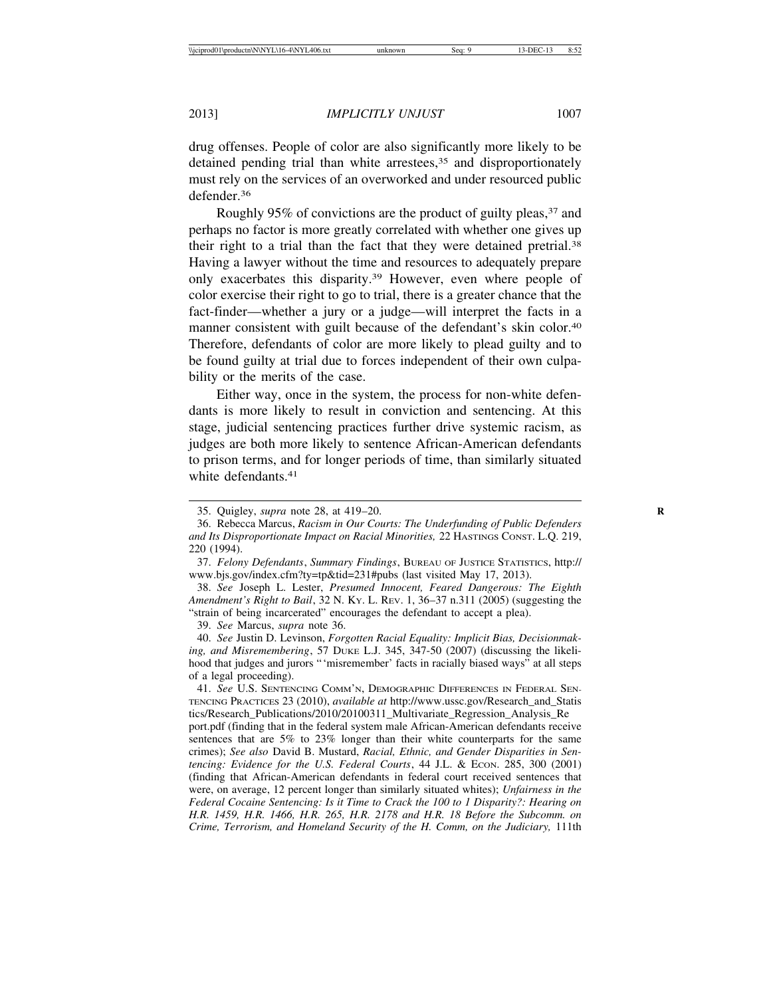drug offenses. People of color are also significantly more likely to be detained pending trial than white arrestees,<sup>35</sup> and disproportionately must rely on the services of an overworked and under resourced public defender.36

Roughly 95% of convictions are the product of guilty pleas,<sup>37</sup> and perhaps no factor is more greatly correlated with whether one gives up their right to a trial than the fact that they were detained pretrial.<sup>38</sup> Having a lawyer without the time and resources to adequately prepare only exacerbates this disparity.39 However, even where people of color exercise their right to go to trial, there is a greater chance that the fact-finder—whether a jury or a judge—will interpret the facts in a manner consistent with guilt because of the defendant's skin color.40 Therefore, defendants of color are more likely to plead guilty and to be found guilty at trial due to forces independent of their own culpability or the merits of the case.

Either way, once in the system, the process for non-white defendants is more likely to result in conviction and sentencing. At this stage, judicial sentencing practices further drive systemic racism, as judges are both more likely to sentence African-American defendants to prison terms, and for longer periods of time, than similarly situated white defendants<sup>41</sup>

39. *See* Marcus, *supra* note 36.

40. *See* Justin D. Levinson, *Forgotten Racial Equality: Implicit Bias, Decisionmaking, and Misremembering*, 57 DUKE L.J. 345, 347-50 (2007) (discussing the likelihood that judges and jurors "'misremember' facts in racially biased ways" at all steps of a legal proceeding).

port.pdf (finding that in the federal system male African-American defendants receive sentences that are 5% to 23% longer than their white counterparts for the same crimes); *See also* David B. Mustard, *Racial, Ethnic, and Gender Disparities in Sentencing: Evidence for the U.S. Federal Courts*, 44 J.L. & Econ. 285, 300 (2001) (finding that African-American defendants in federal court received sentences that were, on average, 12 percent longer than similarly situated whites); *Unfairness in the Federal Cocaine Sentencing: Is it Time to Crack the 100 to 1 Disparity?: Hearing on H.R. 1459, H.R. 1466, H.R. 265, H.R. 2178 and H.R. 18 Before the Subcomm. on Crime, Terrorism, and Homeland Security of the H. Comm, on the Judiciary,* 111th

<sup>35.</sup> Quigley, *supra* note 28, at 419–20. **R**

<sup>36.</sup> Rebecca Marcus, *Racism in Our Courts: The Underfunding of Public Defenders and Its Disproportionate Impact on Racial Minorities,* 22 HASTINGS CONST. L.Q. 219, 220 (1994).

<sup>37.</sup> *Felony Defendants*, *Summary Findings*, BUREAU OF JUSTICE STATISTICS, http:// www.bjs.gov/index.cfm?ty=tp&tid=231#pubs (last visited May 17, 2013).

<sup>38.</sup> *See* Joseph L. Lester, *Presumed Innocent, Feared Dangerous: The Eighth Amendment's Right to Bail*, 32 N. KY. L. REV. 1, 36–37 n.311 (2005) (suggesting the "strain of being incarcerated" encourages the defendant to accept a plea).

<sup>41.</sup> *See* U.S. SENTENCING COMM'N, DEMOGRAPHIC DIFFERENCES IN FEDERAL SEN-TENCING PRACTICES 23 (2010), *available at* http://www.ussc.gov/Research\_and\_Statis tics/Research\_Publications/2010/20100311\_Multivariate\_Regression\_Analysis\_Re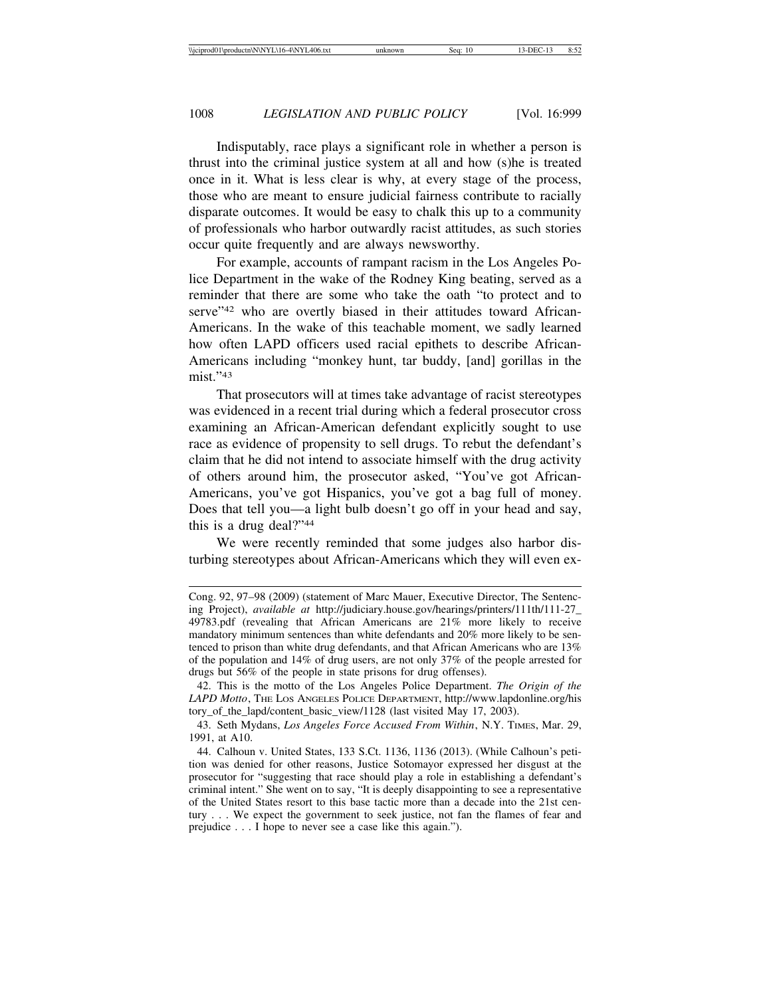Indisputably, race plays a significant role in whether a person is thrust into the criminal justice system at all and how (s)he is treated once in it. What is less clear is why, at every stage of the process, those who are meant to ensure judicial fairness contribute to racially disparate outcomes. It would be easy to chalk this up to a community of professionals who harbor outwardly racist attitudes, as such stories occur quite frequently and are always newsworthy.

For example, accounts of rampant racism in the Los Angeles Police Department in the wake of the Rodney King beating, served as a reminder that there are some who take the oath "to protect and to serve"<sup>42</sup> who are overtly biased in their attitudes toward African-Americans. In the wake of this teachable moment, we sadly learned how often LAPD officers used racial epithets to describe African-Americans including "monkey hunt, tar buddy, [and] gorillas in the mist."43

That prosecutors will at times take advantage of racist stereotypes was evidenced in a recent trial during which a federal prosecutor cross examining an African-American defendant explicitly sought to use race as evidence of propensity to sell drugs. To rebut the defendant's claim that he did not intend to associate himself with the drug activity of others around him, the prosecutor asked, "You've got African-Americans, you've got Hispanics, you've got a bag full of money. Does that tell you—a light bulb doesn't go off in your head and say, this is a drug deal?"44

We were recently reminded that some judges also harbor disturbing stereotypes about African-Americans which they will even ex-

Cong. 92, 97–98 (2009) (statement of Marc Mauer, Executive Director, The Sentencing Project), *available at* http://judiciary.house.gov/hearings/printers/111th/111-27\_ 49783.pdf (revealing that African Americans are 21% more likely to receive mandatory minimum sentences than white defendants and 20% more likely to be sentenced to prison than white drug defendants, and that African Americans who are 13% of the population and 14% of drug users, are not only 37% of the people arrested for drugs but 56% of the people in state prisons for drug offenses).

<sup>42.</sup> This is the motto of the Los Angeles Police Department. *The Origin of the LAPD Motto*, THE LOS ANGELES POLICE DEPARTMENT, http://www.lapdonline.org/his tory\_of\_the\_lapd/content\_basic\_view/1128 (last visited May 17, 2003).

<sup>43.</sup> Seth Mydans, *Los Angeles Force Accused From Within*, N.Y. TIMES, Mar. 29, 1991, at A10.

<sup>44.</sup> Calhoun v. United States, 133 S.Ct. 1136, 1136 (2013). (While Calhoun's petition was denied for other reasons, Justice Sotomayor expressed her disgust at the prosecutor for "suggesting that race should play a role in establishing a defendant's criminal intent." She went on to say, "It is deeply disappointing to see a representative of the United States resort to this base tactic more than a decade into the 21st century . . . We expect the government to seek justice, not fan the flames of fear and prejudice . . . I hope to never see a case like this again.").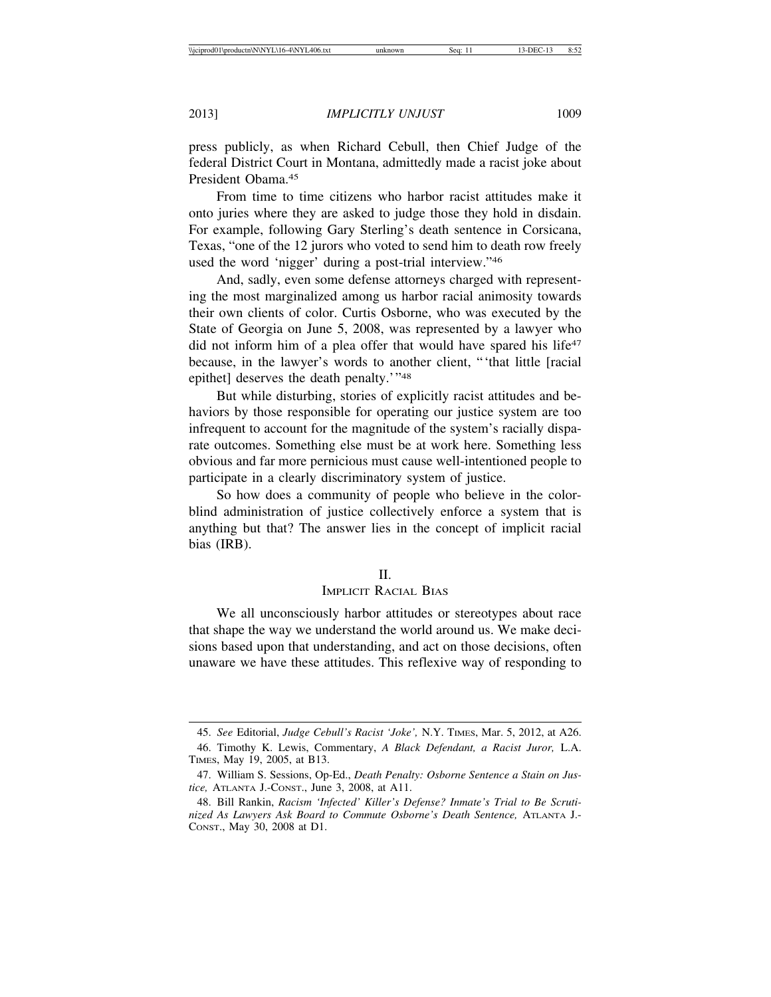press publicly, as when Richard Cebull, then Chief Judge of the federal District Court in Montana, admittedly made a racist joke about President Obama.45

From time to time citizens who harbor racist attitudes make it onto juries where they are asked to judge those they hold in disdain. For example, following Gary Sterling's death sentence in Corsicana, Texas, "one of the 12 jurors who voted to send him to death row freely used the word 'nigger' during a post-trial interview."46

And, sadly, even some defense attorneys charged with representing the most marginalized among us harbor racial animosity towards their own clients of color. Curtis Osborne, who was executed by the State of Georgia on June 5, 2008, was represented by a lawyer who did not inform him of a plea offer that would have spared his life $47$ because, in the lawyer's words to another client, "'that little [racial epithet] deserves the death penalty.'"48

But while disturbing, stories of explicitly racist attitudes and behaviors by those responsible for operating our justice system are too infrequent to account for the magnitude of the system's racially disparate outcomes. Something else must be at work here. Something less obvious and far more pernicious must cause well-intentioned people to participate in a clearly discriminatory system of justice.

So how does a community of people who believe in the colorblind administration of justice collectively enforce a system that is anything but that? The answer lies in the concept of implicit racial bias (IRB).

#### II.

## IMPLICIT RACIAL BIAS

We all unconsciously harbor attitudes or stereotypes about race that shape the way we understand the world around us. We make decisions based upon that understanding, and act on those decisions, often unaware we have these attitudes. This reflexive way of responding to

<sup>45.</sup> *See* Editorial, *Judge Cebull's Racist 'Joke',* N.Y. TIMES, Mar. 5, 2012, at A26.

<sup>46.</sup> Timothy K. Lewis, Commentary, *A Black Defendant, a Racist Juror,* L.A. TIMES, May 19, 2005, at B13.

<sup>47.</sup> William S. Sessions, Op-Ed., *Death Penalty: Osborne Sentence a Stain on Justice,* ATLANTA J.-CONST., June 3, 2008, at A11.

<sup>48.</sup> Bill Rankin, *Racism 'Infected' Killer's Defense? Inmate's Trial to Be Scrutinized As Lawyers Ask Board to Commute Osborne's Death Sentence,* ATLANTA J.- CONST., May 30, 2008 at D1.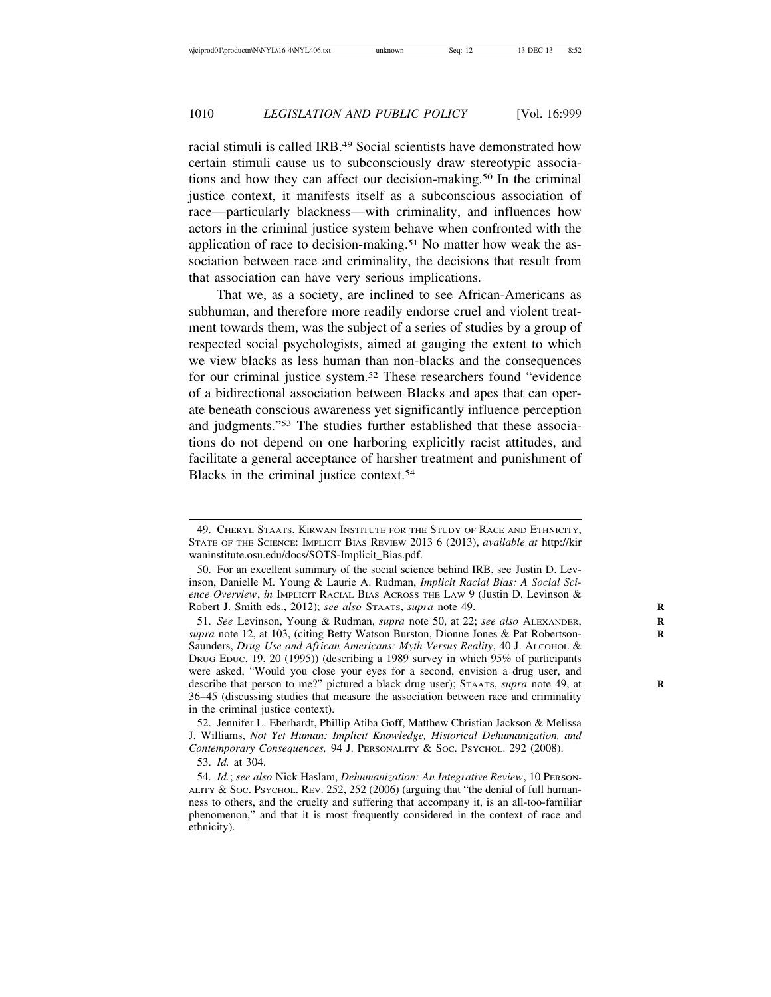racial stimuli is called IRB.49 Social scientists have demonstrated how certain stimuli cause us to subconsciously draw stereotypic associations and how they can affect our decision-making.50 In the criminal justice context, it manifests itself as a subconscious association of race—particularly blackness—with criminality, and influences how actors in the criminal justice system behave when confronted with the application of race to decision-making.51 No matter how weak the association between race and criminality, the decisions that result from that association can have very serious implications.

That we, as a society, are inclined to see African-Americans as subhuman, and therefore more readily endorse cruel and violent treatment towards them, was the subject of a series of studies by a group of respected social psychologists, aimed at gauging the extent to which we view blacks as less human than non-blacks and the consequences for our criminal justice system.52 These researchers found "evidence of a bidirectional association between Blacks and apes that can operate beneath conscious awareness yet significantly influence perception and judgments."53 The studies further established that these associations do not depend on one harboring explicitly racist attitudes, and facilitate a general acceptance of harsher treatment and punishment of Blacks in the criminal justice context.54

52. Jennifer L. Eberhardt, Phillip Atiba Goff, Matthew Christian Jackson & Melissa J. Williams, *Not Yet Human: Implicit Knowledge, Historical Dehumanization, and Contemporary Consequences,* 94 J. PERSONALITY & SOC. PSYCHOL. 292 (2008).

53. *Id.* at 304.

<sup>49.</sup> CHERYL STAATS, KIRWAN INSTITUTE FOR THE STUDY OF RACE AND ETHNICITY, STATE OF THE SCIENCE: IMPLICIT BIAS REVIEW 2013 6 (2013), *available at* http://kir waninstitute.osu.edu/docs/SOTS-Implicit\_Bias.pdf.

<sup>50.</sup> For an excellent summary of the social science behind IRB, see Justin D. Levinson, Danielle M. Young & Laurie A. Rudman, *Implicit Racial Bias: A Social Science Overview*, *in* IMPLICIT RACIAL BIAS ACROSS THE LAW 9 (Justin D. Levinson & Robert J. Smith eds., 2012); *see also* STAATS, *supra* note 49.

<sup>51.</sup> *See* Levinson, Young & Rudman, *supra* note 50, at 22; *see also* ALEXANDER, **R** *supra* note 12, at 103, (citing Betty Watson Burston, Dionne Jones & Pat Robertson-Saunders, *Drug Use and African Americans: Myth Versus Reality*, 40 J. ALCOHOL & DRUG EDUC. 19, 20 (1995)) (describing a 1989 survey in which 95% of participants were asked, "Would you close your eyes for a second, envision a drug user, and describe that person to me?" pictured a black drug user); STAATS, *supra* note 49, at 36–45 (discussing studies that measure the association between race and criminality in the criminal justice context).

<sup>54.</sup> *Id.*; *see also* Nick Haslam, *Dehumanization: An Integrative Review*, 10 PERSON-ALITY & SOC. PSYCHOL. REV. 252, 252 (2006) (arguing that "the denial of full humanness to others, and the cruelty and suffering that accompany it, is an all-too-familiar phenomenon," and that it is most frequently considered in the context of race and ethnicity).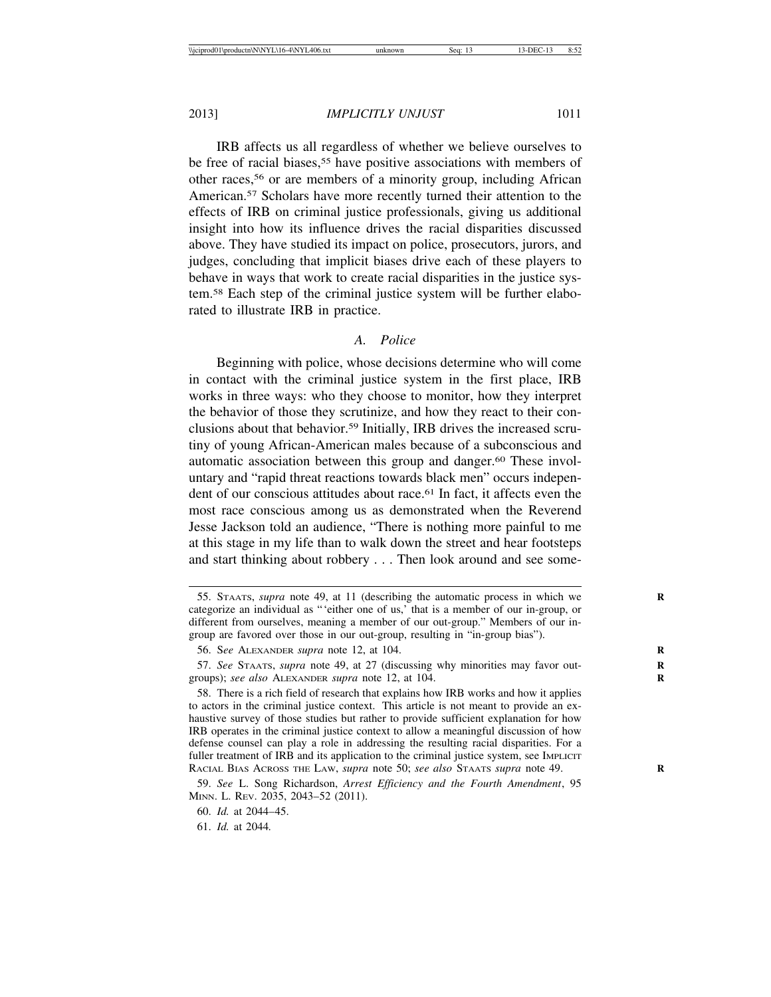2013] *IMPLICITLY UNJUST* 1011

IRB affects us all regardless of whether we believe ourselves to be free of racial biases,<sup>55</sup> have positive associations with members of other races,56 or are members of a minority group, including African American.<sup>57</sup> Scholars have more recently turned their attention to the effects of IRB on criminal justice professionals, giving us additional insight into how its influence drives the racial disparities discussed above. They have studied its impact on police, prosecutors, jurors, and judges, concluding that implicit biases drive each of these players to behave in ways that work to create racial disparities in the justice system.58 Each step of the criminal justice system will be further elaborated to illustrate IRB in practice.

#### *A. Police*

Beginning with police, whose decisions determine who will come in contact with the criminal justice system in the first place, IRB works in three ways: who they choose to monitor, how they interpret the behavior of those they scrutinize, and how they react to their conclusions about that behavior.59 Initially, IRB drives the increased scrutiny of young African-American males because of a subconscious and automatic association between this group and danger.<sup>60</sup> These involuntary and "rapid threat reactions towards black men" occurs independent of our conscious attitudes about race.61 In fact, it affects even the most race conscious among us as demonstrated when the Reverend Jesse Jackson told an audience, "There is nothing more painful to me at this stage in my life than to walk down the street and hear footsteps and start thinking about robbery . . . Then look around and see some-

<sup>55.</sup> STAATS, *supra* note 49, at 11 (describing the automatic process in which we **R** categorize an individual as "'either one of us,' that is a member of our in-group, or different from ourselves, meaning a member of our out-group." Members of our ingroup are favored over those in our out-group, resulting in "in-group bias").

<sup>56.</sup> S*ee* ALEXANDER *supra* note 12, at 104. **R**

<sup>57.</sup> *See* STAATS, *supra* note 49, at 27 (discussing why minorities may favor out- **R** groups); *see also* ALEXANDER *supra* note 12, at 104.

<sup>58.</sup> There is a rich field of research that explains how IRB works and how it applies to actors in the criminal justice context. This article is not meant to provide an exhaustive survey of those studies but rather to provide sufficient explanation for how IRB operates in the criminal justice context to allow a meaningful discussion of how defense counsel can play a role in addressing the resulting racial disparities. For a fuller treatment of IRB and its application to the criminal justice system, see IMPLICIT RACIAL BIAS ACROSS THE LAW, *supra* note 50; *see also* STAATS *supra* note 49. **R**

<sup>59.</sup> *See* L. Song Richardson, *Arrest Efficiency and the Fourth Amendment*, 95 MINN. L. REV. 2035, 2043–52 (2011).

<sup>60.</sup> *Id.* at 2044–45.

<sup>61.</sup> *Id.* at 2044*.*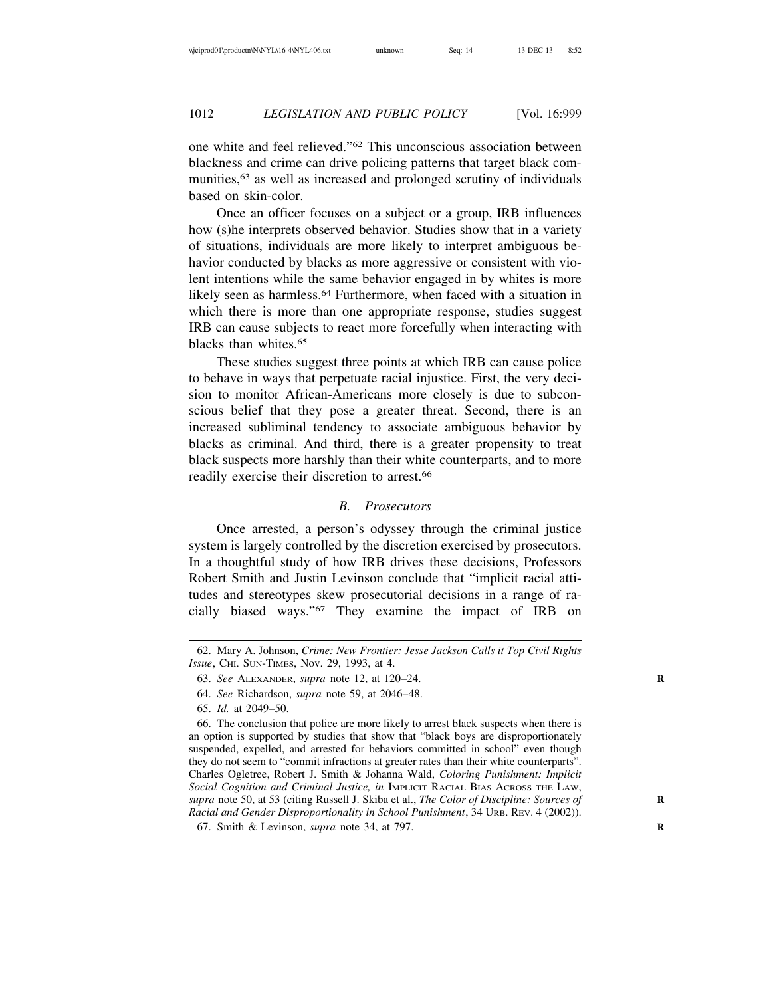one white and feel relieved."62 This unconscious association between blackness and crime can drive policing patterns that target black communities,<sup>63</sup> as well as increased and prolonged scrutiny of individuals based on skin-color.

Once an officer focuses on a subject or a group, IRB influences how (s)he interprets observed behavior. Studies show that in a variety of situations, individuals are more likely to interpret ambiguous behavior conducted by blacks as more aggressive or consistent with violent intentions while the same behavior engaged in by whites is more likely seen as harmless.64 Furthermore, when faced with a situation in which there is more than one appropriate response, studies suggest IRB can cause subjects to react more forcefully when interacting with blacks than whites 65

These studies suggest three points at which IRB can cause police to behave in ways that perpetuate racial injustice. First, the very decision to monitor African-Americans more closely is due to subconscious belief that they pose a greater threat. Second, there is an increased subliminal tendency to associate ambiguous behavior by blacks as criminal. And third, there is a greater propensity to treat black suspects more harshly than their white counterparts, and to more readily exercise their discretion to arrest.<sup>66</sup>

## *B. Prosecutors*

Once arrested, a person's odyssey through the criminal justice system is largely controlled by the discretion exercised by prosecutors. In a thoughtful study of how IRB drives these decisions, Professors Robert Smith and Justin Levinson conclude that "implicit racial attitudes and stereotypes skew prosecutorial decisions in a range of racially biased ways."67 They examine the impact of IRB on

<sup>62.</sup> Mary A. Johnson, *Crime: New Frontier: Jesse Jackson Calls it Top Civil Rights Issue*, CHI. SUN-TIMES, Nov. 29, 1993, at 4.

<sup>63.</sup> *See* ALEXANDER, *supra* note 12, at 120–24. **R**

<sup>64.</sup> *See* Richardson, *supra* note 59, at 2046–48.

<sup>65.</sup> *Id.* at 2049–50.

<sup>66.</sup> The conclusion that police are more likely to arrest black suspects when there is an option is supported by studies that show that "black boys are disproportionately suspended, expelled, and arrested for behaviors committed in school" even though they do not seem to "commit infractions at greater rates than their white counterparts". Charles Ogletree, Robert J. Smith & Johanna Wald, *Coloring Punishment: Implicit Social Cognition and Criminal Justice, in* IMPLICIT RACIAL BIAS ACROSS THE LAW, *supra* note 50, at 53 (citing Russell J. Skiba et al., *The Color of Discipline: Sources of* **R** *Racial and Gender Disproportionality in School Punishment*, 34 URB. REV. 4 (2002)).

<sup>67.</sup> Smith & Levinson, *supra* note 34, at 797. **R**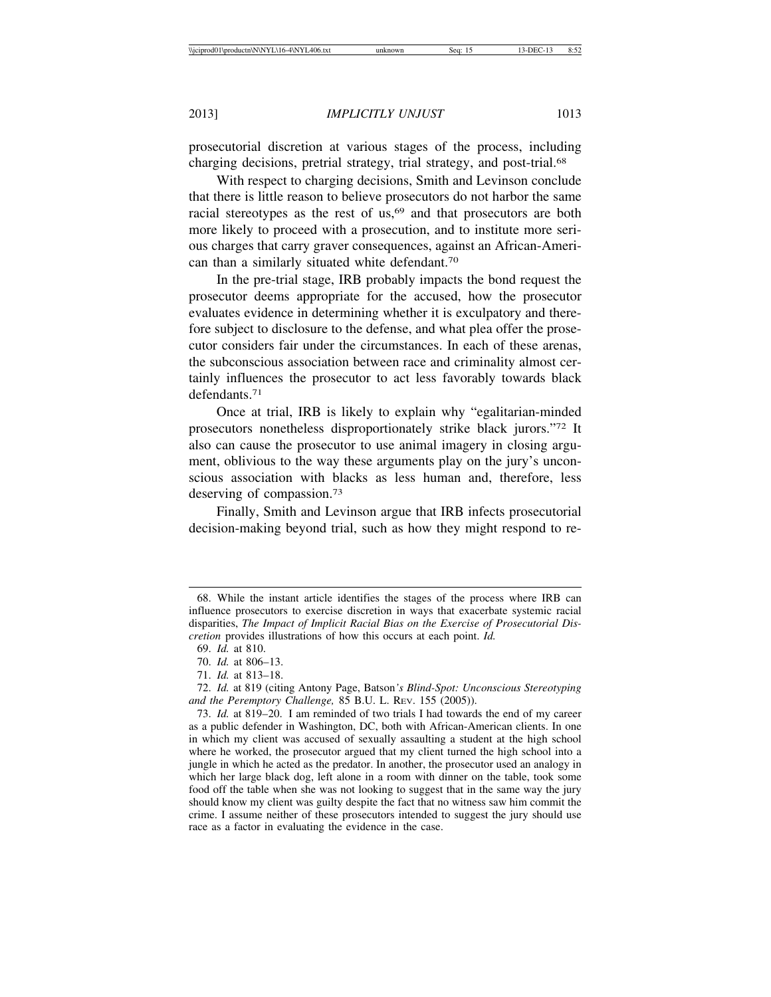prosecutorial discretion at various stages of the process, including charging decisions, pretrial strategy, trial strategy, and post-trial.68

With respect to charging decisions, Smith and Levinson conclude that there is little reason to believe prosecutors do not harbor the same racial stereotypes as the rest of us,<sup>69</sup> and that prosecutors are both more likely to proceed with a prosecution, and to institute more serious charges that carry graver consequences, against an African-American than a similarly situated white defendant.70

In the pre-trial stage, IRB probably impacts the bond request the prosecutor deems appropriate for the accused, how the prosecutor evaluates evidence in determining whether it is exculpatory and therefore subject to disclosure to the defense, and what plea offer the prosecutor considers fair under the circumstances. In each of these arenas, the subconscious association between race and criminality almost certainly influences the prosecutor to act less favorably towards black defendants.71

Once at trial, IRB is likely to explain why "egalitarian-minded prosecutors nonetheless disproportionately strike black jurors."72 It also can cause the prosecutor to use animal imagery in closing argument, oblivious to the way these arguments play on the jury's unconscious association with blacks as less human and, therefore, less deserving of compassion.73

Finally, Smith and Levinson argue that IRB infects prosecutorial decision-making beyond trial, such as how they might respond to re-

- 70. *Id.* at 806–13.
- 71. *Id.* at 813–18.

<sup>68.</sup> While the instant article identifies the stages of the process where IRB can influence prosecutors to exercise discretion in ways that exacerbate systemic racial disparities, *The Impact of Implicit Racial Bias on the Exercise of Prosecutorial Discretion* provides illustrations of how this occurs at each point. *Id.*

<sup>69.</sup> *Id.* at 810.

<sup>72.</sup> *Id.* at 819 (citing Antony Page, Batson*'s Blind-Spot: Unconscious Stereotyping and the Peremptory Challenge,* 85 B.U. L. REV. 155 (2005)).

<sup>73.</sup> *Id.* at 819–20. I am reminded of two trials I had towards the end of my career as a public defender in Washington, DC, both with African-American clients. In one in which my client was accused of sexually assaulting a student at the high school where he worked, the prosecutor argued that my client turned the high school into a jungle in which he acted as the predator. In another, the prosecutor used an analogy in which her large black dog, left alone in a room with dinner on the table, took some food off the table when she was not looking to suggest that in the same way the jury should know my client was guilty despite the fact that no witness saw him commit the crime. I assume neither of these prosecutors intended to suggest the jury should use race as a factor in evaluating the evidence in the case.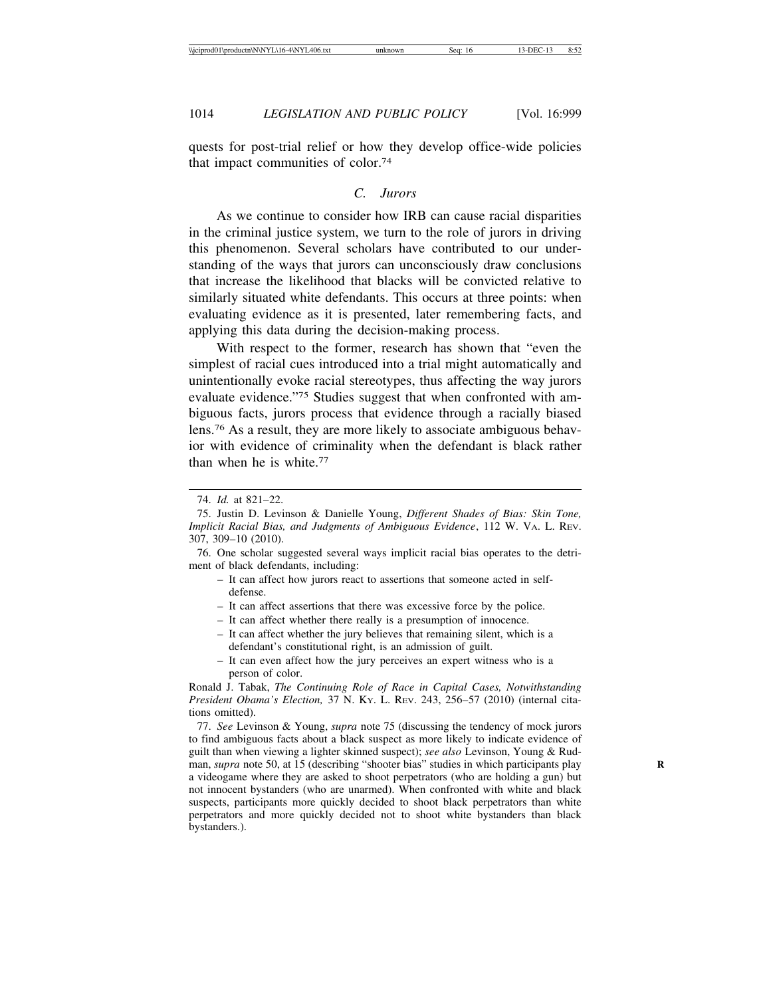quests for post-trial relief or how they develop office-wide policies that impact communities of color.74

# *C. Jurors*

As we continue to consider how IRB can cause racial disparities in the criminal justice system, we turn to the role of jurors in driving this phenomenon. Several scholars have contributed to our understanding of the ways that jurors can unconsciously draw conclusions that increase the likelihood that blacks will be convicted relative to similarly situated white defendants. This occurs at three points: when evaluating evidence as it is presented, later remembering facts, and applying this data during the decision-making process.

With respect to the former, research has shown that "even the simplest of racial cues introduced into a trial might automatically and unintentionally evoke racial stereotypes, thus affecting the way jurors evaluate evidence."75 Studies suggest that when confronted with ambiguous facts, jurors process that evidence through a racially biased lens.76 As a result, they are more likely to associate ambiguous behavior with evidence of criminality when the defendant is black rather than when he is white.77

76. One scholar suggested several ways implicit racial bias operates to the detriment of black defendants, including:

- It can affect how jurors react to assertions that someone acted in selfdefense.
- It can affect assertions that there was excessive force by the police.
- It can affect whether there really is a presumption of innocence.
- It can affect whether the jury believes that remaining silent, which is a defendant's constitutional right, is an admission of guilt.
- It can even affect how the jury perceives an expert witness who is a person of color.

Ronald J. Tabak, *The Continuing Role of Race in Capital Cases, Notwithstanding President Obama's Election,* 37 N. KY. L. REV. 243, 256–57 (2010) (internal citations omitted).

77. *See* Levinson & Young, *supra* note 75 (discussing the tendency of mock jurors to find ambiguous facts about a black suspect as more likely to indicate evidence of guilt than when viewing a lighter skinned suspect); *see also* Levinson, Young & Rudman, *supra* note 50, at 15 (describing "shooter bias" studies in which participants play a videogame where they are asked to shoot perpetrators (who are holding a gun) but not innocent bystanders (who are unarmed). When confronted with white and black suspects, participants more quickly decided to shoot black perpetrators than white perpetrators and more quickly decided not to shoot white bystanders than black bystanders.).

<sup>74.</sup> *Id.* at 821–22.

<sup>75.</sup> Justin D. Levinson & Danielle Young, *Different Shades of Bias: Skin Tone, Implicit Racial Bias, and Judgments of Ambiguous Evidence*, 112 W. VA. L. REV. 307, 309–10 (2010).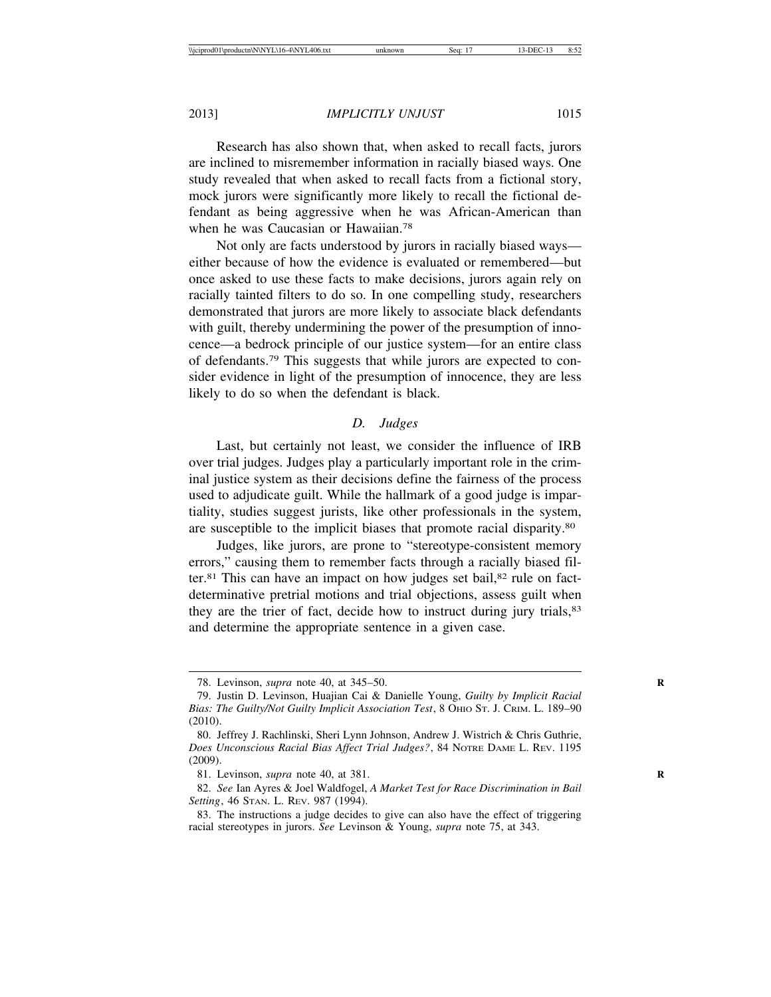Research has also shown that, when asked to recall facts, jurors are inclined to misremember information in racially biased ways. One study revealed that when asked to recall facts from a fictional story, mock jurors were significantly more likely to recall the fictional defendant as being aggressive when he was African-American than when he was Caucasian or Hawaiian.<sup>78</sup>

Not only are facts understood by jurors in racially biased ways either because of how the evidence is evaluated or remembered—but once asked to use these facts to make decisions, jurors again rely on racially tainted filters to do so. In one compelling study, researchers demonstrated that jurors are more likely to associate black defendants with guilt, thereby undermining the power of the presumption of innocence—a bedrock principle of our justice system—for an entire class of defendants.79 This suggests that while jurors are expected to consider evidence in light of the presumption of innocence, they are less likely to do so when the defendant is black.

## *D. Judges*

Last, but certainly not least, we consider the influence of IRB over trial judges. Judges play a particularly important role in the criminal justice system as their decisions define the fairness of the process used to adjudicate guilt. While the hallmark of a good judge is impartiality, studies suggest jurists, like other professionals in the system, are susceptible to the implicit biases that promote racial disparity.80

Judges, like jurors, are prone to "stereotype-consistent memory errors," causing them to remember facts through a racially biased filter.<sup>81</sup> This can have an impact on how judges set bail,<sup>82</sup> rule on factdeterminative pretrial motions and trial objections, assess guilt when they are the trier of fact, decide how to instruct during jury trials,<sup>83</sup> and determine the appropriate sentence in a given case.

<sup>78.</sup> Levinson, *supra* note 40, at 345–50. **R**

<sup>79.</sup> Justin D. Levinson, Huajian Cai & Danielle Young, *Guilty by Implicit Racial Bias: The Guilty/Not Guilty Implicit Association Test*, 8 OHIO ST. J. CRIM. L. 189–90 (2010).

<sup>80.</sup> Jeffrey J. Rachlinski, Sheri Lynn Johnson, Andrew J. Wistrich & Chris Guthrie, *Does Unconscious Racial Bias Affect Trial Judges?*, 84 NOTRE DAME L. REV. 1195 (2009).

<sup>81.</sup> Levinson, *supra* note 40, at 381. **R**

<sup>82.</sup> *See* Ian Ayres & Joel Waldfogel, *A Market Test for Race Discrimination in Bail Setting*, 46 STAN. L. REV. 987 (1994).

<sup>83.</sup> The instructions a judge decides to give can also have the effect of triggering racial stereotypes in jurors. *See* Levinson & Young, *supra* note 75, at 343.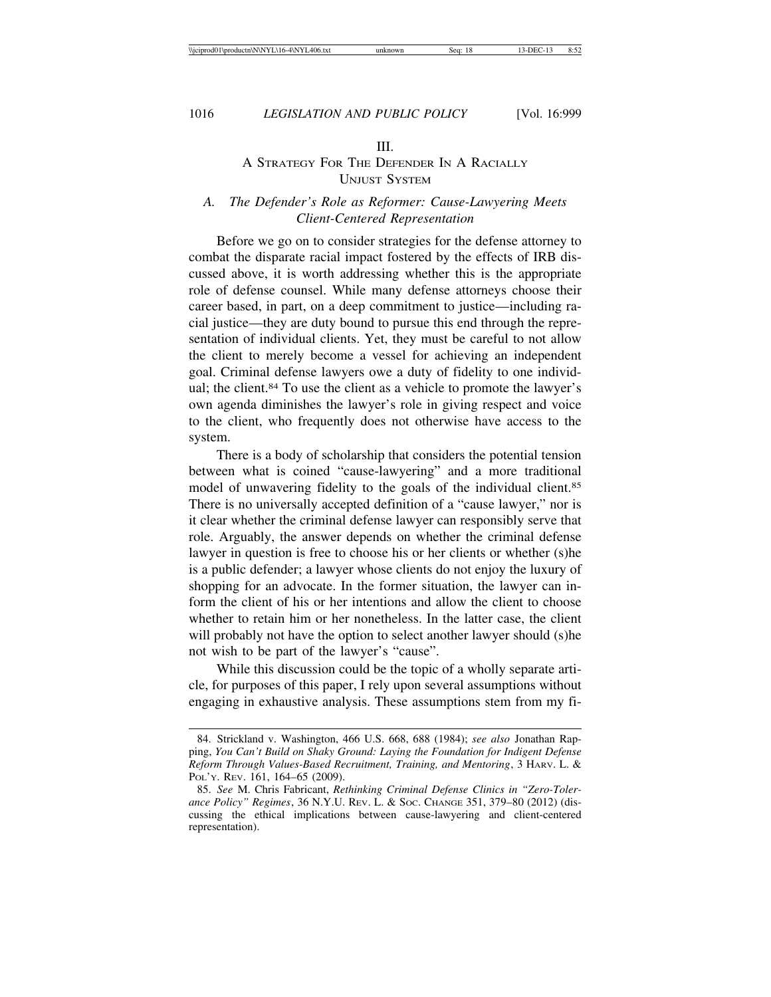#### III.

# A STRATEGY FOR THE DEFENDER IN A RACIALLY UNJUST SYSTEM

# *A. The Defender's Role as Reformer: Cause-Lawyering Meets Client-Centered Representation*

Before we go on to consider strategies for the defense attorney to combat the disparate racial impact fostered by the effects of IRB discussed above, it is worth addressing whether this is the appropriate role of defense counsel. While many defense attorneys choose their career based, in part, on a deep commitment to justice—including racial justice—they are duty bound to pursue this end through the representation of individual clients. Yet, they must be careful to not allow the client to merely become a vessel for achieving an independent goal. Criminal defense lawyers owe a duty of fidelity to one individual; the client.84 To use the client as a vehicle to promote the lawyer's own agenda diminishes the lawyer's role in giving respect and voice to the client, who frequently does not otherwise have access to the system.

There is a body of scholarship that considers the potential tension between what is coined "cause-lawyering" and a more traditional model of unwavering fidelity to the goals of the individual client.<sup>85</sup> There is no universally accepted definition of a "cause lawyer," nor is it clear whether the criminal defense lawyer can responsibly serve that role. Arguably, the answer depends on whether the criminal defense lawyer in question is free to choose his or her clients or whether (s)he is a public defender; a lawyer whose clients do not enjoy the luxury of shopping for an advocate. In the former situation, the lawyer can inform the client of his or her intentions and allow the client to choose whether to retain him or her nonetheless. In the latter case, the client will probably not have the option to select another lawyer should (s)he not wish to be part of the lawyer's "cause".

While this discussion could be the topic of a wholly separate article, for purposes of this paper, I rely upon several assumptions without engaging in exhaustive analysis. These assumptions stem from my fi-

<sup>84.</sup> Strickland v. Washington, 466 U.S. 668, 688 (1984); *see also* Jonathan Rapping, *You Can't Build on Shaky Ground: Laying the Foundation for Indigent Defense Reform Through Values-Based Recruitment, Training, and Mentoring*, 3 HARV. L. & POL'Y. REV. 161, 164–65 (2009).

<sup>85.</sup> *See* M. Chris Fabricant, *Rethinking Criminal Defense Clinics in "Zero-Tolerance Policy" Regimes*, 36 N.Y.U. REV. L. & SOC. CHANGE 351, 379–80 (2012) (discussing the ethical implications between cause-lawyering and client-centered representation).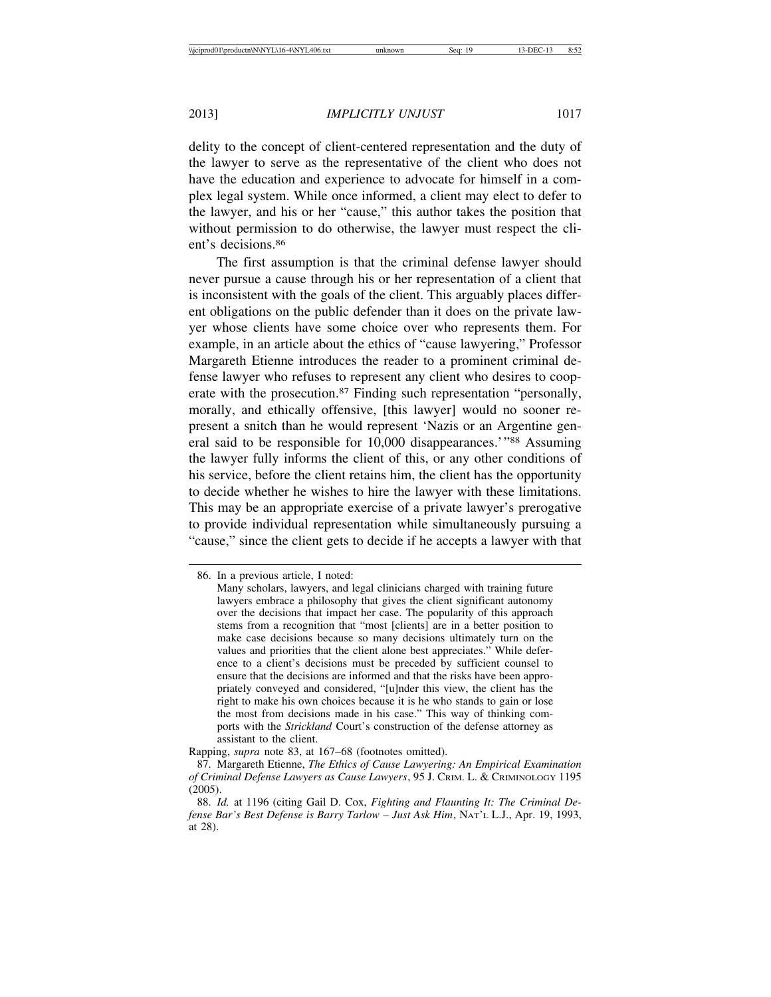delity to the concept of client-centered representation and the duty of the lawyer to serve as the representative of the client who does not have the education and experience to advocate for himself in a complex legal system. While once informed, a client may elect to defer to the lawyer, and his or her "cause," this author takes the position that without permission to do otherwise, the lawyer must respect the client's decisions.86

The first assumption is that the criminal defense lawyer should never pursue a cause through his or her representation of a client that is inconsistent with the goals of the client. This arguably places different obligations on the public defender than it does on the private lawyer whose clients have some choice over who represents them. For example, in an article about the ethics of "cause lawyering," Professor Margareth Etienne introduces the reader to a prominent criminal defense lawyer who refuses to represent any client who desires to cooperate with the prosecution.87 Finding such representation "personally, morally, and ethically offensive, [this lawyer] would no sooner represent a snitch than he would represent 'Nazis or an Argentine general said to be responsible for 10,000 disappearances.'"88 Assuming the lawyer fully informs the client of this, or any other conditions of his service, before the client retains him, the client has the opportunity to decide whether he wishes to hire the lawyer with these limitations. This may be an appropriate exercise of a private lawyer's prerogative to provide individual representation while simultaneously pursuing a "cause," since the client gets to decide if he accepts a lawyer with that

<sup>86.</sup> In a previous article, I noted:

Many scholars, lawyers, and legal clinicians charged with training future lawyers embrace a philosophy that gives the client significant autonomy over the decisions that impact her case. The popularity of this approach stems from a recognition that "most [clients] are in a better position to make case decisions because so many decisions ultimately turn on the values and priorities that the client alone best appreciates." While deference to a client's decisions must be preceded by sufficient counsel to ensure that the decisions are informed and that the risks have been appropriately conveyed and considered, "[u]nder this view, the client has the right to make his own choices because it is he who stands to gain or lose the most from decisions made in his case." This way of thinking comports with the *Strickland* Court's construction of the defense attorney as assistant to the client.

Rapping, *supra* note 83, at 167–68 (footnotes omitted).

<sup>87.</sup> Margareth Etienne, *The Ethics of Cause Lawyering: An Empirical Examination of Criminal Defense Lawyers as Cause Lawyers*, 95 J. CRIM. L. & CRIMINOLOGY 1195 (2005).

<sup>88.</sup> *Id.* at 1196 (citing Gail D. Cox, *Fighting and Flaunting It: The Criminal Defense Bar's Best Defense is Barry Tarlow – Just Ask Him*, NAT'L L.J., Apr. 19, 1993, at 28).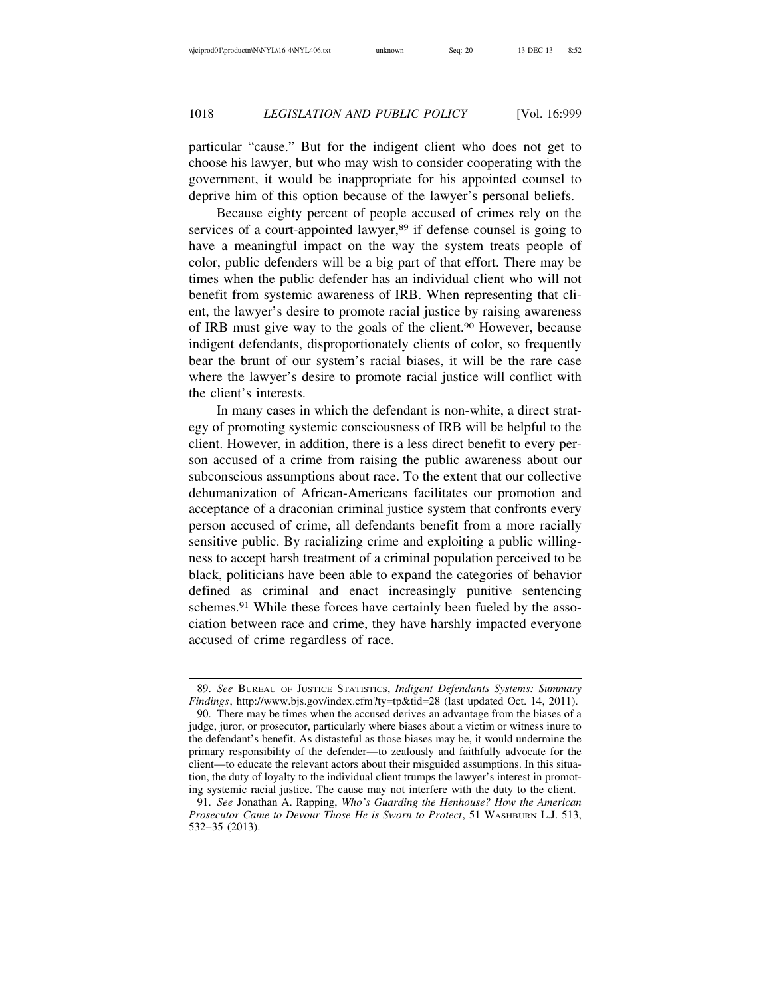particular "cause." But for the indigent client who does not get to choose his lawyer, but who may wish to consider cooperating with the government, it would be inappropriate for his appointed counsel to deprive him of this option because of the lawyer's personal beliefs.

Because eighty percent of people accused of crimes rely on the services of a court-appointed lawyer,<sup>89</sup> if defense counsel is going to have a meaningful impact on the way the system treats people of color, public defenders will be a big part of that effort. There may be times when the public defender has an individual client who will not benefit from systemic awareness of IRB. When representing that client, the lawyer's desire to promote racial justice by raising awareness of IRB must give way to the goals of the client.90 However, because indigent defendants, disproportionately clients of color, so frequently bear the brunt of our system's racial biases, it will be the rare case where the lawyer's desire to promote racial justice will conflict with the client's interests.

In many cases in which the defendant is non-white, a direct strategy of promoting systemic consciousness of IRB will be helpful to the client. However, in addition, there is a less direct benefit to every person accused of a crime from raising the public awareness about our subconscious assumptions about race. To the extent that our collective dehumanization of African-Americans facilitates our promotion and acceptance of a draconian criminal justice system that confronts every person accused of crime, all defendants benefit from a more racially sensitive public. By racializing crime and exploiting a public willingness to accept harsh treatment of a criminal population perceived to be black, politicians have been able to expand the categories of behavior defined as criminal and enact increasingly punitive sentencing schemes.<sup>91</sup> While these forces have certainly been fueled by the association between race and crime, they have harshly impacted everyone accused of crime regardless of race.

<sup>89.</sup> *See* BUREAU OF JUSTICE STATISTICS, *Indigent Defendants Systems: Summary Findings*, http://www.bjs.gov/index.cfm?ty=tp&tid=28 (last updated Oct. 14, 2011).

<sup>90.</sup> There may be times when the accused derives an advantage from the biases of a judge, juror, or prosecutor, particularly where biases about a victim or witness inure to the defendant's benefit. As distasteful as those biases may be, it would undermine the primary responsibility of the defender—to zealously and faithfully advocate for the client—to educate the relevant actors about their misguided assumptions. In this situation, the duty of loyalty to the individual client trumps the lawyer's interest in promoting systemic racial justice. The cause may not interfere with the duty to the client.

<sup>91.</sup> *See* Jonathan A. Rapping, *Who's Guarding the Henhouse? How the American Prosecutor Came to Devour Those He is Sworn to Protect*, 51 WASHBURN L.J. 513, 532–35 (2013).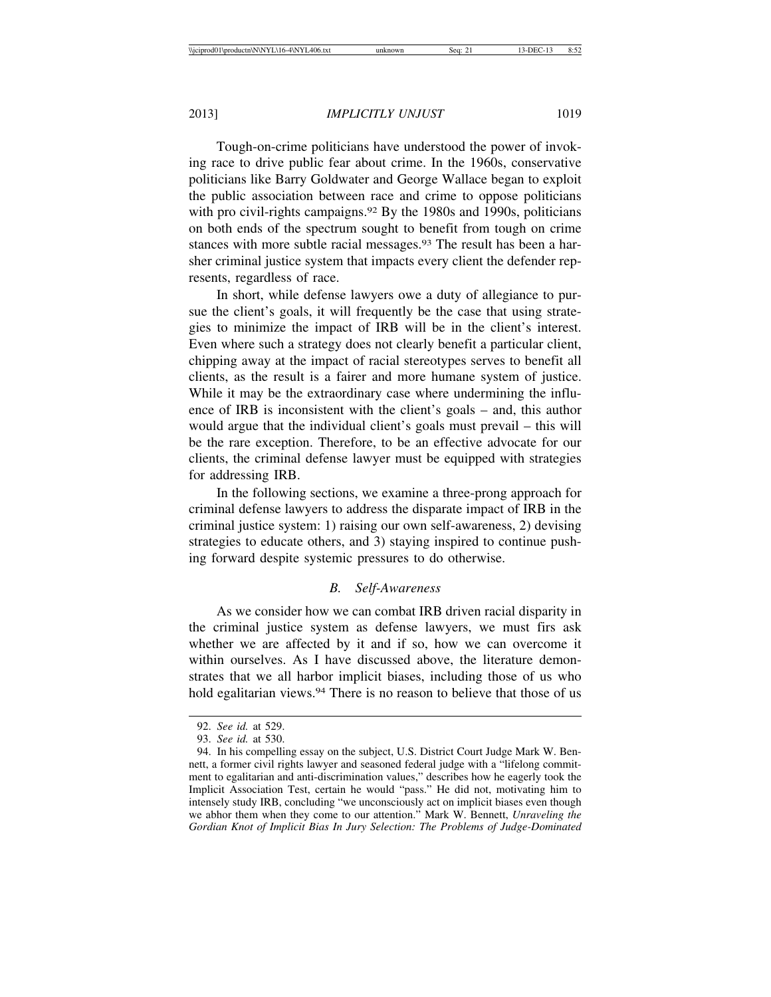Tough-on-crime politicians have understood the power of invoking race to drive public fear about crime. In the 1960s, conservative politicians like Barry Goldwater and George Wallace began to exploit the public association between race and crime to oppose politicians with pro civil-rights campaigns.<sup>92</sup> By the 1980s and 1990s, politicians on both ends of the spectrum sought to benefit from tough on crime stances with more subtle racial messages.93 The result has been a harsher criminal justice system that impacts every client the defender represents, regardless of race.

In short, while defense lawyers owe a duty of allegiance to pursue the client's goals, it will frequently be the case that using strategies to minimize the impact of IRB will be in the client's interest. Even where such a strategy does not clearly benefit a particular client, chipping away at the impact of racial stereotypes serves to benefit all clients, as the result is a fairer and more humane system of justice. While it may be the extraordinary case where undermining the influence of IRB is inconsistent with the client's goals – and, this author would argue that the individual client's goals must prevail – this will be the rare exception. Therefore, to be an effective advocate for our clients, the criminal defense lawyer must be equipped with strategies for addressing IRB.

In the following sections, we examine a three-prong approach for criminal defense lawyers to address the disparate impact of IRB in the criminal justice system: 1) raising our own self-awareness, 2) devising strategies to educate others, and 3) staying inspired to continue pushing forward despite systemic pressures to do otherwise.

# *B. Self-Awareness*

As we consider how we can combat IRB driven racial disparity in the criminal justice system as defense lawyers, we must firs ask whether we are affected by it and if so, how we can overcome it within ourselves. As I have discussed above, the literature demonstrates that we all harbor implicit biases, including those of us who hold egalitarian views.<sup>94</sup> There is no reason to believe that those of us

<sup>92.</sup> *See id.* at 529.

<sup>93.</sup> *See id.* at 530.

<sup>94.</sup> In his compelling essay on the subject, U.S. District Court Judge Mark W. Bennett, a former civil rights lawyer and seasoned federal judge with a "lifelong commitment to egalitarian and anti-discrimination values," describes how he eagerly took the Implicit Association Test, certain he would "pass." He did not, motivating him to intensely study IRB, concluding "we unconsciously act on implicit biases even though we abhor them when they come to our attention." Mark W. Bennett, *Unraveling the Gordian Knot of Implicit Bias In Jury Selection: The Problems of Judge-Dominated*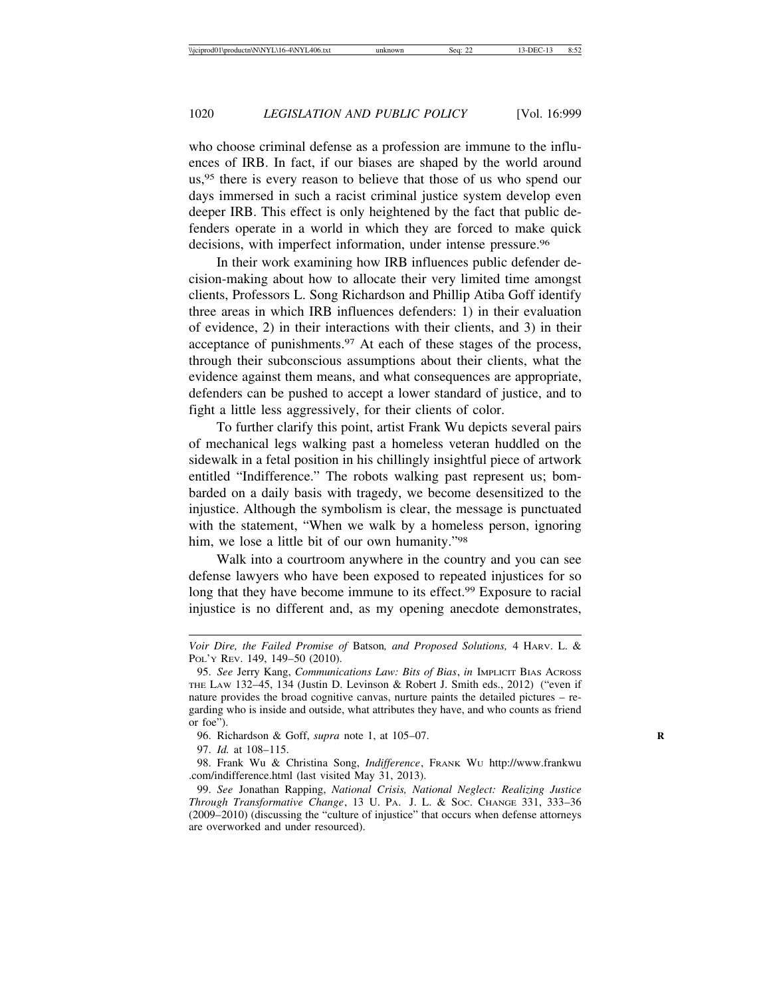who choose criminal defense as a profession are immune to the influences of IRB. In fact, if our biases are shaped by the world around us,95 there is every reason to believe that those of us who spend our days immersed in such a racist criminal justice system develop even deeper IRB. This effect is only heightened by the fact that public defenders operate in a world in which they are forced to make quick decisions, with imperfect information, under intense pressure.<sup>96</sup>

In their work examining how IRB influences public defender decision-making about how to allocate their very limited time amongst clients, Professors L. Song Richardson and Phillip Atiba Goff identify three areas in which IRB influences defenders: 1) in their evaluation of evidence, 2) in their interactions with their clients, and 3) in their acceptance of punishments.97 At each of these stages of the process, through their subconscious assumptions about their clients, what the evidence against them means, and what consequences are appropriate, defenders can be pushed to accept a lower standard of justice, and to fight a little less aggressively, for their clients of color.

To further clarify this point, artist Frank Wu depicts several pairs of mechanical legs walking past a homeless veteran huddled on the sidewalk in a fetal position in his chillingly insightful piece of artwork entitled "Indifference." The robots walking past represent us; bombarded on a daily basis with tragedy, we become desensitized to the injustice. Although the symbolism is clear, the message is punctuated with the statement, "When we walk by a homeless person, ignoring him, we lose a little bit of our own humanity."98

Walk into a courtroom anywhere in the country and you can see defense lawyers who have been exposed to repeated injustices for so long that they have become immune to its effect.<sup>99</sup> Exposure to racial injustice is no different and, as my opening anecdote demonstrates,

*Voir Dire, the Failed Promise of* Batson*, and Proposed Solutions,* 4 HARV. L. & POL'Y REV. 149, 149–50 (2010).

<sup>95.</sup> *See* Jerry Kang, *Communications Law: Bits of Bias*, *in* IMPLICIT BIAS ACROSS THE LAW 132–45, 134 (Justin D. Levinson & Robert J. Smith eds., 2012) ("even if nature provides the broad cognitive canvas, nurture paints the detailed pictures – regarding who is inside and outside, what attributes they have, and who counts as friend or foe").

<sup>96.</sup> Richardson & Goff, *supra* note 1, at 105–07. **R**

<sup>97.</sup> *Id.* at 108–115.

<sup>98.</sup> Frank Wu & Christina Song, *Indifference*, FRANK WU http://www.frankwu .com/indifference.html (last visited May 31, 2013).

<sup>99.</sup> *See* Jonathan Rapping, *National Crisis, National Neglect: Realizing Justice Through Transformative Change*, 13 U. PA. J. L. & SOC. CHANGE 331, 333–36 (2009–2010) (discussing the "culture of injustice" that occurs when defense attorneys are overworked and under resourced).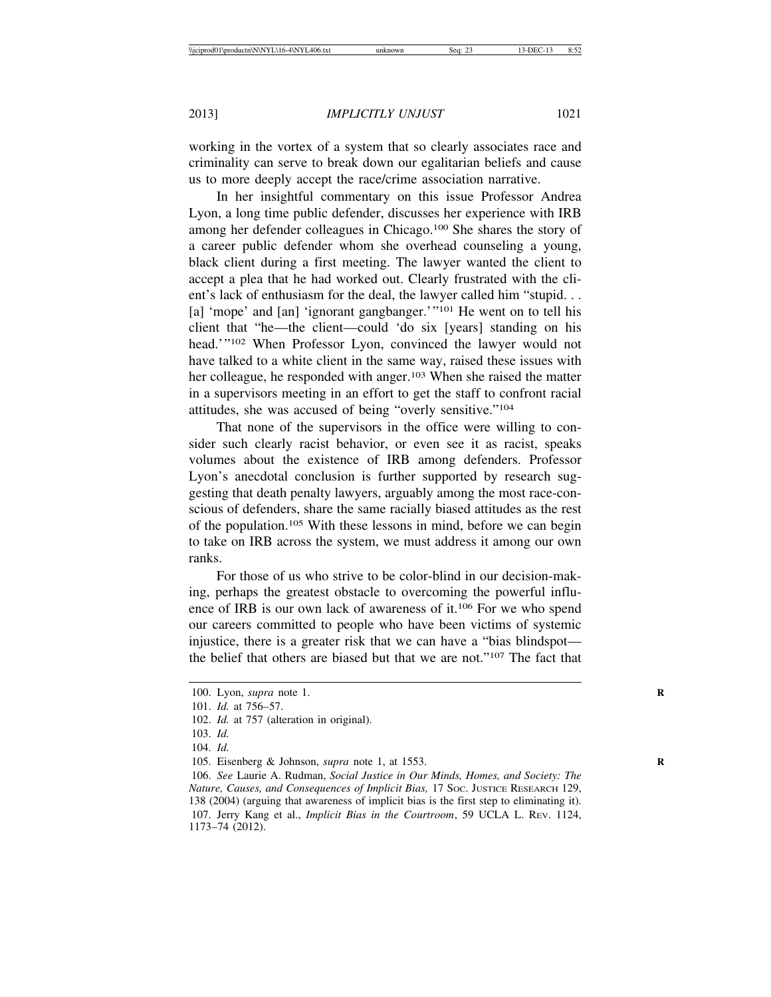working in the vortex of a system that so clearly associates race and criminality can serve to break down our egalitarian beliefs and cause us to more deeply accept the race/crime association narrative.

In her insightful commentary on this issue Professor Andrea Lyon, a long time public defender, discusses her experience with IRB among her defender colleagues in Chicago.100 She shares the story of a career public defender whom she overhead counseling a young, black client during a first meeting. The lawyer wanted the client to accept a plea that he had worked out. Clearly frustrated with the client's lack of enthusiasm for the deal, the lawyer called him "stupid. . . [a] 'mope' and [an] 'ignorant gangbanger.'"<sup>101</sup> He went on to tell his client that "he—the client—could 'do six [years] standing on his head.'"102 When Professor Lyon, convinced the lawyer would not have talked to a white client in the same way, raised these issues with her colleague, he responded with anger.<sup>103</sup> When she raised the matter in a supervisors meeting in an effort to get the staff to confront racial attitudes, she was accused of being "overly sensitive."104

That none of the supervisors in the office were willing to consider such clearly racist behavior, or even see it as racist, speaks volumes about the existence of IRB among defenders. Professor Lyon's anecdotal conclusion is further supported by research suggesting that death penalty lawyers, arguably among the most race-conscious of defenders, share the same racially biased attitudes as the rest of the population.105 With these lessons in mind, before we can begin to take on IRB across the system, we must address it among our own ranks.

For those of us who strive to be color-blind in our decision-making, perhaps the greatest obstacle to overcoming the powerful influence of IRB is our own lack of awareness of it.106 For we who spend our careers committed to people who have been victims of systemic injustice, there is a greater risk that we can have a "bias blindspot the belief that others are biased but that we are not."107 The fact that

<sup>100.</sup> Lyon, *supra* note 1. **R**

<sup>101.</sup> *Id.* at 756–57.

<sup>102.</sup> *Id.* at 757 (alteration in original).

<sup>103.</sup> *Id.*

<sup>104.</sup> *Id.*

<sup>105.</sup> Eisenberg & Johnson, *supra* note 1, at 1553. **R**

<sup>106.</sup> *See* Laurie A. Rudman, *Social Justice in Our Minds, Homes, and Society: The Nature, Causes, and Consequences of Implicit Bias,* 17 SOC. JUSTICE RESEARCH 129, 138 (2004) (arguing that awareness of implicit bias is the first step to eliminating it). 107. Jerry Kang et al., *Implicit Bias in the Courtroom*, 59 UCLA L. REV. 1124, 1173–74 (2012).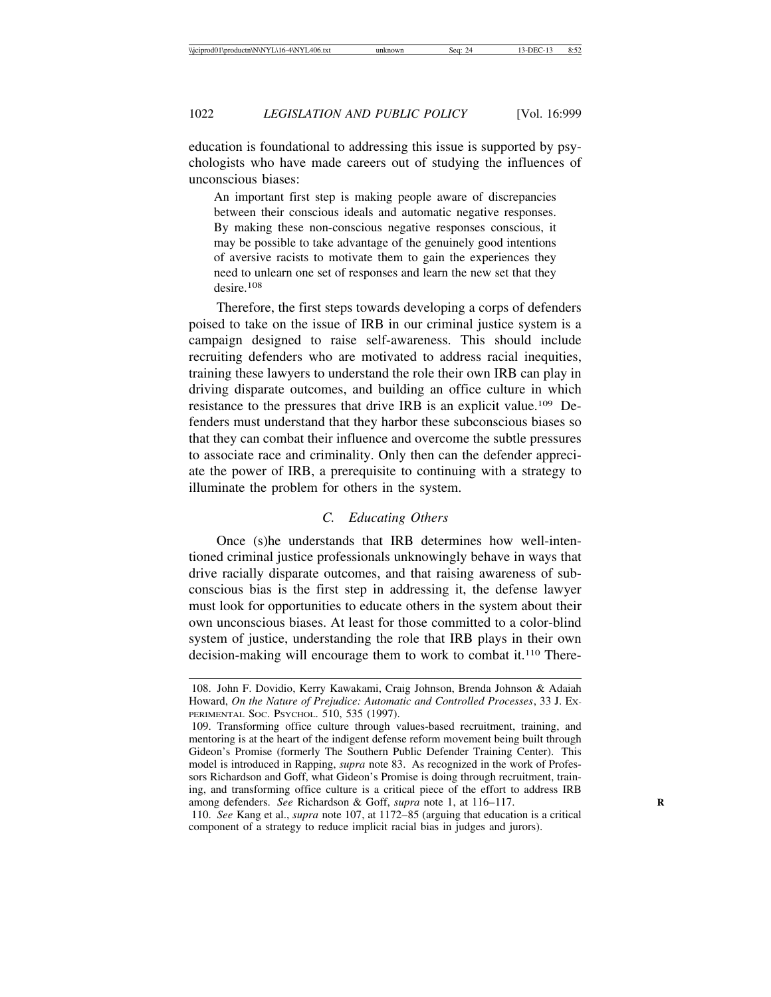education is foundational to addressing this issue is supported by psychologists who have made careers out of studying the influences of unconscious biases:

An important first step is making people aware of discrepancies between their conscious ideals and automatic negative responses. By making these non-conscious negative responses conscious, it may be possible to take advantage of the genuinely good intentions of aversive racists to motivate them to gain the experiences they need to unlearn one set of responses and learn the new set that they desire.<sup>108</sup>

Therefore, the first steps towards developing a corps of defenders poised to take on the issue of IRB in our criminal justice system is a campaign designed to raise self-awareness. This should include recruiting defenders who are motivated to address racial inequities, training these lawyers to understand the role their own IRB can play in driving disparate outcomes, and building an office culture in which resistance to the pressures that drive IRB is an explicit value.109 Defenders must understand that they harbor these subconscious biases so that they can combat their influence and overcome the subtle pressures to associate race and criminality. Only then can the defender appreciate the power of IRB, a prerequisite to continuing with a strategy to illuminate the problem for others in the system.

#### *C. Educating Others*

Once (s)he understands that IRB determines how well-intentioned criminal justice professionals unknowingly behave in ways that drive racially disparate outcomes, and that raising awareness of subconscious bias is the first step in addressing it, the defense lawyer must look for opportunities to educate others in the system about their own unconscious biases. At least for those committed to a color-blind system of justice, understanding the role that IRB plays in their own decision-making will encourage them to work to combat it.110 There-

<sup>108.</sup> John F. Dovidio, Kerry Kawakami, Craig Johnson, Brenda Johnson & Adaiah Howard, *On the Nature of Prejudice: Automatic and Controlled Processes*, 33 J. EX-PERIMENTAL SOC. PSYCHOL. 510, 535 (1997).

<sup>109.</sup> Transforming office culture through values-based recruitment, training, and mentoring is at the heart of the indigent defense reform movement being built through Gideon's Promise (formerly The Southern Public Defender Training Center). This model is introduced in Rapping, *supra* note 83. As recognized in the work of Professors Richardson and Goff, what Gideon's Promise is doing through recruitment, training, and transforming office culture is a critical piece of the effort to address IRB among defenders. *See* Richardson & Goff, *supra* note 1, at 116–117.

<sup>110.</sup> *See* Kang et al., *supra* note 107, at 1172–85 (arguing that education is a critical component of a strategy to reduce implicit racial bias in judges and jurors).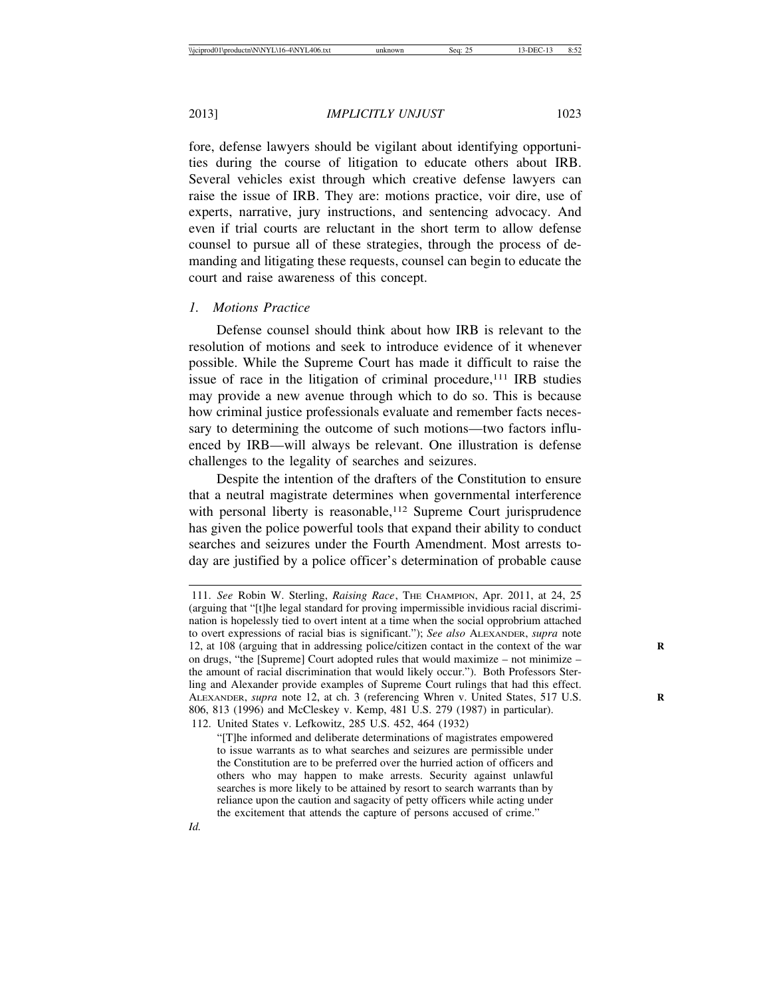fore, defense lawyers should be vigilant about identifying opportunities during the course of litigation to educate others about IRB. Several vehicles exist through which creative defense lawyers can raise the issue of IRB. They are: motions practice, voir dire, use of experts, narrative, jury instructions, and sentencing advocacy. And even if trial courts are reluctant in the short term to allow defense counsel to pursue all of these strategies, through the process of demanding and litigating these requests, counsel can begin to educate the court and raise awareness of this concept.

## *1. Motions Practice*

Defense counsel should think about how IRB is relevant to the resolution of motions and seek to introduce evidence of it whenever possible. While the Supreme Court has made it difficult to raise the issue of race in the litigation of criminal procedure, $111$  IRB studies may provide a new avenue through which to do so. This is because how criminal justice professionals evaluate and remember facts necessary to determining the outcome of such motions—two factors influenced by IRB—will always be relevant. One illustration is defense challenges to the legality of searches and seizures.

Despite the intention of the drafters of the Constitution to ensure that a neutral magistrate determines when governmental interference with personal liberty is reasonable,<sup>112</sup> Supreme Court jurisprudence has given the police powerful tools that expand their ability to conduct searches and seizures under the Fourth Amendment. Most arrests today are justified by a police officer's determination of probable cause

112. United States v. Lefkowitz, 285 U.S. 452, 464 (1932)

"[T]he informed and deliberate determinations of magistrates empowered to issue warrants as to what searches and seizures are permissible under the Constitution are to be preferred over the hurried action of officers and others who may happen to make arrests. Security against unlawful searches is more likely to be attained by resort to search warrants than by reliance upon the caution and sagacity of petty officers while acting under the excitement that attends the capture of persons accused of crime."

<sup>111.</sup> *See* Robin W. Sterling, *Raising Race*, THE CHAMPION, Apr. 2011, at 24, 25 (arguing that "[t]he legal standard for proving impermissible invidious racial discrimination is hopelessly tied to overt intent at a time when the social opprobrium attached to overt expressions of racial bias is significant."); *See also* ALEXANDER, *supra* note 12, at 108 (arguing that in addressing police/citizen contact in the context of the war **R** on drugs, "the [Supreme] Court adopted rules that would maximize – not minimize – the amount of racial discrimination that would likely occur."). Both Professors Sterling and Alexander provide examples of Supreme Court rulings that had this effect. ALEXANDER, *supra* note 12, at ch. 3 (referencing Whren v. United States, 517 U.S. **R** 806, 813 (1996) and McCleskey v. Kemp, 481 U.S. 279 (1987) in particular).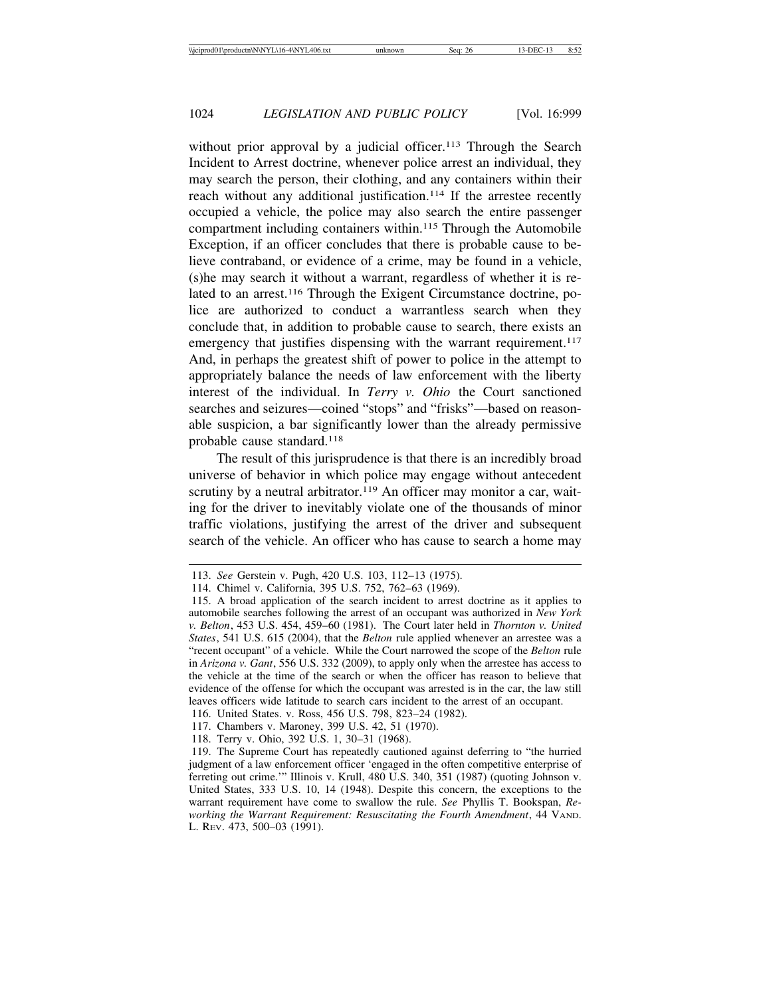without prior approval by a judicial officer.<sup>113</sup> Through the Search Incident to Arrest doctrine, whenever police arrest an individual, they may search the person, their clothing, and any containers within their reach without any additional justification.<sup>114</sup> If the arrestee recently occupied a vehicle, the police may also search the entire passenger compartment including containers within.115 Through the Automobile Exception, if an officer concludes that there is probable cause to believe contraband, or evidence of a crime, may be found in a vehicle, (s)he may search it without a warrant, regardless of whether it is related to an arrest.<sup>116</sup> Through the Exigent Circumstance doctrine, police are authorized to conduct a warrantless search when they conclude that, in addition to probable cause to search, there exists an emergency that justifies dispensing with the warrant requirement.<sup>117</sup> And, in perhaps the greatest shift of power to police in the attempt to appropriately balance the needs of law enforcement with the liberty interest of the individual. In *Terry v. Ohio* the Court sanctioned searches and seizures—coined "stops" and "frisks"—based on reasonable suspicion, a bar significantly lower than the already permissive probable cause standard.118

The result of this jurisprudence is that there is an incredibly broad universe of behavior in which police may engage without antecedent scrutiny by a neutral arbitrator.<sup>119</sup> An officer may monitor a car, waiting for the driver to inevitably violate one of the thousands of minor traffic violations, justifying the arrest of the driver and subsequent search of the vehicle. An officer who has cause to search a home may

<sup>113.</sup> *See* Gerstein v. Pugh, 420 U.S. 103, 112–13 (1975).

<sup>114.</sup> Chimel v. California, 395 U.S. 752, 762–63 (1969).

<sup>115.</sup> A broad application of the search incident to arrest doctrine as it applies to automobile searches following the arrest of an occupant was authorized in *New York v. Belton*, 453 U.S. 454, 459–60 (1981). The Court later held in *Thornton v. United States*, 541 U.S. 615 (2004), that the *Belton* rule applied whenever an arrestee was a "recent occupant" of a vehicle. While the Court narrowed the scope of the *Belton* rule in *Arizona v. Gant*, 556 U.S. 332 (2009), to apply only when the arrestee has access to the vehicle at the time of the search or when the officer has reason to believe that evidence of the offense for which the occupant was arrested is in the car, the law still leaves officers wide latitude to search cars incident to the arrest of an occupant.

<sup>116.</sup> United States. v. Ross, 456 U.S. 798, 823–24 (1982).

<sup>117.</sup> Chambers v. Maroney, 399 U.S. 42, 51 (1970).

<sup>118.</sup> Terry v. Ohio, 392 U.S. 1, 30–31 (1968).

<sup>119.</sup> The Supreme Court has repeatedly cautioned against deferring to "the hurried judgment of a law enforcement officer 'engaged in the often competitive enterprise of ferreting out crime.'" Illinois v. Krull, 480 U.S. 340, 351 (1987) (quoting Johnson v. United States, 333 U.S. 10, 14 (1948). Despite this concern, the exceptions to the warrant requirement have come to swallow the rule. *See* Phyllis T. Bookspan, *Reworking the Warrant Requirement: Resuscitating the Fourth Amendment*, 44 VAND. L. REV. 473, 500–03 (1991).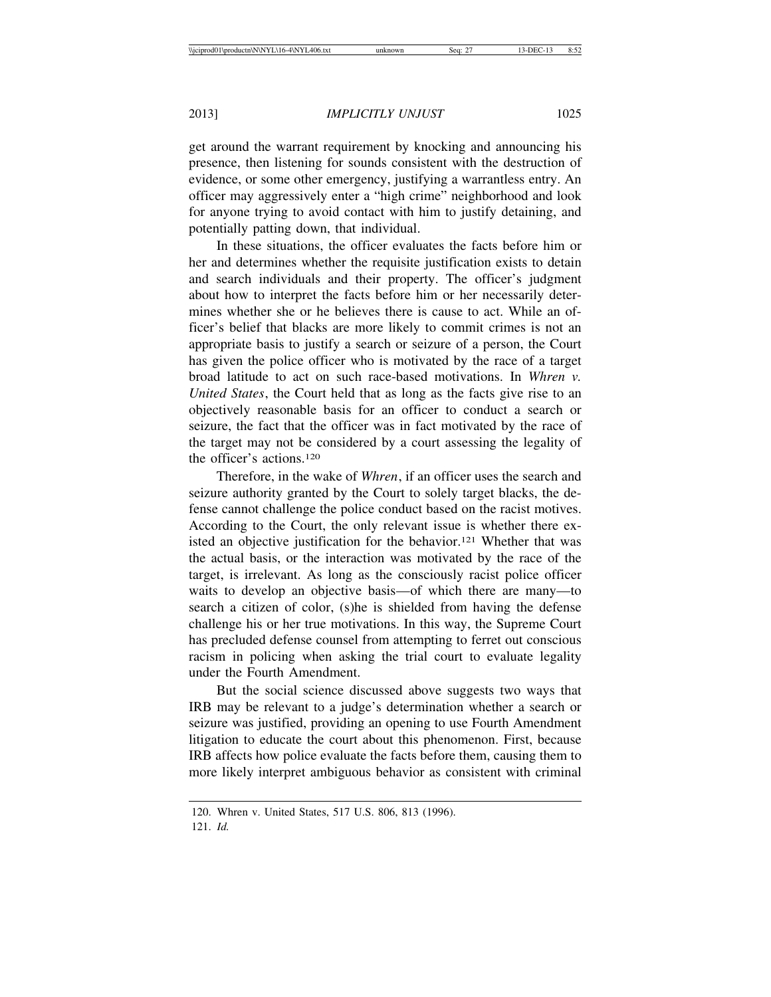get around the warrant requirement by knocking and announcing his presence, then listening for sounds consistent with the destruction of evidence, or some other emergency, justifying a warrantless entry. An officer may aggressively enter a "high crime" neighborhood and look for anyone trying to avoid contact with him to justify detaining, and potentially patting down, that individual.

In these situations, the officer evaluates the facts before him or her and determines whether the requisite justification exists to detain and search individuals and their property. The officer's judgment about how to interpret the facts before him or her necessarily determines whether she or he believes there is cause to act. While an officer's belief that blacks are more likely to commit crimes is not an appropriate basis to justify a search or seizure of a person, the Court has given the police officer who is motivated by the race of a target broad latitude to act on such race-based motivations. In *Whren v. United States*, the Court held that as long as the facts give rise to an objectively reasonable basis for an officer to conduct a search or seizure, the fact that the officer was in fact motivated by the race of the target may not be considered by a court assessing the legality of the officer's actions.120

Therefore, in the wake of *Whren*, if an officer uses the search and seizure authority granted by the Court to solely target blacks, the defense cannot challenge the police conduct based on the racist motives. According to the Court, the only relevant issue is whether there existed an objective justification for the behavior.<sup>121</sup> Whether that was the actual basis, or the interaction was motivated by the race of the target, is irrelevant. As long as the consciously racist police officer waits to develop an objective basis—of which there are many—to search a citizen of color, (s)he is shielded from having the defense challenge his or her true motivations. In this way, the Supreme Court has precluded defense counsel from attempting to ferret out conscious racism in policing when asking the trial court to evaluate legality under the Fourth Amendment.

But the social science discussed above suggests two ways that IRB may be relevant to a judge's determination whether a search or seizure was justified, providing an opening to use Fourth Amendment litigation to educate the court about this phenomenon. First, because IRB affects how police evaluate the facts before them, causing them to more likely interpret ambiguous behavior as consistent with criminal

<sup>120.</sup> Whren v. United States, 517 U.S. 806, 813 (1996).

<sup>121.</sup> *Id.*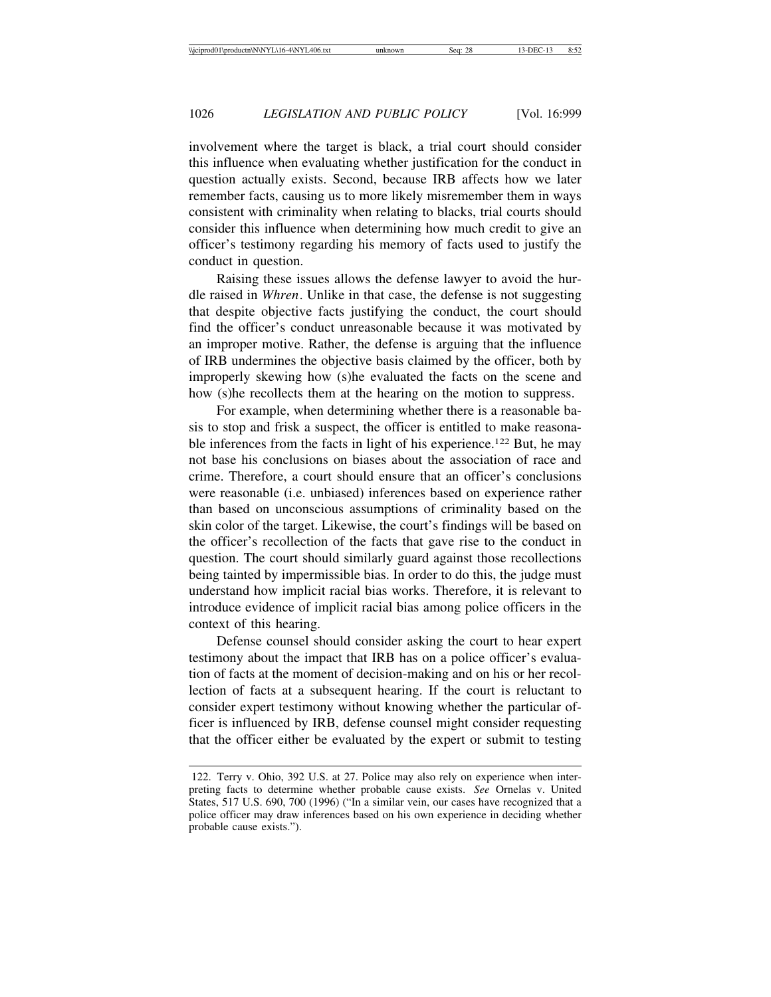involvement where the target is black, a trial court should consider this influence when evaluating whether justification for the conduct in question actually exists. Second, because IRB affects how we later remember facts, causing us to more likely misremember them in ways consistent with criminality when relating to blacks, trial courts should consider this influence when determining how much credit to give an officer's testimony regarding his memory of facts used to justify the conduct in question.

Raising these issues allows the defense lawyer to avoid the hurdle raised in *Whren*. Unlike in that case, the defense is not suggesting that despite objective facts justifying the conduct, the court should find the officer's conduct unreasonable because it was motivated by an improper motive. Rather, the defense is arguing that the influence of IRB undermines the objective basis claimed by the officer, both by improperly skewing how (s)he evaluated the facts on the scene and how (s)he recollects them at the hearing on the motion to suppress.

For example, when determining whether there is a reasonable basis to stop and frisk a suspect, the officer is entitled to make reasonable inferences from the facts in light of his experience.<sup>122</sup> But, he may not base his conclusions on biases about the association of race and crime. Therefore, a court should ensure that an officer's conclusions were reasonable (i.e. unbiased) inferences based on experience rather than based on unconscious assumptions of criminality based on the skin color of the target. Likewise, the court's findings will be based on the officer's recollection of the facts that gave rise to the conduct in question. The court should similarly guard against those recollections being tainted by impermissible bias. In order to do this, the judge must understand how implicit racial bias works. Therefore, it is relevant to introduce evidence of implicit racial bias among police officers in the context of this hearing.

Defense counsel should consider asking the court to hear expert testimony about the impact that IRB has on a police officer's evaluation of facts at the moment of decision-making and on his or her recollection of facts at a subsequent hearing. If the court is reluctant to consider expert testimony without knowing whether the particular officer is influenced by IRB, defense counsel might consider requesting that the officer either be evaluated by the expert or submit to testing

<sup>122.</sup> Terry v. Ohio, 392 U.S. at 27. Police may also rely on experience when interpreting facts to determine whether probable cause exists. *See* Ornelas v. United States, 517 U.S. 690, 700 (1996) ("In a similar vein, our cases have recognized that a police officer may draw inferences based on his own experience in deciding whether probable cause exists.").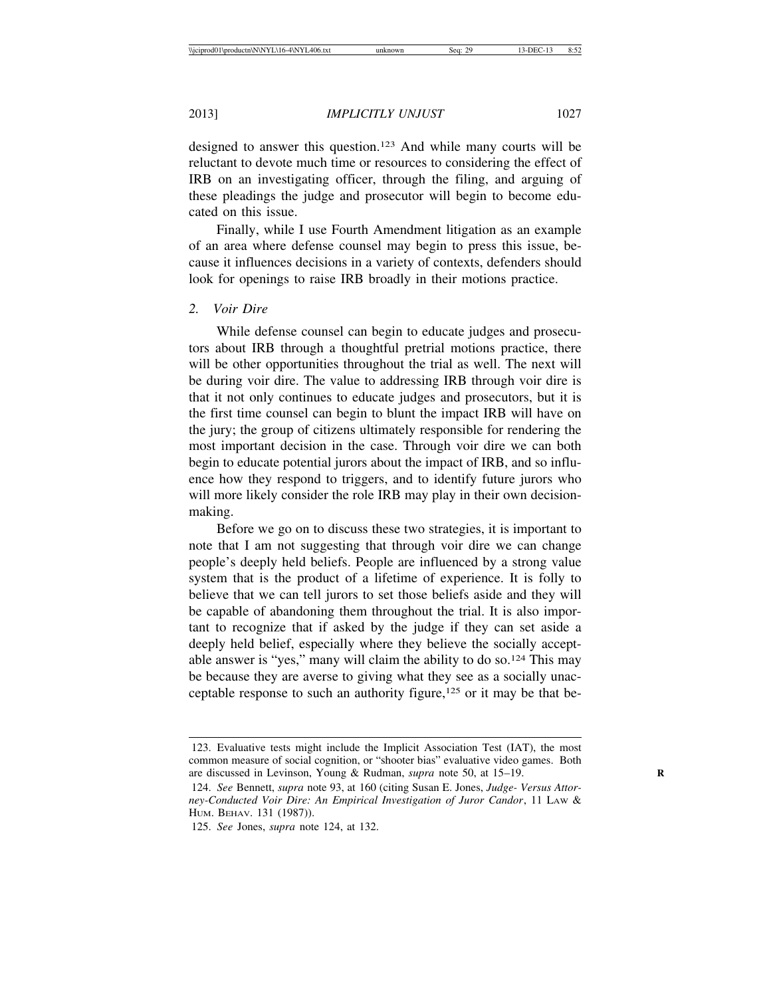designed to answer this question.123 And while many courts will be reluctant to devote much time or resources to considering the effect of IRB on an investigating officer, through the filing, and arguing of these pleadings the judge and prosecutor will begin to become educated on this issue.

Finally, while I use Fourth Amendment litigation as an example of an area where defense counsel may begin to press this issue, because it influences decisions in a variety of contexts, defenders should look for openings to raise IRB broadly in their motions practice.

#### *2. Voir Dire*

While defense counsel can begin to educate judges and prosecutors about IRB through a thoughtful pretrial motions practice, there will be other opportunities throughout the trial as well. The next will be during voir dire. The value to addressing IRB through voir dire is that it not only continues to educate judges and prosecutors, but it is the first time counsel can begin to blunt the impact IRB will have on the jury; the group of citizens ultimately responsible for rendering the most important decision in the case. Through voir dire we can both begin to educate potential jurors about the impact of IRB, and so influence how they respond to triggers, and to identify future jurors who will more likely consider the role IRB may play in their own decisionmaking.

Before we go on to discuss these two strategies, it is important to note that I am not suggesting that through voir dire we can change people's deeply held beliefs. People are influenced by a strong value system that is the product of a lifetime of experience. It is folly to believe that we can tell jurors to set those beliefs aside and they will be capable of abandoning them throughout the trial. It is also important to recognize that if asked by the judge if they can set aside a deeply held belief, especially where they believe the socially acceptable answer is "yes," many will claim the ability to do so.<sup>124</sup> This may be because they are averse to giving what they see as a socially unacceptable response to such an authority figure,<sup>125</sup> or it may be that be-

<sup>123.</sup> Evaluative tests might include the Implicit Association Test (IAT), the most common measure of social cognition, or "shooter bias" evaluative video games. Both are discussed in Levinson, Young & Rudman, *supra* note 50, at 15-19.

<sup>124.</sup> *See* Bennett, *supra* note 93, at 160 (citing Susan E. Jones, *Judge- Versus Attorney-Conducted Voir Dire: An Empirical Investigation of Juror Candor*, 11 LAW & HUM. BEHAV. 131 (1987)).

<sup>125.</sup> *See* Jones, *supra* note 124, at 132.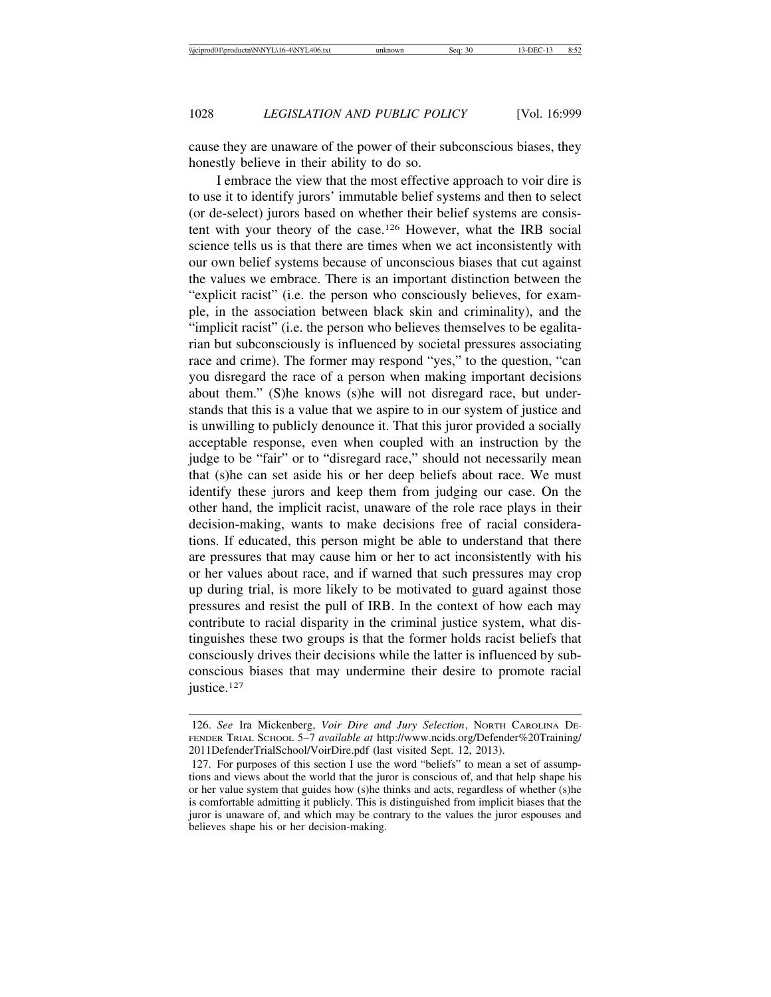cause they are unaware of the power of their subconscious biases, they honestly believe in their ability to do so.

I embrace the view that the most effective approach to voir dire is to use it to identify jurors' immutable belief systems and then to select (or de-select) jurors based on whether their belief systems are consistent with your theory of the case.126 However, what the IRB social science tells us is that there are times when we act inconsistently with our own belief systems because of unconscious biases that cut against the values we embrace. There is an important distinction between the "explicit racist" (i.e. the person who consciously believes, for example, in the association between black skin and criminality), and the "implicit racist" (i.e. the person who believes themselves to be egalitarian but subconsciously is influenced by societal pressures associating race and crime). The former may respond "yes," to the question, "can you disregard the race of a person when making important decisions about them." (S)he knows (s)he will not disregard race, but understands that this is a value that we aspire to in our system of justice and is unwilling to publicly denounce it. That this juror provided a socially acceptable response, even when coupled with an instruction by the judge to be "fair" or to "disregard race," should not necessarily mean that (s)he can set aside his or her deep beliefs about race. We must identify these jurors and keep them from judging our case. On the other hand, the implicit racist, unaware of the role race plays in their decision-making, wants to make decisions free of racial considerations. If educated, this person might be able to understand that there are pressures that may cause him or her to act inconsistently with his or her values about race, and if warned that such pressures may crop up during trial, is more likely to be motivated to guard against those pressures and resist the pull of IRB. In the context of how each may contribute to racial disparity in the criminal justice system, what distinguishes these two groups is that the former holds racist beliefs that consciously drives their decisions while the latter is influenced by subconscious biases that may undermine their desire to promote racial justice.<sup>127</sup>

<sup>126.</sup> *See* Ira Mickenberg, *Voir Dire and Jury Selection*, NORTH CAROLINA DE-FENDER TRIAL SCHOOL 5–7 *available at* http://www.ncids.org/Defender%20Training/ 2011DefenderTrialSchool/VoirDire.pdf (last visited Sept. 12, 2013).

<sup>127.</sup> For purposes of this section I use the word "beliefs" to mean a set of assumptions and views about the world that the juror is conscious of, and that help shape his or her value system that guides how (s)he thinks and acts, regardless of whether (s)he is comfortable admitting it publicly. This is distinguished from implicit biases that the juror is unaware of, and which may be contrary to the values the juror espouses and believes shape his or her decision-making.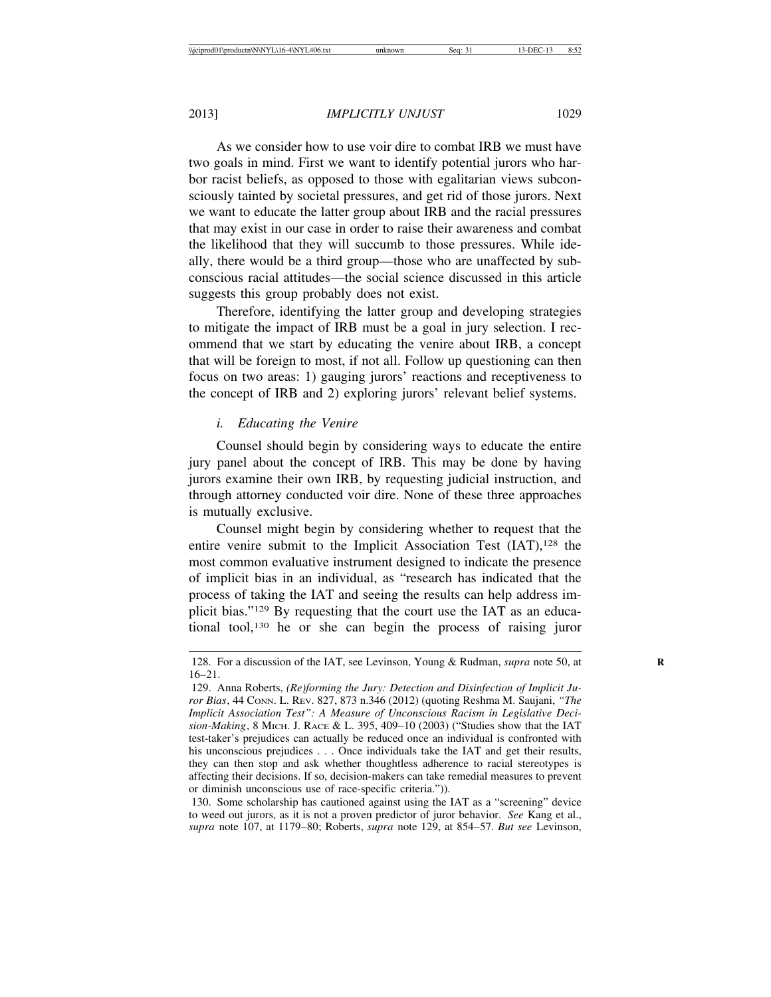As we consider how to use voir dire to combat IRB we must have two goals in mind. First we want to identify potential jurors who harbor racist beliefs, as opposed to those with egalitarian views subconsciously tainted by societal pressures, and get rid of those jurors. Next we want to educate the latter group about IRB and the racial pressures that may exist in our case in order to raise their awareness and combat the likelihood that they will succumb to those pressures. While ideally, there would be a third group—those who are unaffected by subconscious racial attitudes—the social science discussed in this article suggests this group probably does not exist.

Therefore, identifying the latter group and developing strategies to mitigate the impact of IRB must be a goal in jury selection. I recommend that we start by educating the venire about IRB, a concept that will be foreign to most, if not all. Follow up questioning can then focus on two areas: 1) gauging jurors' reactions and receptiveness to the concept of IRB and 2) exploring jurors' relevant belief systems.

#### *i. Educating the Venire*

Counsel should begin by considering ways to educate the entire jury panel about the concept of IRB. This may be done by having jurors examine their own IRB, by requesting judicial instruction, and through attorney conducted voir dire. None of these three approaches is mutually exclusive.

Counsel might begin by considering whether to request that the entire venire submit to the Implicit Association Test (IAT),<sup>128</sup> the most common evaluative instrument designed to indicate the presence of implicit bias in an individual, as "research has indicated that the process of taking the IAT and seeing the results can help address implicit bias."129 By requesting that the court use the IAT as an educational tool,130 he or she can begin the process of raising juror

<sup>128.</sup> For a discussion of the IAT, see Levinson, Young & Rudman, *supra* note 50, at 16–21.

<sup>129.</sup> Anna Roberts, *(Re)forming the Jury: Detection and Disinfection of Implicit Juror Bias*, 44 CONN. L. REV. 827, 873 n.346 (2012) (quoting Reshma M. Saujani, *"The Implicit Association Test": A Measure of Unconscious Racism in Legislative Decision-Making*, 8 MICH. J. RACE & L. 395, 409–10 (2003) ("Studies show that the IAT test-taker's prejudices can actually be reduced once an individual is confronted with his unconscious prejudices . . . Once individuals take the IAT and get their results, they can then stop and ask whether thoughtless adherence to racial stereotypes is affecting their decisions. If so, decision-makers can take remedial measures to prevent or diminish unconscious use of race-specific criteria.")).

<sup>130.</sup> Some scholarship has cautioned against using the IAT as a "screening" device to weed out jurors, as it is not a proven predictor of juror behavior. *See* Kang et al., *supra* note 107, at 1179–80; Roberts, *supra* note 129, at 854–57. *But see* Levinson,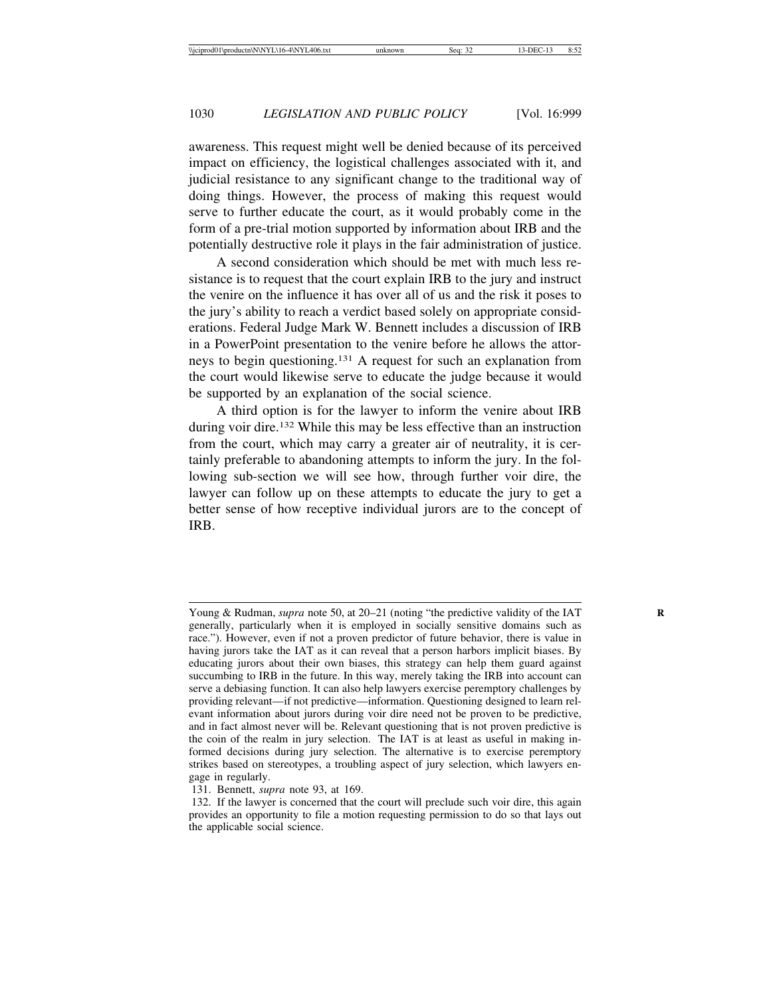awareness. This request might well be denied because of its perceived impact on efficiency, the logistical challenges associated with it, and judicial resistance to any significant change to the traditional way of doing things. However, the process of making this request would serve to further educate the court, as it would probably come in the form of a pre-trial motion supported by information about IRB and the potentially destructive role it plays in the fair administration of justice.

A second consideration which should be met with much less resistance is to request that the court explain IRB to the jury and instruct the venire on the influence it has over all of us and the risk it poses to the jury's ability to reach a verdict based solely on appropriate considerations. Federal Judge Mark W. Bennett includes a discussion of IRB in a PowerPoint presentation to the venire before he allows the attorneys to begin questioning.131 A request for such an explanation from the court would likewise serve to educate the judge because it would be supported by an explanation of the social science.

A third option is for the lawyer to inform the venire about IRB during voir dire.132 While this may be less effective than an instruction from the court, which may carry a greater air of neutrality, it is certainly preferable to abandoning attempts to inform the jury. In the following sub-section we will see how, through further voir dire, the lawyer can follow up on these attempts to educate the jury to get a better sense of how receptive individual jurors are to the concept of IRB.

Young & Rudman, *supra* note 50, at 20–21 (noting "the predictive validity of the IAT generally, particularly when it is employed in socially sensitive domains such as race."). However, even if not a proven predictor of future behavior, there is value in having jurors take the IAT as it can reveal that a person harbors implicit biases. By educating jurors about their own biases, this strategy can help them guard against succumbing to IRB in the future. In this way, merely taking the IRB into account can serve a debiasing function. It can also help lawyers exercise peremptory challenges by providing relevant—if not predictive—information. Questioning designed to learn relevant information about jurors during voir dire need not be proven to be predictive, and in fact almost never will be. Relevant questioning that is not proven predictive is the coin of the realm in jury selection. The IAT is at least as useful in making informed decisions during jury selection. The alternative is to exercise peremptory strikes based on stereotypes, a troubling aspect of jury selection, which lawyers engage in regularly.

<sup>131.</sup> Bennett, *supra* note 93, at 169.

<sup>132.</sup> If the lawyer is concerned that the court will preclude such voir dire, this again provides an opportunity to file a motion requesting permission to do so that lays out the applicable social science.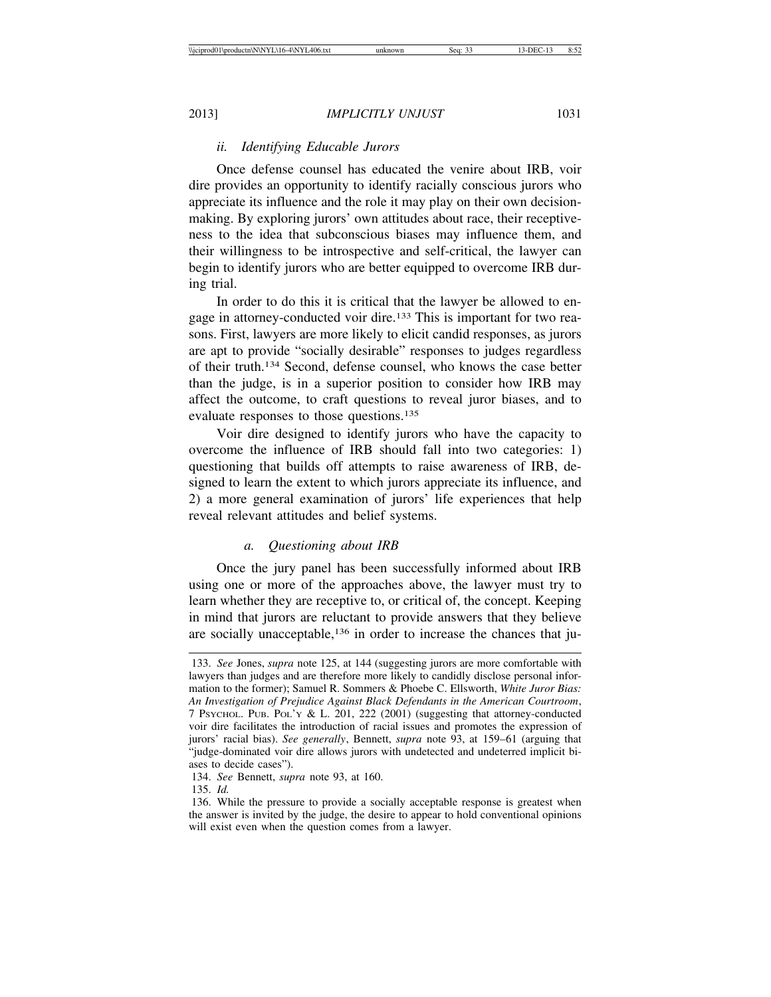## *ii. Identifying Educable Jurors*

Once defense counsel has educated the venire about IRB, voir dire provides an opportunity to identify racially conscious jurors who appreciate its influence and the role it may play on their own decisionmaking. By exploring jurors' own attitudes about race, their receptiveness to the idea that subconscious biases may influence them, and their willingness to be introspective and self-critical, the lawyer can begin to identify jurors who are better equipped to overcome IRB during trial.

In order to do this it is critical that the lawyer be allowed to engage in attorney-conducted voir dire.133 This is important for two reasons. First, lawyers are more likely to elicit candid responses, as jurors are apt to provide "socially desirable" responses to judges regardless of their truth.134 Second, defense counsel, who knows the case better than the judge, is in a superior position to consider how IRB may affect the outcome, to craft questions to reveal juror biases, and to evaluate responses to those questions.135

Voir dire designed to identify jurors who have the capacity to overcome the influence of IRB should fall into two categories: 1) questioning that builds off attempts to raise awareness of IRB, designed to learn the extent to which jurors appreciate its influence, and 2) a more general examination of jurors' life experiences that help reveal relevant attitudes and belief systems.

## *a. Questioning about IRB*

Once the jury panel has been successfully informed about IRB using one or more of the approaches above, the lawyer must try to learn whether they are receptive to, or critical of, the concept. Keeping in mind that jurors are reluctant to provide answers that they believe are socially unacceptable,<sup>136</sup> in order to increase the chances that ju-

<sup>133.</sup> *See* Jones, *supra* note 125, at 144 (suggesting jurors are more comfortable with lawyers than judges and are therefore more likely to candidly disclose personal information to the former); Samuel R. Sommers & Phoebe C. Ellsworth, *White Juror Bias: An Investigation of Prejudice Against Black Defendants in the American Courtroom*, 7 PSYCHOL. PUB. POL'Y & L. 201, 222 (2001) (suggesting that attorney-conducted voir dire facilitates the introduction of racial issues and promotes the expression of jurors' racial bias). *See generally*, Bennett, *supra* note 93, at 159–61 (arguing that "judge-dominated voir dire allows jurors with undetected and undeterred implicit biases to decide cases").

<sup>134.</sup> *See* Bennett, *supra* note 93, at 160.

<sup>135.</sup> *Id.*

<sup>136.</sup> While the pressure to provide a socially acceptable response is greatest when the answer is invited by the judge, the desire to appear to hold conventional opinions will exist even when the question comes from a lawyer.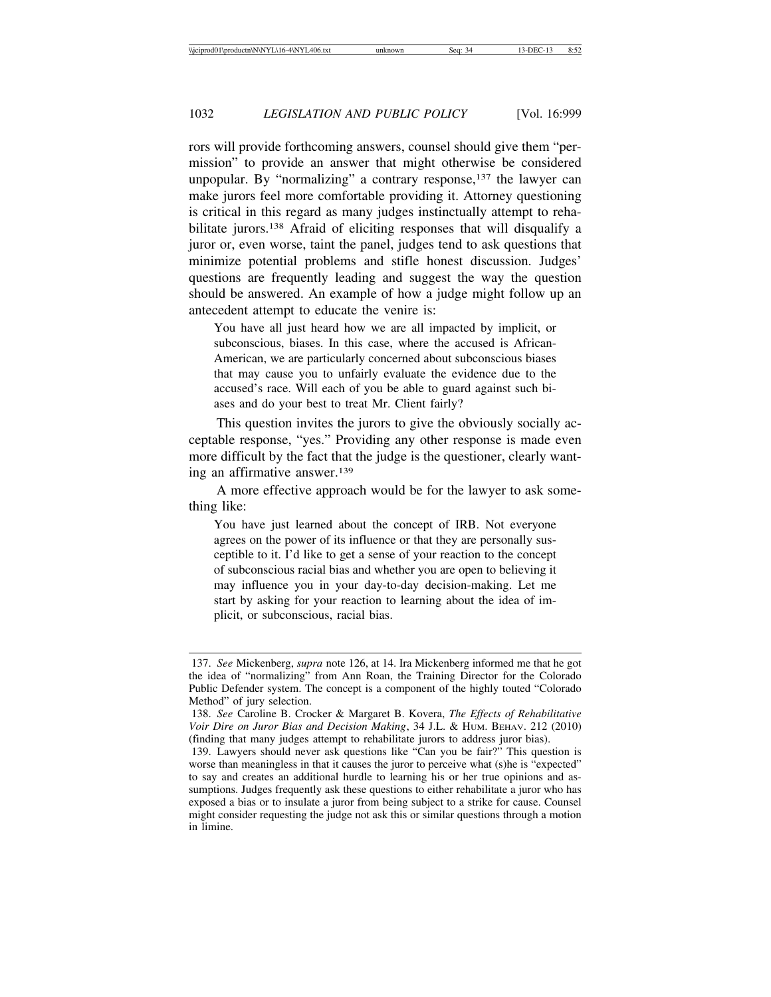rors will provide forthcoming answers, counsel should give them "permission" to provide an answer that might otherwise be considered unpopular. By "normalizing" a contrary response,<sup>137</sup> the lawyer can make jurors feel more comfortable providing it. Attorney questioning is critical in this regard as many judges instinctually attempt to rehabilitate jurors.138 Afraid of eliciting responses that will disqualify a juror or, even worse, taint the panel, judges tend to ask questions that minimize potential problems and stifle honest discussion. Judges' questions are frequently leading and suggest the way the question should be answered. An example of how a judge might follow up an antecedent attempt to educate the venire is:

You have all just heard how we are all impacted by implicit, or subconscious, biases. In this case, where the accused is African-American, we are particularly concerned about subconscious biases that may cause you to unfairly evaluate the evidence due to the accused's race. Will each of you be able to guard against such biases and do your best to treat Mr. Client fairly?

This question invites the jurors to give the obviously socially acceptable response, "yes." Providing any other response is made even more difficult by the fact that the judge is the questioner, clearly wanting an affirmative answer.139

A more effective approach would be for the lawyer to ask something like:

You have just learned about the concept of IRB. Not everyone agrees on the power of its influence or that they are personally susceptible to it. I'd like to get a sense of your reaction to the concept of subconscious racial bias and whether you are open to believing it may influence you in your day-to-day decision-making. Let me start by asking for your reaction to learning about the idea of implicit, or subconscious, racial bias.

<sup>137.</sup> *See* Mickenberg, *supra* note 126, at 14. Ira Mickenberg informed me that he got the idea of "normalizing" from Ann Roan, the Training Director for the Colorado Public Defender system. The concept is a component of the highly touted "Colorado Method" of jury selection.

<sup>138.</sup> *See* Caroline B. Crocker & Margaret B. Kovera, *The Effects of Rehabilitative Voir Dire on Juror Bias and Decision Making*, 34 J.L. & HUM. BEHAV. 212 (2010) (finding that many judges attempt to rehabilitate jurors to address juror bias).

<sup>139.</sup> Lawyers should never ask questions like "Can you be fair?" This question is worse than meaningless in that it causes the juror to perceive what (s)he is "expected" to say and creates an additional hurdle to learning his or her true opinions and assumptions. Judges frequently ask these questions to either rehabilitate a juror who has exposed a bias or to insulate a juror from being subject to a strike for cause. Counsel might consider requesting the judge not ask this or similar questions through a motion in limine.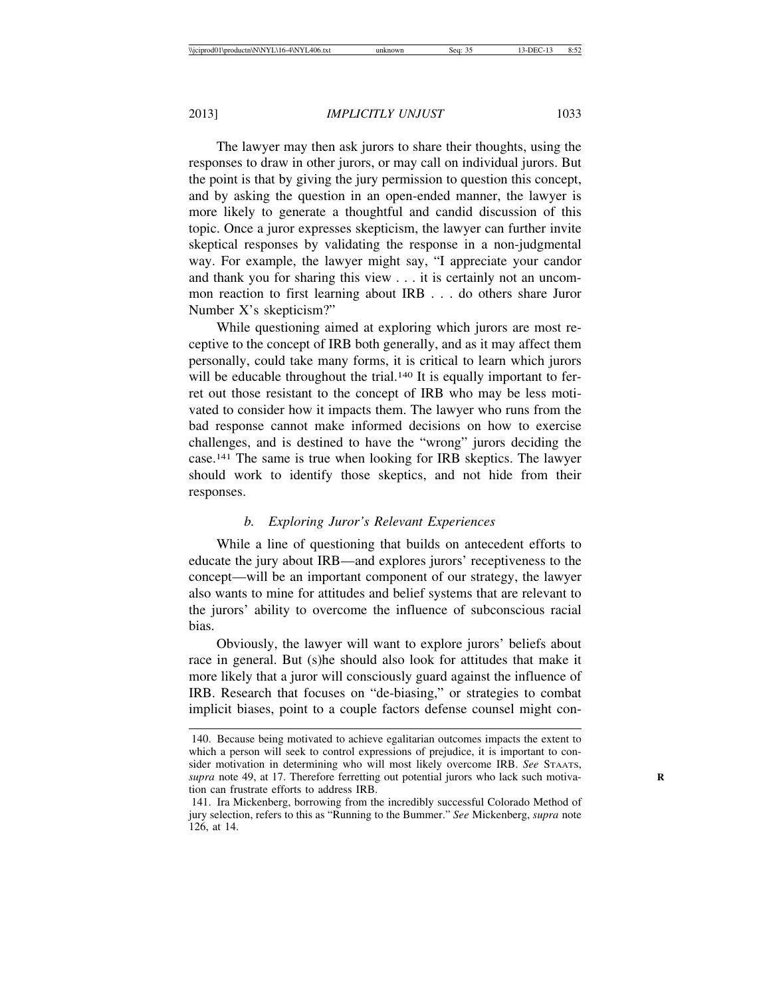The lawyer may then ask jurors to share their thoughts, using the responses to draw in other jurors, or may call on individual jurors. But the point is that by giving the jury permission to question this concept, and by asking the question in an open-ended manner, the lawyer is more likely to generate a thoughtful and candid discussion of this topic. Once a juror expresses skepticism, the lawyer can further invite skeptical responses by validating the response in a non-judgmental way. For example, the lawyer might say, "I appreciate your candor and thank you for sharing this view . . . it is certainly not an uncommon reaction to first learning about IRB . . . do others share Juror Number X's skepticism?"

While questioning aimed at exploring which jurors are most receptive to the concept of IRB both generally, and as it may affect them personally, could take many forms, it is critical to learn which jurors will be educable throughout the trial.<sup>140</sup> It is equally important to ferret out those resistant to the concept of IRB who may be less motivated to consider how it impacts them. The lawyer who runs from the bad response cannot make informed decisions on how to exercise challenges, and is destined to have the "wrong" jurors deciding the case.141 The same is true when looking for IRB skeptics. The lawyer should work to identify those skeptics, and not hide from their responses.

## *b. Exploring Juror's Relevant Experiences*

While a line of questioning that builds on antecedent efforts to educate the jury about IRB—and explores jurors' receptiveness to the concept—will be an important component of our strategy, the lawyer also wants to mine for attitudes and belief systems that are relevant to the jurors' ability to overcome the influence of subconscious racial bias.

Obviously, the lawyer will want to explore jurors' beliefs about race in general. But (s)he should also look for attitudes that make it more likely that a juror will consciously guard against the influence of IRB. Research that focuses on "de-biasing," or strategies to combat implicit biases, point to a couple factors defense counsel might con-

<sup>140.</sup> Because being motivated to achieve egalitarian outcomes impacts the extent to which a person will seek to control expressions of prejudice, it is important to consider motivation in determining who will most likely overcome IRB. *See* STAATS, supra note 49, at 17. Therefore ferretting out potential jurors who lack such motivation can frustrate efforts to address IRB.

<sup>141.</sup> Ira Mickenberg, borrowing from the incredibly successful Colorado Method of jury selection, refers to this as "Running to the Bummer." *See* Mickenberg, *supra* note 126, at 14.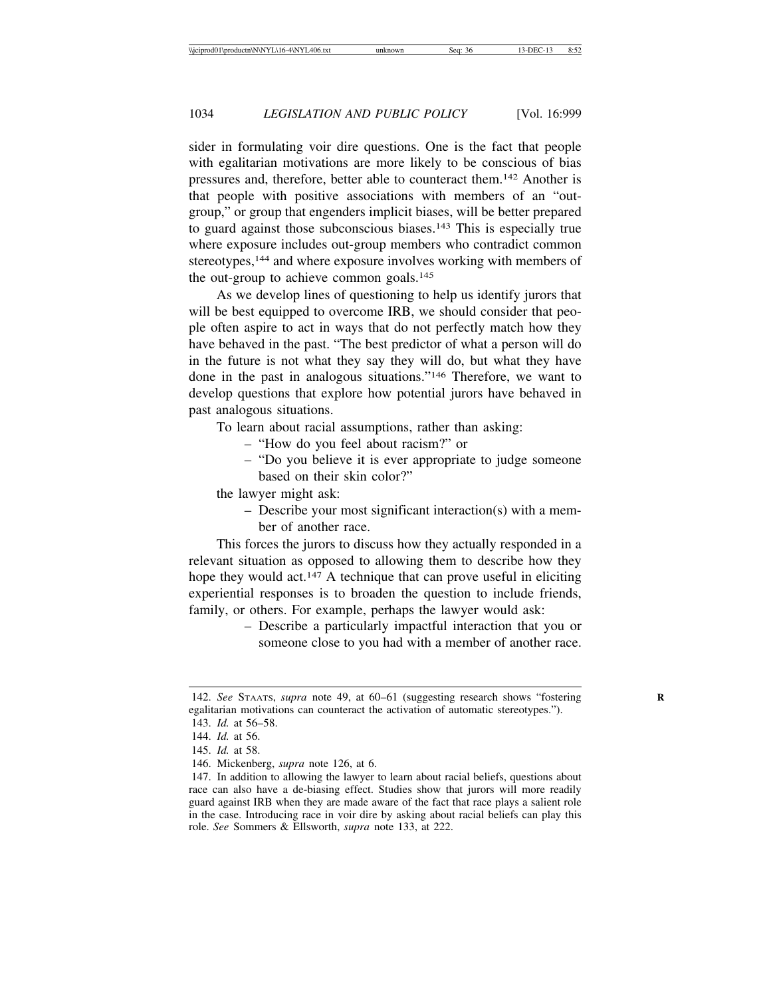sider in formulating voir dire questions. One is the fact that people with egalitarian motivations are more likely to be conscious of bias pressures and, therefore, better able to counteract them.142 Another is that people with positive associations with members of an "outgroup," or group that engenders implicit biases, will be better prepared to guard against those subconscious biases.<sup>143</sup> This is especially true where exposure includes out-group members who contradict common stereotypes,<sup>144</sup> and where exposure involves working with members of the out-group to achieve common goals.<sup>145</sup>

As we develop lines of questioning to help us identify jurors that will be best equipped to overcome IRB, we should consider that people often aspire to act in ways that do not perfectly match how they have behaved in the past. "The best predictor of what a person will do in the future is not what they say they will do, but what they have done in the past in analogous situations."146 Therefore, we want to develop questions that explore how potential jurors have behaved in past analogous situations.

To learn about racial assumptions, rather than asking:

- "How do you feel about racism?" or
- "Do you believe it is ever appropriate to judge someone based on their skin color?"

the lawyer might ask:

– Describe your most significant interaction(s) with a member of another race.

This forces the jurors to discuss how they actually responded in a relevant situation as opposed to allowing them to describe how they hope they would act.<sup>147</sup> A technique that can prove useful in eliciting experiential responses is to broaden the question to include friends, family, or others. For example, perhaps the lawyer would ask:

> – Describe a particularly impactful interaction that you or someone close to you had with a member of another race.

<sup>142.</sup> *See* STAATS, *supra* note 49, at 60–61 (suggesting research shows "fostering egalitarian motivations can counteract the activation of automatic stereotypes.").

<sup>143.</sup> *Id.* at 56–58.

<sup>144.</sup> *Id.* at 56.

<sup>145.</sup> *Id.* at 58.

<sup>146.</sup> Mickenberg, *supra* note 126, at 6.

<sup>147.</sup> In addition to allowing the lawyer to learn about racial beliefs, questions about race can also have a de-biasing effect. Studies show that jurors will more readily guard against IRB when they are made aware of the fact that race plays a salient role in the case. Introducing race in voir dire by asking about racial beliefs can play this role. *See* Sommers & Ellsworth, *supra* note 133, at 222.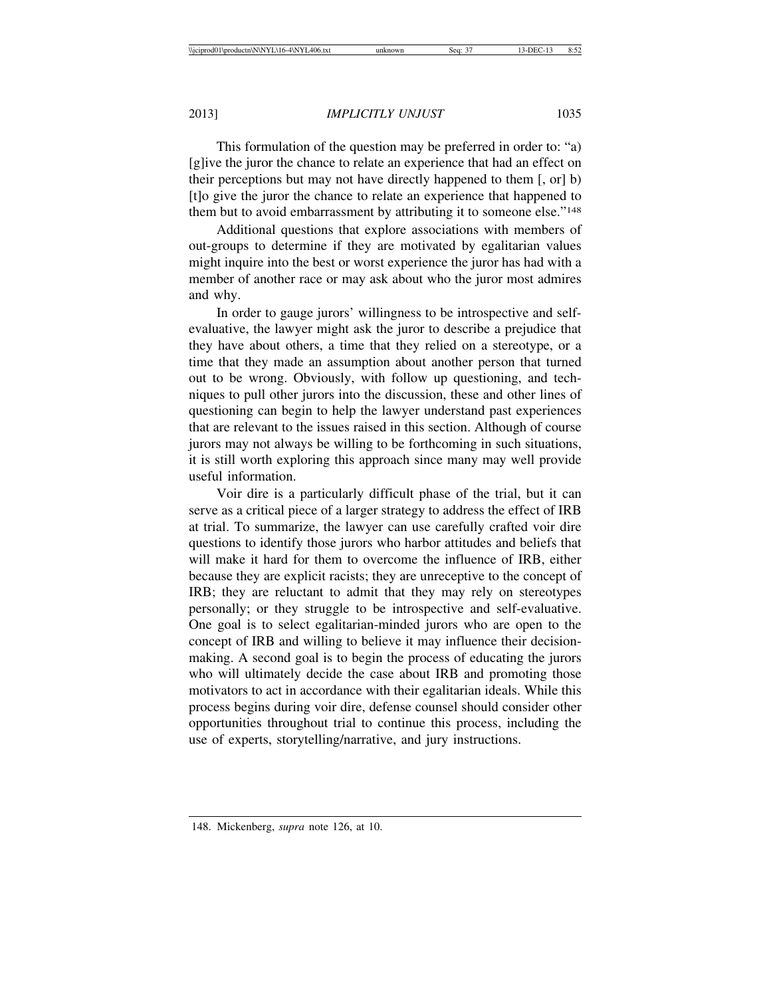This formulation of the question may be preferred in order to: "a) [g]ive the juror the chance to relate an experience that had an effect on their perceptions but may not have directly happened to them [, or] b) [t]o give the juror the chance to relate an experience that happened to them but to avoid embarrassment by attributing it to someone else."<sup>148</sup>

Additional questions that explore associations with members of out-groups to determine if they are motivated by egalitarian values might inquire into the best or worst experience the juror has had with a member of another race or may ask about who the juror most admires and why.

In order to gauge jurors' willingness to be introspective and selfevaluative, the lawyer might ask the juror to describe a prejudice that they have about others, a time that they relied on a stereotype, or a time that they made an assumption about another person that turned out to be wrong. Obviously, with follow up questioning, and techniques to pull other jurors into the discussion, these and other lines of questioning can begin to help the lawyer understand past experiences that are relevant to the issues raised in this section. Although of course jurors may not always be willing to be forthcoming in such situations, it is still worth exploring this approach since many may well provide useful information.

Voir dire is a particularly difficult phase of the trial, but it can serve as a critical piece of a larger strategy to address the effect of IRB at trial. To summarize, the lawyer can use carefully crafted voir dire questions to identify those jurors who harbor attitudes and beliefs that will make it hard for them to overcome the influence of IRB, either because they are explicit racists; they are unreceptive to the concept of IRB; they are reluctant to admit that they may rely on stereotypes personally; or they struggle to be introspective and self-evaluative. One goal is to select egalitarian-minded jurors who are open to the concept of IRB and willing to believe it may influence their decisionmaking. A second goal is to begin the process of educating the jurors who will ultimately decide the case about IRB and promoting those motivators to act in accordance with their egalitarian ideals. While this process begins during voir dire, defense counsel should consider other opportunities throughout trial to continue this process, including the use of experts, storytelling/narrative, and jury instructions.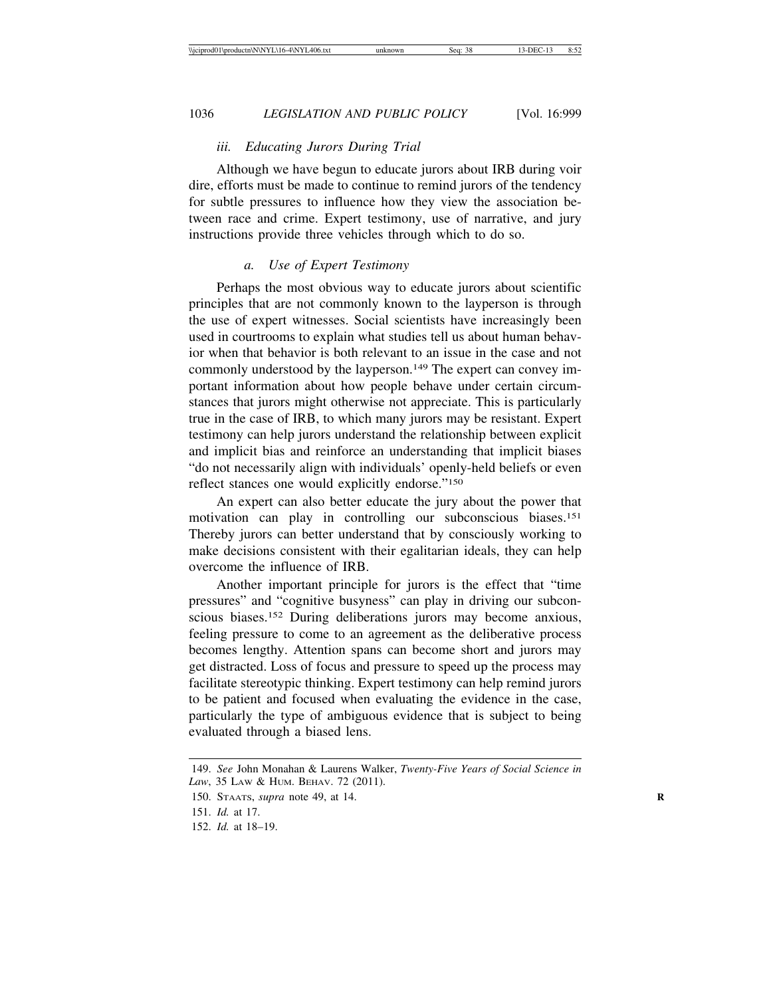#### *iii. Educating Jurors During Trial*

Although we have begun to educate jurors about IRB during voir dire, efforts must be made to continue to remind jurors of the tendency for subtle pressures to influence how they view the association between race and crime. Expert testimony, use of narrative, and jury instructions provide three vehicles through which to do so.

# *a. Use of Expert Testimony*

Perhaps the most obvious way to educate jurors about scientific principles that are not commonly known to the layperson is through the use of expert witnesses. Social scientists have increasingly been used in courtrooms to explain what studies tell us about human behavior when that behavior is both relevant to an issue in the case and not commonly understood by the layperson.<sup>149</sup> The expert can convey important information about how people behave under certain circumstances that jurors might otherwise not appreciate. This is particularly true in the case of IRB, to which many jurors may be resistant. Expert testimony can help jurors understand the relationship between explicit and implicit bias and reinforce an understanding that implicit biases "do not necessarily align with individuals' openly-held beliefs or even reflect stances one would explicitly endorse."150

An expert can also better educate the jury about the power that motivation can play in controlling our subconscious biases.151 Thereby jurors can better understand that by consciously working to make decisions consistent with their egalitarian ideals, they can help overcome the influence of IRB.

Another important principle for jurors is the effect that "time pressures" and "cognitive busyness" can play in driving our subconscious biases.152 During deliberations jurors may become anxious, feeling pressure to come to an agreement as the deliberative process becomes lengthy. Attention spans can become short and jurors may get distracted. Loss of focus and pressure to speed up the process may facilitate stereotypic thinking. Expert testimony can help remind jurors to be patient and focused when evaluating the evidence in the case, particularly the type of ambiguous evidence that is subject to being evaluated through a biased lens.

<sup>149.</sup> *See* John Monahan & Laurens Walker, *Twenty-Five Years of Social Science in Law*, 35 LAW & HUM. BEHAV. 72 (2011).

<sup>150.</sup> STAATS, *supra* note 49, at 14. **R**

<sup>151.</sup> *Id.* at 17.

<sup>152.</sup> *Id.* at 18–19.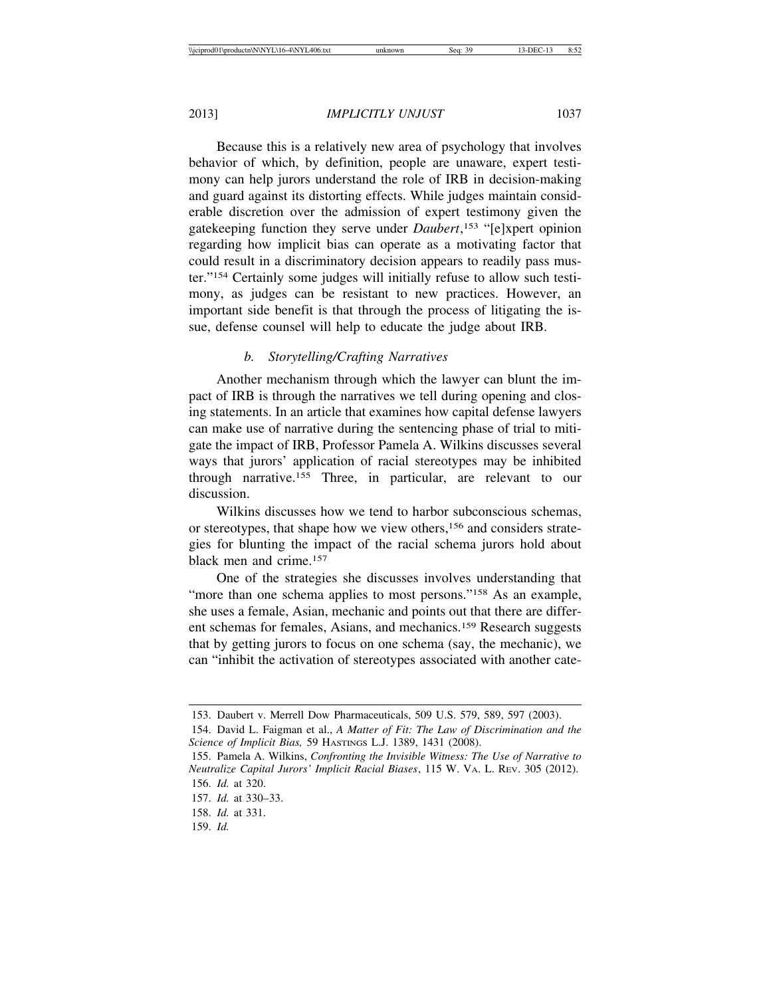2013] *IMPLICITLY UNJUST* 1037

Because this is a relatively new area of psychology that involves behavior of which, by definition, people are unaware, expert testimony can help jurors understand the role of IRB in decision-making and guard against its distorting effects. While judges maintain considerable discretion over the admission of expert testimony given the gatekeeping function they serve under *Daubert*, 153 "[e]xpert opinion regarding how implicit bias can operate as a motivating factor that could result in a discriminatory decision appears to readily pass muster."154 Certainly some judges will initially refuse to allow such testimony, as judges can be resistant to new practices. However, an important side benefit is that through the process of litigating the issue, defense counsel will help to educate the judge about IRB.

## *b. Storytelling/Crafting Narratives*

Another mechanism through which the lawyer can blunt the impact of IRB is through the narratives we tell during opening and closing statements. In an article that examines how capital defense lawyers can make use of narrative during the sentencing phase of trial to mitigate the impact of IRB, Professor Pamela A. Wilkins discusses several ways that jurors' application of racial stereotypes may be inhibited through narrative.155 Three, in particular, are relevant to our discussion.

Wilkins discusses how we tend to harbor subconscious schemas, or stereotypes, that shape how we view others,156 and considers strategies for blunting the impact of the racial schema jurors hold about black men and crime.157

One of the strategies she discusses involves understanding that "more than one schema applies to most persons."<sup>158</sup> As an example, she uses a female, Asian, mechanic and points out that there are different schemas for females, Asians, and mechanics.159 Research suggests that by getting jurors to focus on one schema (say, the mechanic), we can "inhibit the activation of stereotypes associated with another cate-

<sup>153.</sup> Daubert v. Merrell Dow Pharmaceuticals, 509 U.S. 579, 589, 597 (2003).

<sup>154.</sup> David L. Faigman et al., *A Matter of Fit: The Law of Discrimination and the Science of Implicit Bias,* 59 HASTINGS L.J. 1389, 1431 (2008).

<sup>155.</sup> Pamela A. Wilkins, *Confronting the Invisible Witness: The Use of Narrative to Neutralize Capital Jurors' Implicit Racial Biases*, 115 W. VA. L. REV. 305 (2012). 156. *Id.* at 320.

<sup>157.</sup> *Id.* at 330–33.

<sup>158.</sup> *Id.* at 331.

<sup>159.</sup> *Id.*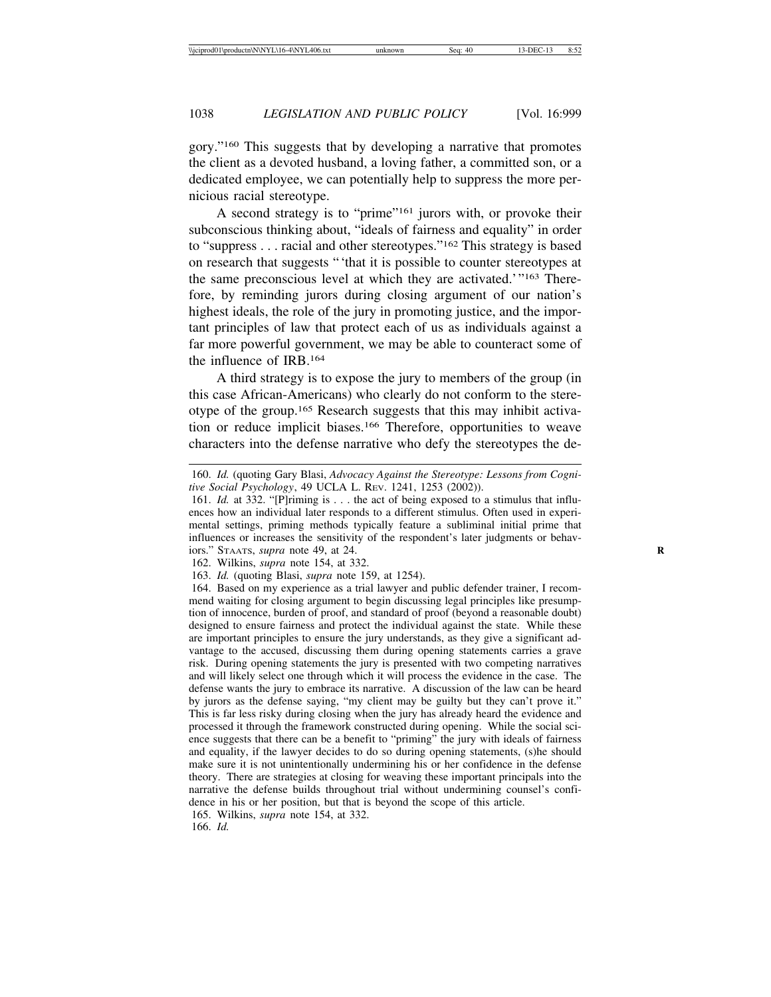gory."160 This suggests that by developing a narrative that promotes the client as a devoted husband, a loving father, a committed son, or a dedicated employee, we can potentially help to suppress the more pernicious racial stereotype.

A second strategy is to "prime"161 jurors with, or provoke their subconscious thinking about, "ideals of fairness and equality" in order to "suppress . . . racial and other stereotypes."162 This strategy is based on research that suggests "'that it is possible to counter stereotypes at the same preconscious level at which they are activated.'"163 Therefore, by reminding jurors during closing argument of our nation's highest ideals, the role of the jury in promoting justice, and the important principles of law that protect each of us as individuals against a far more powerful government, we may be able to counteract some of the influence of IRB.164

A third strategy is to expose the jury to members of the group (in this case African-Americans) who clearly do not conform to the stereotype of the group.165 Research suggests that this may inhibit activation or reduce implicit biases.166 Therefore, opportunities to weave characters into the defense narrative who defy the stereotypes the de-

165. Wilkins, *supra* note 154, at 332.

166. *Id.*

<sup>160.</sup> *Id.* (quoting Gary Blasi, *Advocacy Against the Stereotype: Lessons from Cognitive Social Psychology*, 49 UCLA L. REV. 1241, 1253 (2002)).

<sup>161.</sup> *Id.* at 332. "[P]riming is . . . the act of being exposed to a stimulus that influences how an individual later responds to a different stimulus. Often used in experimental settings, priming methods typically feature a subliminal initial prime that influences or increases the sensitivity of the respondent's later judgments or behaviors." STAATS, *supra* note 49, at 24. **R**

<sup>162.</sup> Wilkins, *supra* note 154, at 332.

<sup>163.</sup> *Id.* (quoting Blasi, *supra* note 159, at 1254).

<sup>164.</sup> Based on my experience as a trial lawyer and public defender trainer, I recommend waiting for closing argument to begin discussing legal principles like presumption of innocence, burden of proof, and standard of proof (beyond a reasonable doubt) designed to ensure fairness and protect the individual against the state. While these are important principles to ensure the jury understands, as they give a significant advantage to the accused, discussing them during opening statements carries a grave risk. During opening statements the jury is presented with two competing narratives and will likely select one through which it will process the evidence in the case. The defense wants the jury to embrace its narrative. A discussion of the law can be heard by jurors as the defense saying, "my client may be guilty but they can't prove it." This is far less risky during closing when the jury has already heard the evidence and processed it through the framework constructed during opening. While the social science suggests that there can be a benefit to "priming" the jury with ideals of fairness and equality, if the lawyer decides to do so during opening statements, (s)he should make sure it is not unintentionally undermining his or her confidence in the defense theory. There are strategies at closing for weaving these important principals into the narrative the defense builds throughout trial without undermining counsel's confidence in his or her position, but that is beyond the scope of this article.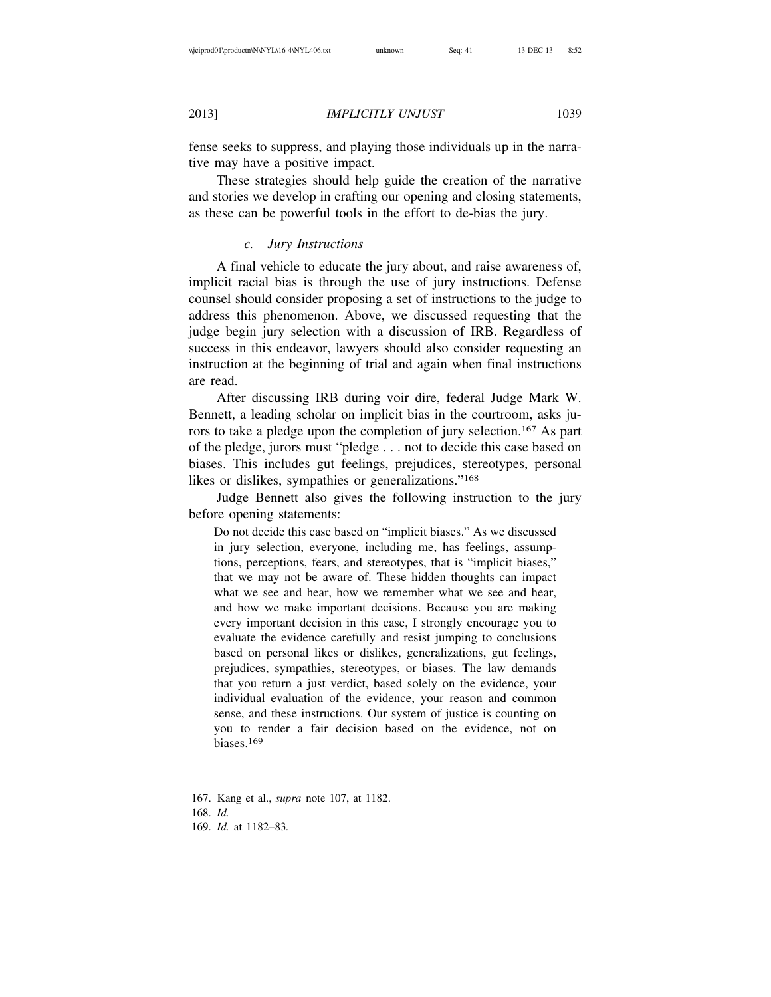fense seeks to suppress, and playing those individuals up in the narrative may have a positive impact.

These strategies should help guide the creation of the narrative and stories we develop in crafting our opening and closing statements, as these can be powerful tools in the effort to de-bias the jury.

# *c. Jury Instructions*

A final vehicle to educate the jury about, and raise awareness of, implicit racial bias is through the use of jury instructions. Defense counsel should consider proposing a set of instructions to the judge to address this phenomenon. Above, we discussed requesting that the judge begin jury selection with a discussion of IRB. Regardless of success in this endeavor, lawyers should also consider requesting an instruction at the beginning of trial and again when final instructions are read.

After discussing IRB during voir dire, federal Judge Mark W. Bennett, a leading scholar on implicit bias in the courtroom, asks jurors to take a pledge upon the completion of jury selection.167 As part of the pledge, jurors must "pledge . . . not to decide this case based on biases. This includes gut feelings, prejudices, stereotypes, personal likes or dislikes, sympathies or generalizations."<sup>168</sup>

Judge Bennett also gives the following instruction to the jury before opening statements:

Do not decide this case based on "implicit biases." As we discussed in jury selection, everyone, including me, has feelings, assumptions, perceptions, fears, and stereotypes, that is "implicit biases," that we may not be aware of. These hidden thoughts can impact what we see and hear, how we remember what we see and hear, and how we make important decisions. Because you are making every important decision in this case, I strongly encourage you to evaluate the evidence carefully and resist jumping to conclusions based on personal likes or dislikes, generalizations, gut feelings, prejudices, sympathies, stereotypes, or biases. The law demands that you return a just verdict, based solely on the evidence, your individual evaluation of the evidence, your reason and common sense, and these instructions. Our system of justice is counting on you to render a fair decision based on the evidence, not on biases.<sup>169</sup>

<sup>167.</sup> Kang et al., *supra* note 107, at 1182.

<sup>168.</sup> *Id.*

<sup>169.</sup> *Id.* at 1182–83*.*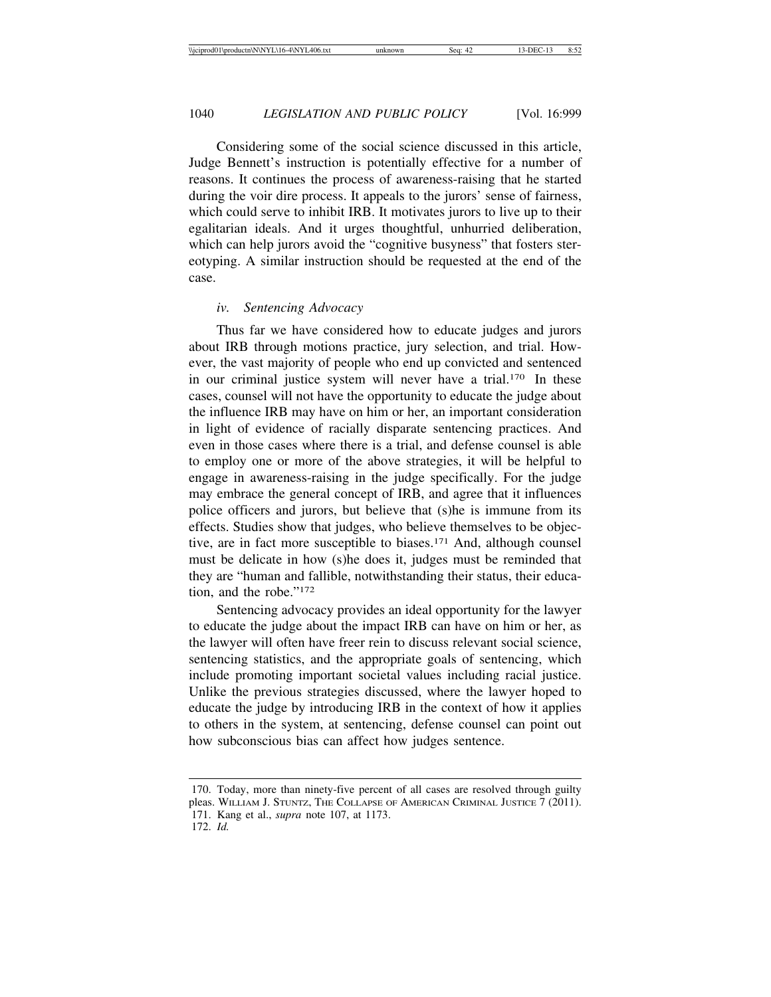Considering some of the social science discussed in this article, Judge Bennett's instruction is potentially effective for a number of reasons. It continues the process of awareness-raising that he started during the voir dire process. It appeals to the jurors' sense of fairness, which could serve to inhibit IRB. It motivates jurors to live up to their egalitarian ideals. And it urges thoughtful, unhurried deliberation, which can help jurors avoid the "cognitive busyness" that fosters stereotyping. A similar instruction should be requested at the end of the case.

## *iv. Sentencing Advocacy*

Thus far we have considered how to educate judges and jurors about IRB through motions practice, jury selection, and trial. However, the vast majority of people who end up convicted and sentenced in our criminal justice system will never have a trial.170 In these cases, counsel will not have the opportunity to educate the judge about the influence IRB may have on him or her, an important consideration in light of evidence of racially disparate sentencing practices. And even in those cases where there is a trial, and defense counsel is able to employ one or more of the above strategies, it will be helpful to engage in awareness-raising in the judge specifically. For the judge may embrace the general concept of IRB, and agree that it influences police officers and jurors, but believe that (s)he is immune from its effects. Studies show that judges, who believe themselves to be objective, are in fact more susceptible to biases.171 And, although counsel must be delicate in how (s)he does it, judges must be reminded that they are "human and fallible, notwithstanding their status, their education, and the robe."172

Sentencing advocacy provides an ideal opportunity for the lawyer to educate the judge about the impact IRB can have on him or her, as the lawyer will often have freer rein to discuss relevant social science, sentencing statistics, and the appropriate goals of sentencing, which include promoting important societal values including racial justice. Unlike the previous strategies discussed, where the lawyer hoped to educate the judge by introducing IRB in the context of how it applies to others in the system, at sentencing, defense counsel can point out how subconscious bias can affect how judges sentence.

<sup>170.</sup> Today, more than ninety-five percent of all cases are resolved through guilty pleas. WILLIAM J. STUNTZ, THE COLLAPSE OF AMERICAN CRIMINAL JUSTICE 7 (2011).

<sup>171.</sup> Kang et al., *supra* note 107, at 1173.

<sup>172.</sup> *Id.*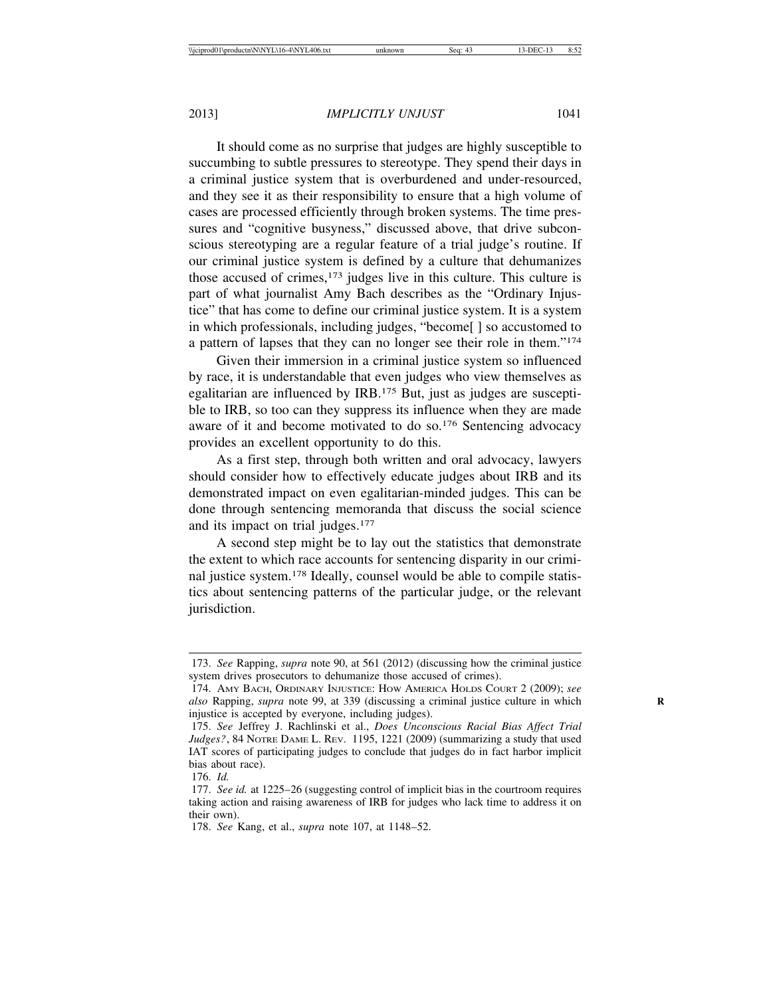It should come as no surprise that judges are highly susceptible to succumbing to subtle pressures to stereotype. They spend their days in a criminal justice system that is overburdened and under-resourced, and they see it as their responsibility to ensure that a high volume of cases are processed efficiently through broken systems. The time pressures and "cognitive busyness," discussed above, that drive subconscious stereotyping are a regular feature of a trial judge's routine. If our criminal justice system is defined by a culture that dehumanizes those accused of crimes,173 judges live in this culture. This culture is part of what journalist Amy Bach describes as the "Ordinary Injustice" that has come to define our criminal justice system. It is a system in which professionals, including judges, "become[ ] so accustomed to a pattern of lapses that they can no longer see their role in them."174

Given their immersion in a criminal justice system so influenced by race, it is understandable that even judges who view themselves as egalitarian are influenced by IRB.175 But, just as judges are susceptible to IRB, so too can they suppress its influence when they are made aware of it and become motivated to do so.176 Sentencing advocacy provides an excellent opportunity to do this.

As a first step, through both written and oral advocacy, lawyers should consider how to effectively educate judges about IRB and its demonstrated impact on even egalitarian-minded judges. This can be done through sentencing memoranda that discuss the social science and its impact on trial judges.<sup>177</sup>

A second step might be to lay out the statistics that demonstrate the extent to which race accounts for sentencing disparity in our criminal justice system.178 Ideally, counsel would be able to compile statistics about sentencing patterns of the particular judge, or the relevant jurisdiction.

<sup>173.</sup> *See* Rapping, *supra* note 90, at 561 (2012) (discussing how the criminal justice system drives prosecutors to dehumanize those accused of crimes).

<sup>174.</sup> AMY BACH, ORDINARY INJUSTICE: HOW AMERICA HOLDS COURT 2 (2009); *see also* Rapping, *supra* note 99, at 339 (discussing a criminal justice culture in which **R** injustice is accepted by everyone, including judges).

<sup>175.</sup> *See* Jeffrey J. Rachlinski et al., *Does Unconscious Racial Bias Affect Trial* Judges?, 84 NOTRE DAME L. REV. 1195, 1221 (2009) (summarizing a study that used IAT scores of participating judges to conclude that judges do in fact harbor implicit bias about race).

<sup>176.</sup> *Id.*

<sup>177.</sup> *See id.* at 1225–26 (suggesting control of implicit bias in the courtroom requires taking action and raising awareness of IRB for judges who lack time to address it on their own).

<sup>178.</sup> *See* Kang, et al., *supra* note 107, at 1148–52.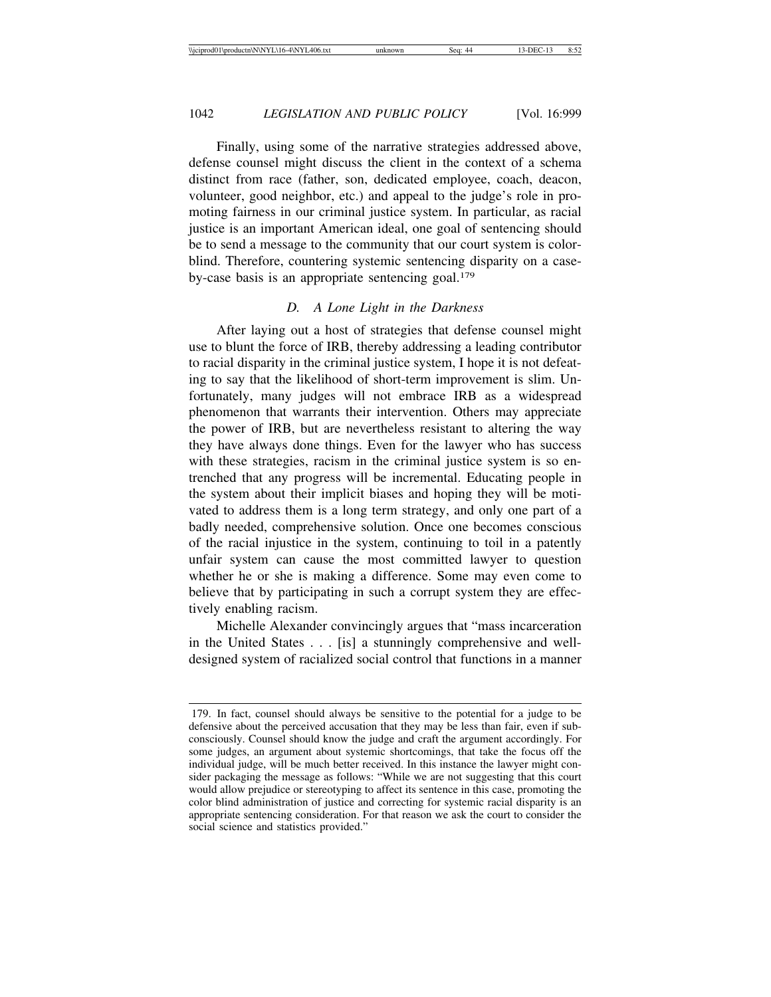Finally, using some of the narrative strategies addressed above, defense counsel might discuss the client in the context of a schema distinct from race (father, son, dedicated employee, coach, deacon, volunteer, good neighbor, etc.) and appeal to the judge's role in promoting fairness in our criminal justice system. In particular, as racial justice is an important American ideal, one goal of sentencing should be to send a message to the community that our court system is colorblind. Therefore, countering systemic sentencing disparity on a caseby-case basis is an appropriate sentencing goal.<sup>179</sup>

## *D. A Lone Light in the Darkness*

After laying out a host of strategies that defense counsel might use to blunt the force of IRB, thereby addressing a leading contributor to racial disparity in the criminal justice system, I hope it is not defeating to say that the likelihood of short-term improvement is slim. Unfortunately, many judges will not embrace IRB as a widespread phenomenon that warrants their intervention. Others may appreciate the power of IRB, but are nevertheless resistant to altering the way they have always done things. Even for the lawyer who has success with these strategies, racism in the criminal justice system is so entrenched that any progress will be incremental. Educating people in the system about their implicit biases and hoping they will be motivated to address them is a long term strategy, and only one part of a badly needed, comprehensive solution. Once one becomes conscious of the racial injustice in the system, continuing to toil in a patently unfair system can cause the most committed lawyer to question whether he or she is making a difference. Some may even come to believe that by participating in such a corrupt system they are effectively enabling racism.

Michelle Alexander convincingly argues that "mass incarceration in the United States . . . [is] a stunningly comprehensive and welldesigned system of racialized social control that functions in a manner

<sup>179.</sup> In fact, counsel should always be sensitive to the potential for a judge to be defensive about the perceived accusation that they may be less than fair, even if subconsciously. Counsel should know the judge and craft the argument accordingly. For some judges, an argument about systemic shortcomings, that take the focus off the individual judge, will be much better received. In this instance the lawyer might consider packaging the message as follows: "While we are not suggesting that this court would allow prejudice or stereotyping to affect its sentence in this case, promoting the color blind administration of justice and correcting for systemic racial disparity is an appropriate sentencing consideration. For that reason we ask the court to consider the social science and statistics provided."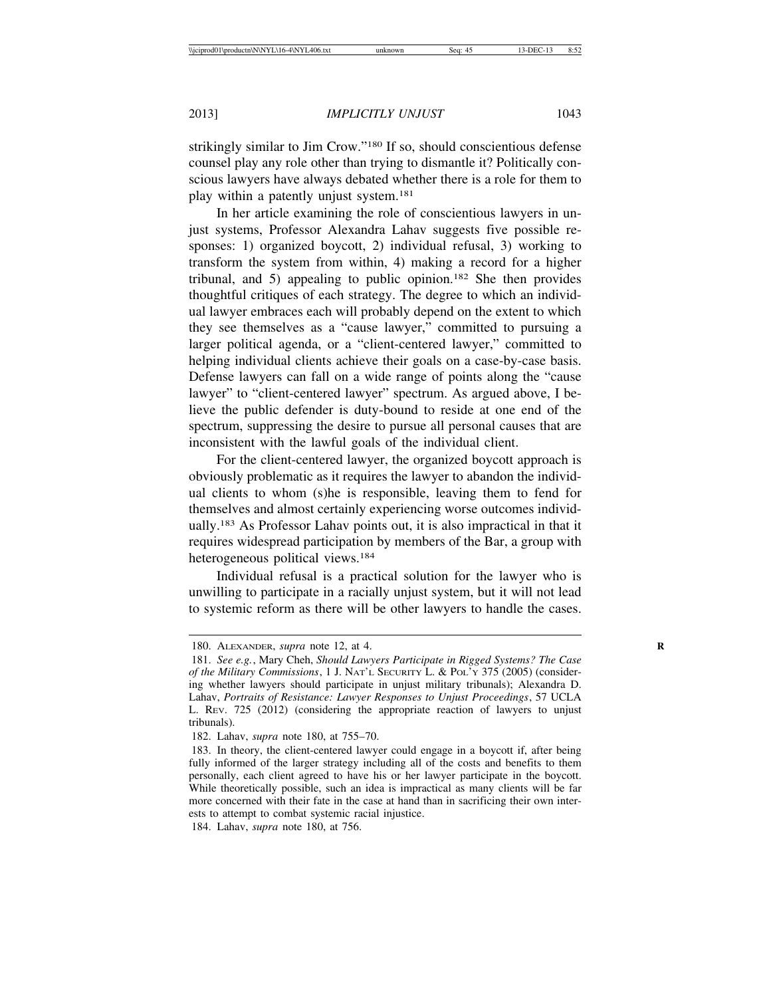strikingly similar to Jim Crow."180 If so, should conscientious defense counsel play any role other than trying to dismantle it? Politically conscious lawyers have always debated whether there is a role for them to play within a patently unjust system.181

In her article examining the role of conscientious lawyers in unjust systems, Professor Alexandra Lahav suggests five possible responses: 1) organized boycott, 2) individual refusal, 3) working to transform the system from within, 4) making a record for a higher tribunal, and 5) appealing to public opinion.182 She then provides thoughtful critiques of each strategy. The degree to which an individual lawyer embraces each will probably depend on the extent to which they see themselves as a "cause lawyer," committed to pursuing a larger political agenda, or a "client-centered lawyer," committed to helping individual clients achieve their goals on a case-by-case basis. Defense lawyers can fall on a wide range of points along the "cause lawyer" to "client-centered lawyer" spectrum. As argued above, I believe the public defender is duty-bound to reside at one end of the spectrum, suppressing the desire to pursue all personal causes that are inconsistent with the lawful goals of the individual client.

For the client-centered lawyer, the organized boycott approach is obviously problematic as it requires the lawyer to abandon the individual clients to whom (s)he is responsible, leaving them to fend for themselves and almost certainly experiencing worse outcomes individually.183 As Professor Lahav points out, it is also impractical in that it requires widespread participation by members of the Bar, a group with heterogeneous political views.184

Individual refusal is a practical solution for the lawyer who is unwilling to participate in a racially unjust system, but it will not lead to systemic reform as there will be other lawyers to handle the cases.

<sup>180.</sup> ALEXANDER, *supra* note 12, at 4. **R**

<sup>181.</sup> *See e.g.*, Mary Cheh, *Should Lawyers Participate in Rigged Systems? The Case of the Military Commissions*, 1 J. NAT'L SECURITY L. & POL'Y 375 (2005) (considering whether lawyers should participate in unjust military tribunals); Alexandra D. Lahav, *Portraits of Resistance: Lawyer Responses to Unjust Proceedings*, 57 UCLA L. REV. 725 (2012) (considering the appropriate reaction of lawyers to unjust tribunals).

<sup>182.</sup> Lahav, *supra* note 180, at 755–70.

<sup>183.</sup> In theory, the client-centered lawyer could engage in a boycott if, after being fully informed of the larger strategy including all of the costs and benefits to them personally, each client agreed to have his or her lawyer participate in the boycott. While theoretically possible, such an idea is impractical as many clients will be far more concerned with their fate in the case at hand than in sacrificing their own interests to attempt to combat systemic racial injustice.

<sup>184.</sup> Lahav, *supra* note 180, at 756.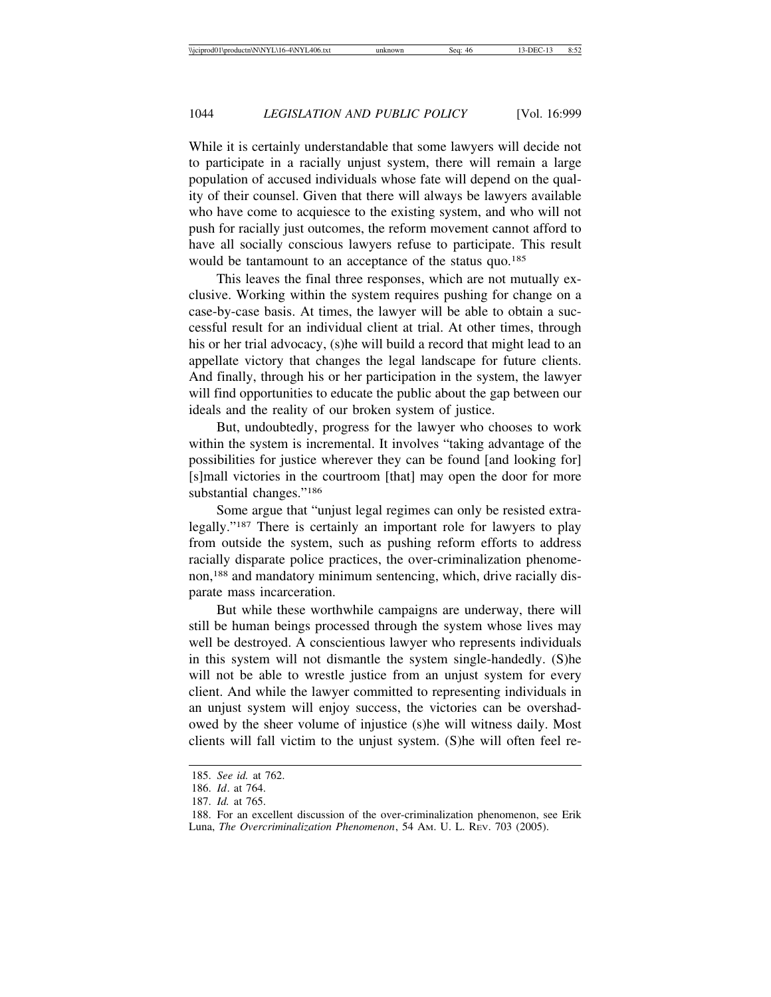While it is certainly understandable that some lawyers will decide not to participate in a racially unjust system, there will remain a large population of accused individuals whose fate will depend on the quality of their counsel. Given that there will always be lawyers available who have come to acquiesce to the existing system, and who will not push for racially just outcomes, the reform movement cannot afford to have all socially conscious lawyers refuse to participate. This result would be tantamount to an acceptance of the status quo.<sup>185</sup>

This leaves the final three responses, which are not mutually exclusive. Working within the system requires pushing for change on a case-by-case basis. At times, the lawyer will be able to obtain a successful result for an individual client at trial. At other times, through his or her trial advocacy, (s)he will build a record that might lead to an appellate victory that changes the legal landscape for future clients. And finally, through his or her participation in the system, the lawyer will find opportunities to educate the public about the gap between our ideals and the reality of our broken system of justice.

But, undoubtedly, progress for the lawyer who chooses to work within the system is incremental. It involves "taking advantage of the possibilities for justice wherever they can be found [and looking for] [s]mall victories in the courtroom [that] may open the door for more substantial changes."186

Some argue that "unjust legal regimes can only be resisted extralegally."187 There is certainly an important role for lawyers to play from outside the system, such as pushing reform efforts to address racially disparate police practices, the over-criminalization phenomenon,188 and mandatory minimum sentencing, which, drive racially disparate mass incarceration.

But while these worthwhile campaigns are underway, there will still be human beings processed through the system whose lives may well be destroyed. A conscientious lawyer who represents individuals in this system will not dismantle the system single-handedly. (S)he will not be able to wrestle justice from an unjust system for every client. And while the lawyer committed to representing individuals in an unjust system will enjoy success, the victories can be overshadowed by the sheer volume of injustice (s)he will witness daily. Most clients will fall victim to the unjust system. (S)he will often feel re-

<sup>185.</sup> *See id.* at 762.

<sup>186.</sup> *Id*. at 764.

<sup>187.</sup> *Id.* at 765.

<sup>188.</sup> For an excellent discussion of the over-criminalization phenomenon, see Erik Luna, *The Overcriminalization Phenomenon*, 54 AM. U. L. REV. 703 (2005).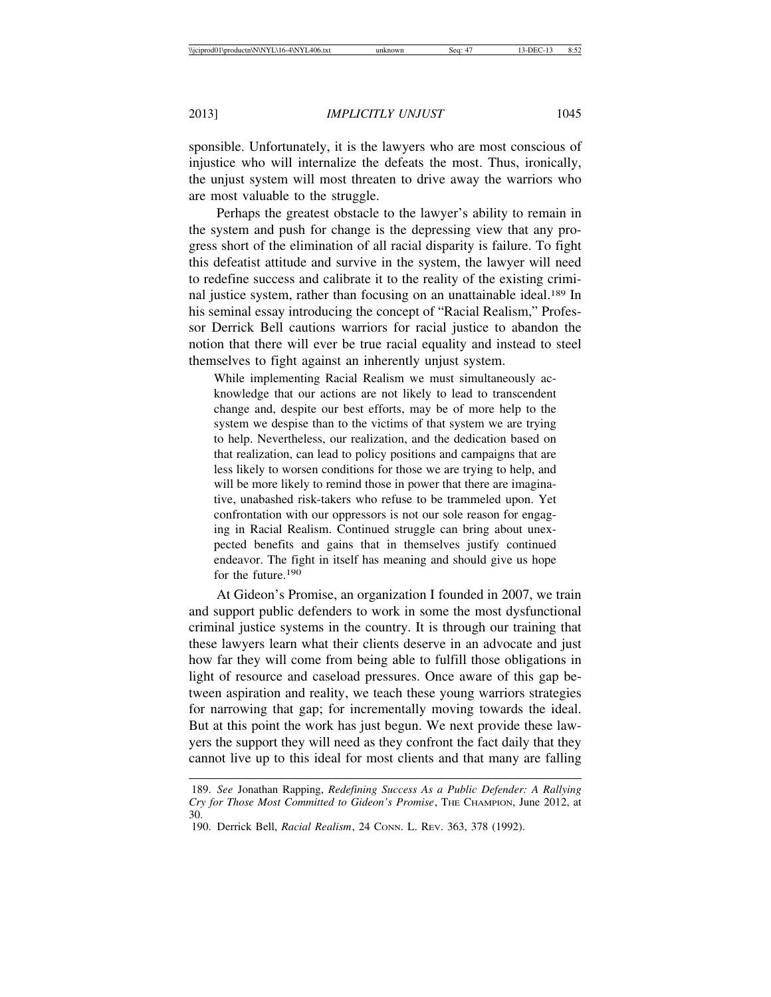sponsible. Unfortunately, it is the lawyers who are most conscious of injustice who will internalize the defeats the most. Thus, ironically, the unjust system will most threaten to drive away the warriors who are most valuable to the struggle.

Perhaps the greatest obstacle to the lawyer's ability to remain in the system and push for change is the depressing view that any progress short of the elimination of all racial disparity is failure. To fight this defeatist attitude and survive in the system, the lawyer will need to redefine success and calibrate it to the reality of the existing criminal justice system, rather than focusing on an unattainable ideal.189 In his seminal essay introducing the concept of "Racial Realism," Professor Derrick Bell cautions warriors for racial justice to abandon the notion that there will ever be true racial equality and instead to steel themselves to fight against an inherently unjust system.

While implementing Racial Realism we must simultaneously acknowledge that our actions are not likely to lead to transcendent change and, despite our best efforts, may be of more help to the system we despise than to the victims of that system we are trying to help. Nevertheless, our realization, and the dedication based on that realization, can lead to policy positions and campaigns that are less likely to worsen conditions for those we are trying to help, and will be more likely to remind those in power that there are imaginative, unabashed risk-takers who refuse to be trammeled upon. Yet confrontation with our oppressors is not our sole reason for engaging in Racial Realism. Continued struggle can bring about unexpected benefits and gains that in themselves justify continued endeavor. The fight in itself has meaning and should give us hope for the future.190

At Gideon's Promise, an organization I founded in 2007, we train and support public defenders to work in some the most dysfunctional criminal justice systems in the country. It is through our training that these lawyers learn what their clients deserve in an advocate and just how far they will come from being able to fulfill those obligations in light of resource and caseload pressures. Once aware of this gap between aspiration and reality, we teach these young warriors strategies for narrowing that gap; for incrementally moving towards the ideal. But at this point the work has just begun. We next provide these lawyers the support they will need as they confront the fact daily that they cannot live up to this ideal for most clients and that many are falling

<sup>189.</sup> *See* Jonathan Rapping, *Redefining Success As a Public Defender: A Rallying Cry for Those Most Committed to Gideon's Promise*, THE CHAMPION, June 2012, at 30.

<sup>190.</sup> Derrick Bell, *Racial Realism*, 24 CONN. L. REV. 363, 378 (1992).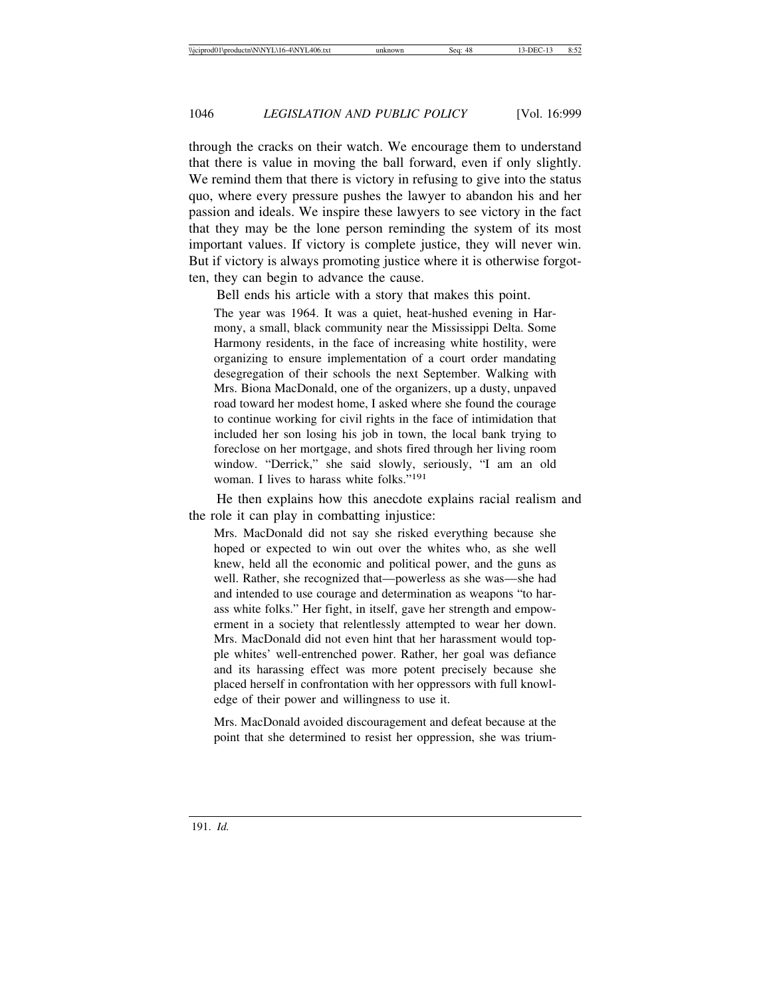through the cracks on their watch. We encourage them to understand that there is value in moving the ball forward, even if only slightly. We remind them that there is victory in refusing to give into the status quo, where every pressure pushes the lawyer to abandon his and her passion and ideals. We inspire these lawyers to see victory in the fact that they may be the lone person reminding the system of its most important values. If victory is complete justice, they will never win. But if victory is always promoting justice where it is otherwise forgotten, they can begin to advance the cause.

Bell ends his article with a story that makes this point.

The year was 1964. It was a quiet, heat-hushed evening in Harmony, a small, black community near the Mississippi Delta. Some Harmony residents, in the face of increasing white hostility, were organizing to ensure implementation of a court order mandating desegregation of their schools the next September. Walking with Mrs. Biona MacDonald, one of the organizers, up a dusty, unpaved road toward her modest home, I asked where she found the courage to continue working for civil rights in the face of intimidation that included her son losing his job in town, the local bank trying to foreclose on her mortgage, and shots fired through her living room window. "Derrick," she said slowly, seriously, "I am an old woman. I lives to harass white folks."191

He then explains how this anecdote explains racial realism and the role it can play in combatting injustice:

Mrs. MacDonald did not say she risked everything because she hoped or expected to win out over the whites who, as she well knew, held all the economic and political power, and the guns as well. Rather, she recognized that—powerless as she was—she had and intended to use courage and determination as weapons "to harass white folks." Her fight, in itself, gave her strength and empowerment in a society that relentlessly attempted to wear her down. Mrs. MacDonald did not even hint that her harassment would topple whites' well-entrenched power. Rather, her goal was defiance and its harassing effect was more potent precisely because she placed herself in confrontation with her oppressors with full knowledge of their power and willingness to use it.

Mrs. MacDonald avoided discouragement and defeat because at the point that she determined to resist her oppression, she was trium-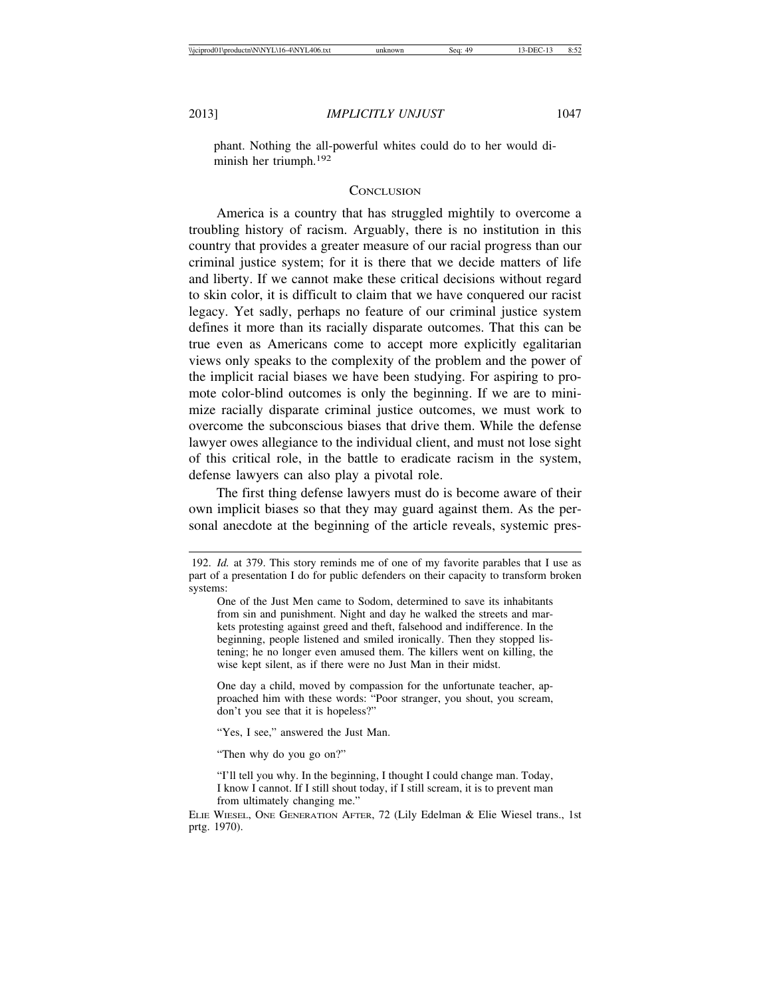phant. Nothing the all-powerful whites could do to her would diminish her triumph.192

#### **CONCLUSION**

America is a country that has struggled mightily to overcome a troubling history of racism. Arguably, there is no institution in this country that provides a greater measure of our racial progress than our criminal justice system; for it is there that we decide matters of life and liberty. If we cannot make these critical decisions without regard to skin color, it is difficult to claim that we have conquered our racist legacy. Yet sadly, perhaps no feature of our criminal justice system defines it more than its racially disparate outcomes. That this can be true even as Americans come to accept more explicitly egalitarian views only speaks to the complexity of the problem and the power of the implicit racial biases we have been studying. For aspiring to promote color-blind outcomes is only the beginning. If we are to minimize racially disparate criminal justice outcomes, we must work to overcome the subconscious biases that drive them. While the defense lawyer owes allegiance to the individual client, and must not lose sight of this critical role, in the battle to eradicate racism in the system, defense lawyers can also play a pivotal role.

The first thing defense lawyers must do is become aware of their own implicit biases so that they may guard against them. As the personal anecdote at the beginning of the article reveals, systemic pres-

One day a child, moved by compassion for the unfortunate teacher, approached him with these words: "Poor stranger, you shout, you scream, don't you see that it is hopeless?"

"Yes, I see," answered the Just Man.

"Then why do you go on?"

"I'll tell you why. In the beginning, I thought I could change man. Today, I know I cannot. If I still shout today, if I still scream, it is to prevent man from ultimately changing me."

<sup>192.</sup> *Id.* at 379. This story reminds me of one of my favorite parables that I use as part of a presentation I do for public defenders on their capacity to transform broken systems:

One of the Just Men came to Sodom, determined to save its inhabitants from sin and punishment. Night and day he walked the streets and markets protesting against greed and theft, falsehood and indifference. In the beginning, people listened and smiled ironically. Then they stopped listening; he no longer even amused them. The killers went on killing, the wise kept silent, as if there were no Just Man in their midst.

ELIE WIESEL, ONE GENERATION AFTER, 72 (Lily Edelman & Elie Wiesel trans., 1st prtg. 1970).